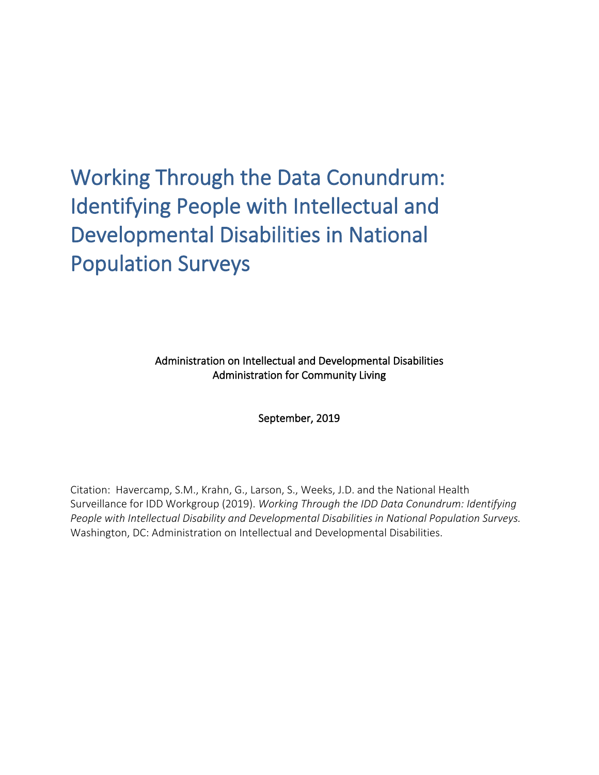Working Through the Data Conundrum: Identifying People with Intellectual and Developmental Disabilities in National Population Surveys

> Administration on Intellectual and Developmental Disabilities Administration for Community Living

> > September, 2019

Citation: Havercamp, S.M., Krahn, G., Larson, S., Weeks, J.D. and the National Health Surveillance for IDD Workgroup (2019). *Working Through the IDD Data Conundrum: Identifying People with Intellectual Disability and Developmental Disabilities in National Population Surveys.* Washington, DC: Administration on Intellectual and Developmental Disabilities.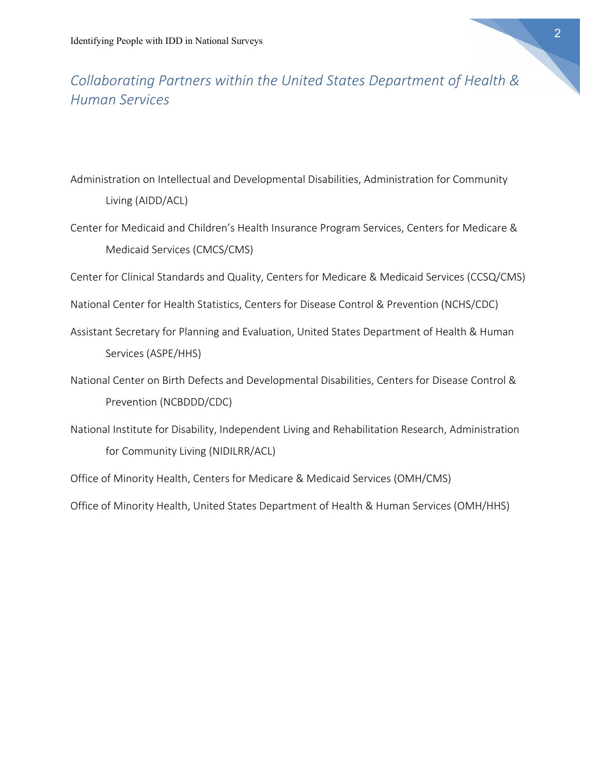*Collaborating Partners within the United States Department of Health & Human Services*

Administration on Intellectual and Developmental Disabilities, Administration for Community Living (AIDD/ACL)

Center for Medicaid and Children's Health Insurance Program Services, Centers for Medicare & Medicaid Services (CMCS/CMS)

Center for Clinical Standards and Quality, Centers for Medicare & Medicaid Services (CCSQ/CMS)

National Center for Health Statistics, Centers for Disease Control & Prevention (NCHS/CDC)

- Assistant Secretary for Planning and Evaluation, United States Department of Health & Human Services (ASPE/HHS)
- National Center on Birth Defects and Developmental Disabilities, Centers for Disease Control & Prevention (NCBDDD/CDC)
- National Institute for Disability, Independent Living and Rehabilitation Research, Administration for Community Living (NIDILRR/ACL)

Office of Minority Health, Centers for Medicare & Medicaid Services (OMH/CMS)

Office of Minority Health, United States Department of Health & Human Services (OMH/HHS)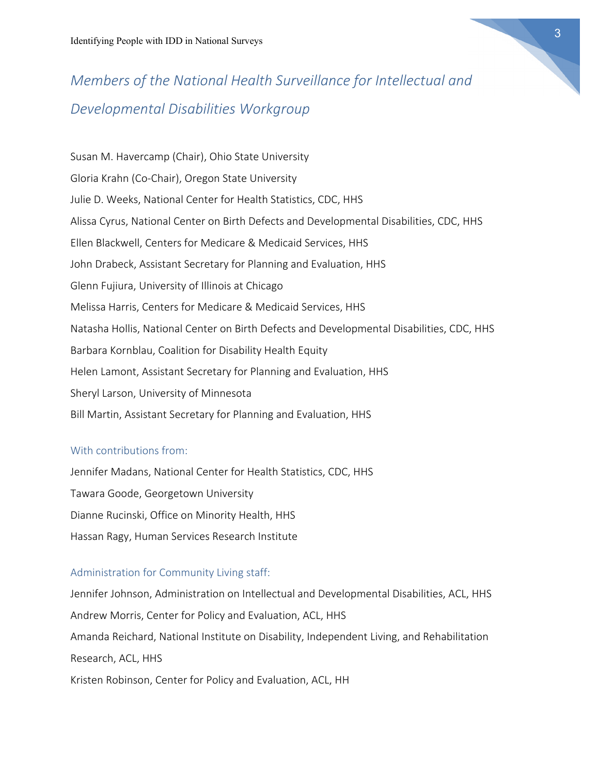

# *Members of the National Health Surveillance for Intellectual and Developmental Disabilities Workgroup*

Susan M. Havercamp (Chair), Ohio State University Gloria Krahn (Co-Chair), Oregon State University Julie D. Weeks, National Center for Health Statistics, CDC, HHS Alissa Cyrus, National Center on Birth Defects and Developmental Disabilities, CDC, HHS Ellen Blackwell, Centers for Medicare & Medicaid Services, HHS John Drabeck, Assistant Secretary for Planning and Evaluation, HHS Glenn Fujiura, University of Illinois at Chicago Melissa Harris, Centers for Medicare & Medicaid Services, HHS Natasha Hollis, National Center on Birth Defects and Developmental Disabilities, CDC, HHS Barbara Kornblau, Coalition for Disability Health Equity Helen Lamont, Assistant Secretary for Planning and Evaluation, HHS Sheryl Larson, University of Minnesota Bill Martin, Assistant Secretary for Planning and Evaluation, HHS

## With contributions from:

Jennifer Madans, National Center for Health Statistics, CDC, HHS Tawara Goode, Georgetown University Dianne Rucinski, Office on Minority Health, HHS Hassan Ragy, Human Services Research Institute

## Administration for Community Living staff:

Jennifer Johnson, Administration on Intellectual and Developmental Disabilities, ACL, HHS Andrew Morris, Center for Policy and Evaluation, ACL, HHS Amanda Reichard, National Institute on Disability, Independent Living, and Rehabilitation Research, ACL, HHS Kristen Robinson, Center for Policy and Evaluation, ACL, HH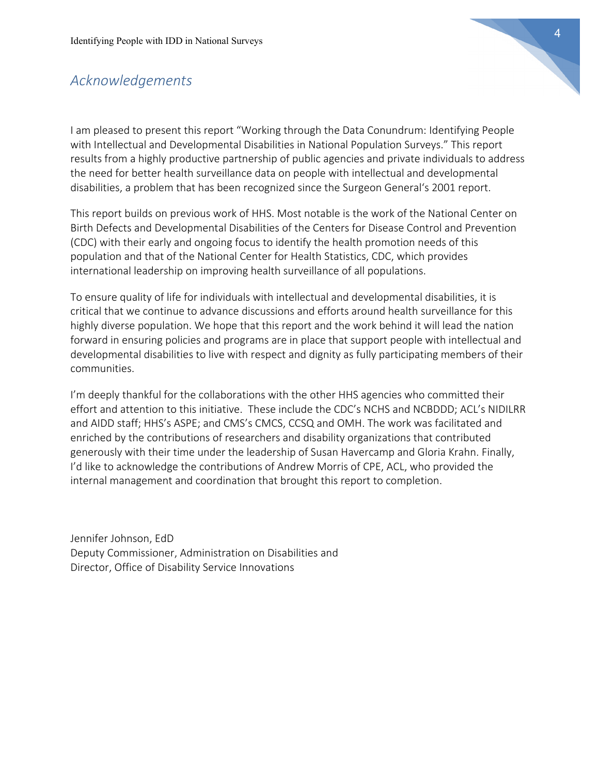

# *Acknowledgements*

I am pleased to present this report "Working through the Data Conundrum: Identifying People with Intellectual and Developmental Disabilities in National Population Surveys." This report results from a highly productive partnership of public agencies and private individuals to address the need for better health surveillance data on people with intellectual and developmental disabilities, a problem that has been recognized since the Surgeon General's 2001 report.

This report builds on previous work of HHS. Most notable is the work of the National Center on Birth Defects and Developmental Disabilities of the Centers for Disease Control and Prevention (CDC) with their early and ongoing focus to identify the health promotion needs of this population and that of the National Center for Health Statistics, CDC, which provides international leadership on improving health surveillance of all populations.

To ensure quality of life for individuals with intellectual and developmental disabilities, it is critical that we continue to advance discussions and efforts around health surveillance for this highly diverse population. We hope that this report and the work behind it will lead the nation forward in ensuring policies and programs are in place that support people with intellectual and developmental disabilities to live with respect and dignity as fully participating members of their communities.

I'm deeply thankful for the collaborations with the other HHS agencies who committed their effort and attention to this initiative. These include the CDC's NCHS and NCBDDD; ACL's NIDILRR and AIDD staff; HHS's ASPE; and CMS's CMCS, CCSQ and OMH. The work was facilitated and enriched by the contributions of researchers and disability organizations that contributed generously with their time under the leadership of Susan Havercamp and Gloria Krahn. Finally, I'd like to acknowledge the contributions of Andrew Morris of CPE, ACL, who provided the internal management and coordination that brought this report to completion.

Jennifer Johnson, EdD Deputy Commissioner, Administration on Disabilities and Director, Office of Disability Service Innovations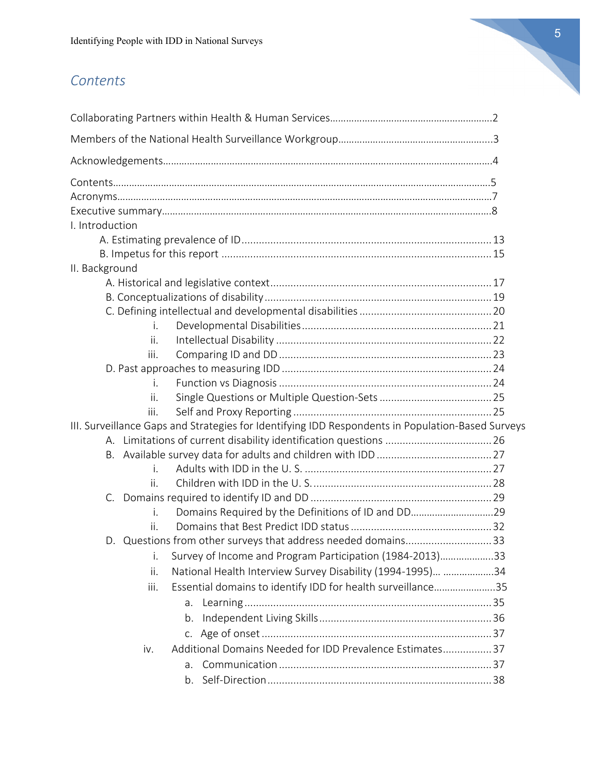

| I. Introduction                                                                                   |  |
|---------------------------------------------------------------------------------------------------|--|
|                                                                                                   |  |
|                                                                                                   |  |
| II. Background                                                                                    |  |
|                                                                                                   |  |
|                                                                                                   |  |
|                                                                                                   |  |
| i.                                                                                                |  |
| ii.                                                                                               |  |
| iii.                                                                                              |  |
|                                                                                                   |  |
| i.                                                                                                |  |
| ii.<br>iii.                                                                                       |  |
| III. Surveillance Gaps and Strategies for Identifying IDD Respondents in Population-Based Surveys |  |
|                                                                                                   |  |
|                                                                                                   |  |
| i.                                                                                                |  |
| ii.                                                                                               |  |
|                                                                                                   |  |
| Domains Required by the Definitions of ID and DD29<br>i.                                          |  |
| ii.                                                                                               |  |
| D. Questions from other surveys that address needed domains33                                     |  |
| Survey of Income and Program Participation (1984-2013)33<br>İ.                                    |  |
| National Health Interview Survey Disability (1994-1995) 34<br>ii.                                 |  |
| iii.<br>Essential domains to identify IDD for health surveillance35                               |  |
| a.                                                                                                |  |
| $b_{\cdot}$                                                                                       |  |
|                                                                                                   |  |
| Additional Domains Needed for IDD Prevalence Estimates37<br>iv.                                   |  |
|                                                                                                   |  |
| $b_{\cdot}$                                                                                       |  |
|                                                                                                   |  |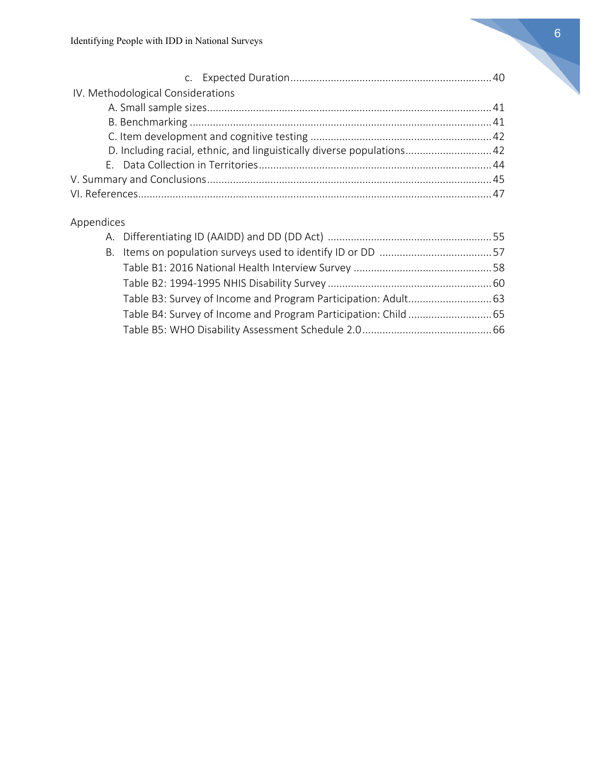| IV. Methodological Considerations                                      |  |
|------------------------------------------------------------------------|--|
|                                                                        |  |
|                                                                        |  |
|                                                                        |  |
| D. Including racial, ethnic, and linguistically diverse populations 42 |  |
|                                                                        |  |
|                                                                        |  |
|                                                                        |  |

# Appendices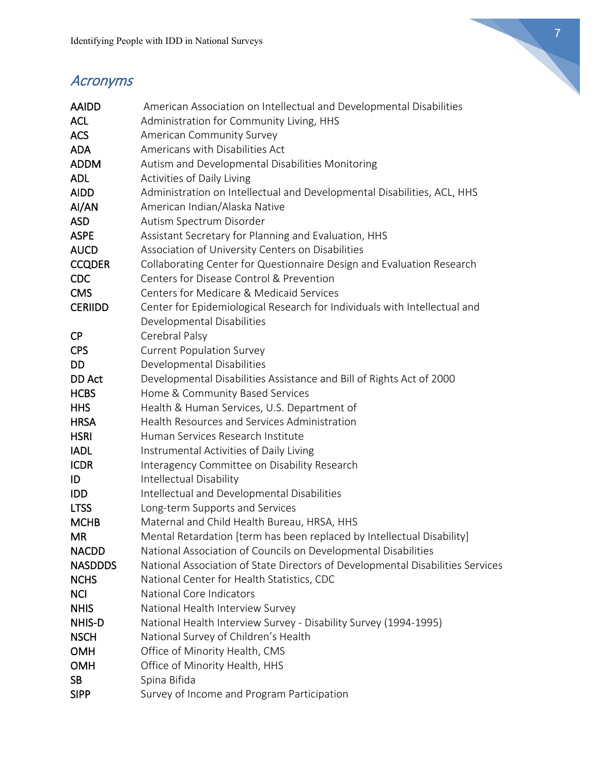

# Acronyms

| <b>AAIDD</b>   | American Association on Intellectual and Developmental Disabilities            |
|----------------|--------------------------------------------------------------------------------|
| <b>ACL</b>     | Administration for Community Living, HHS                                       |
| <b>ACS</b>     | American Community Survey                                                      |
| <b>ADA</b>     | Americans with Disabilities Act                                                |
| <b>ADDM</b>    | Autism and Developmental Disabilities Monitoring                               |
| <b>ADL</b>     | Activities of Daily Living                                                     |
| <b>AIDD</b>    | Administration on Intellectual and Developmental Disabilities, ACL, HHS        |
| AI/AN          | American Indian/Alaska Native                                                  |
| <b>ASD</b>     | Autism Spectrum Disorder                                                       |
| <b>ASPE</b>    | Assistant Secretary for Planning and Evaluation, HHS                           |
| <b>AUCD</b>    | Association of University Centers on Disabilities                              |
| <b>CCQDER</b>  | Collaborating Center for Questionnaire Design and Evaluation Research          |
| <b>CDC</b>     | Centers for Disease Control & Prevention                                       |
| <b>CMS</b>     | Centers for Medicare & Medicaid Services                                       |
| <b>CERIIDD</b> | Center for Epidemiological Research for Individuals with Intellectual and      |
|                | Developmental Disabilities                                                     |
| <b>CP</b>      | Cerebral Palsy                                                                 |
| <b>CPS</b>     | <b>Current Population Survey</b>                                               |
| DD             | Developmental Disabilities                                                     |
| DD Act         | Developmental Disabilities Assistance and Bill of Rights Act of 2000           |
| <b>HCBS</b>    | Home & Community Based Services                                                |
| <b>HHS</b>     | Health & Human Services, U.S. Department of                                    |
| <b>HRSA</b>    | Health Resources and Services Administration                                   |
| <b>HSRI</b>    | Human Services Research Institute                                              |
| <b>IADL</b>    | Instrumental Activities of Daily Living                                        |
| <b>ICDR</b>    | Interagency Committee on Disability Research                                   |
| ID             | Intellectual Disability                                                        |
| <b>IDD</b>     | Intellectual and Developmental Disabilities                                    |
| <b>LTSS</b>    | Long-term Supports and Services                                                |
| <b>MCHB</b>    | Maternal and Child Health Bureau, HRSA, HHS                                    |
| MR             | Mental Retardation [term has been replaced by Intellectual Disability]         |
| <b>NACDD</b>   | National Association of Councils on Developmental Disabilities                 |
| <b>NASDDDS</b> | National Association of State Directors of Developmental Disabilities Services |
| <b>NCHS</b>    | National Center for Health Statistics, CDC                                     |
| <b>NCI</b>     | National Core Indicators                                                       |
| <b>NHIS</b>    | National Health Interview Survey                                               |
| NHIS-D         | National Health Interview Survey - Disability Survey (1994-1995)               |
| <b>NSCH</b>    | National Survey of Children's Health                                           |
| <b>OMH</b>     | Office of Minority Health, CMS                                                 |
| <b>OMH</b>     | Office of Minority Health, HHS                                                 |
| SB             | Spina Bifida                                                                   |
| <b>SIPP</b>    | Survey of Income and Program Participation                                     |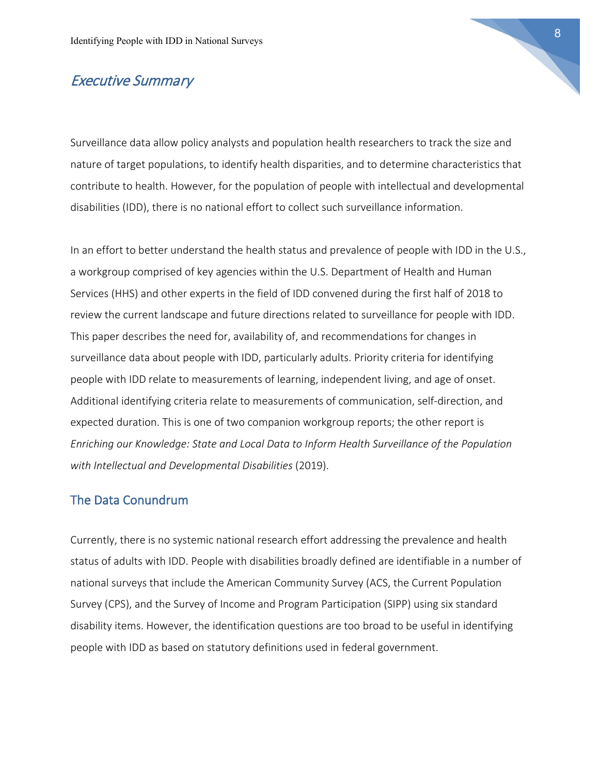# Executive Summary

Surveillance data allow policy analysts and population health researchers to track the size and nature of target populations, to identify health disparities, and to determine characteristics that contribute to health. However, for the population of people with intellectual and developmental disabilities (IDD), there is no national effort to collect such surveillance information.

In an effort to better understand the health status and prevalence of people with IDD in the U.S., a workgroup comprised of key agencies within the U.S. Department of Health and Human Services (HHS) and other experts in the field of IDD convened during the first half of 2018 to review the current landscape and future directions related to surveillance for people with IDD. This paper describes the need for, availability of, and recommendations for changes in surveillance data about people with IDD, particularly adults. Priority criteria for identifying people with IDD relate to measurements of learning, independent living, and age of onset. Additional identifying criteria relate to measurements of communication, self-direction, and expected duration. This is one of two companion workgroup reports; the other report is *Enriching our Knowledge: State and Local Data to Inform Health Surveillance of the Population with Intellectual and Developmental Disabilities* (2019).

#### The Data Conundrum

Currently, there is no systemic national research effort addressing the prevalence and health status of adults with IDD. People with disabilities broadly defined are identifiable in a number of national surveys that include the American Community Survey (ACS, the Current Population Survey (CPS), and the Survey of Income and Program Participation (SIPP) using six standard disability items. However, the identification questions are too broad to be useful in identifying people with IDD as based on statutory definitions used in federal government.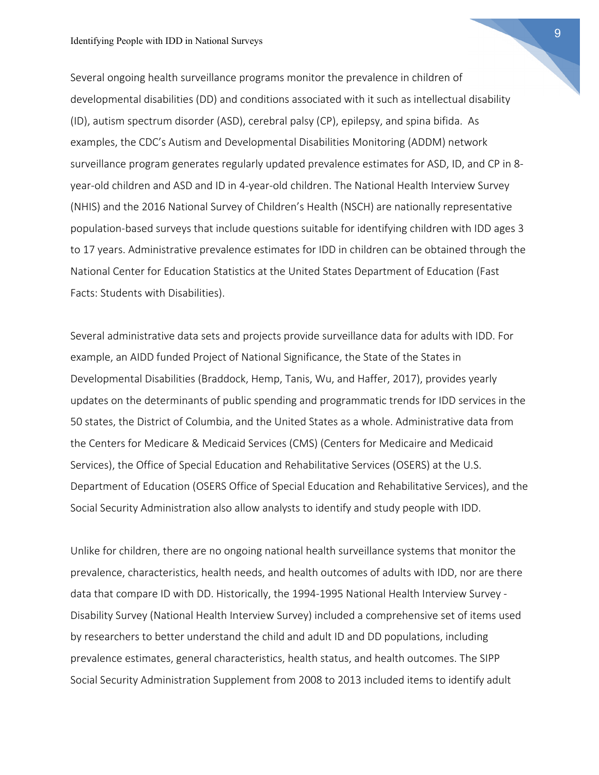Several ongoing health surveillance programs monitor the prevalence in children of developmental disabilities (DD) and conditions associated with it such as intellectual disability (ID), autism spectrum disorder (ASD), cerebral palsy (CP), epilepsy, and spina bifida. As examples, the CDC's Autism and Developmental Disabilities Monitoring (ADDM) network surveillance program generates regularly updated prevalence estimates for ASD, ID, and CP in 8 year-old children and ASD and ID in 4-year-old children. The National Health Interview Survey (NHIS) and the 2016 National Survey of Children's Health (NSCH) are nationally representative population-based surveys that include questions suitable for identifying children with IDD ages 3 to 17 years. Administrative prevalence estimates for IDD in children can be obtained through the National Center for Education Statistics at the United States Department of Education (Fast Facts: Students with Disabilities).

Several administrative data sets and projects provide surveillance data for adults with IDD. For example, an AIDD funded Project of National Significance, the State of the States in Developmental Disabilities (Braddock, Hemp, Tanis, Wu, and Haffer, 2017), provides yearly updates on the determinants of public spending and programmatic trends for IDD services in the 50 states, the District of Columbia, and the United States as a whole. Administrative data from the Centers for Medicare & Medicaid Services (CMS) (Centers for Medicaire and Medicaid Services), the Office of Special Education and Rehabilitative Services (OSERS) at the U.S. Department of Education (OSERS Office of Special Education and Rehabilitative Services), and the Social Security Administration also allow analysts to identify and study people with IDD.

Unlike for children, there are no ongoing national health surveillance systems that monitor the prevalence, characteristics, health needs, and health outcomes of adults with IDD, nor are there data that compare ID with DD. Historically, the 1994-1995 National Health Interview Survey - Disability Survey (National Health Interview Survey) included a comprehensive set of items used by researchers to better understand the child and adult ID and DD populations, including prevalence estimates, general characteristics, health status, and health outcomes. The SIPP Social Security Administration Supplement from 2008 to 2013 included items to identify adult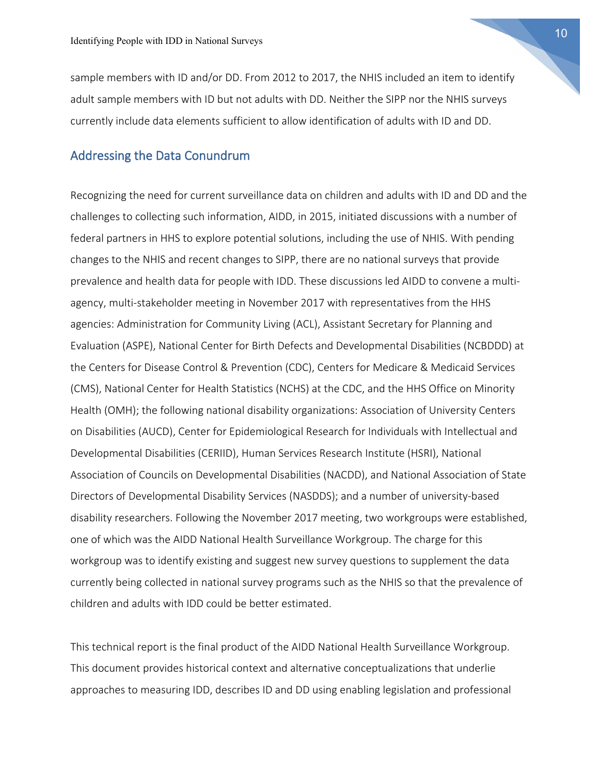sample members with ID and/or DD. From 2012 to 2017, the NHIS included an item to identify adult sample members with ID but not adults with DD. Neither the SIPP nor the NHIS surveys currently include data elements sufficient to allow identification of adults with ID and DD.

### Addressing the Data Conundrum

Recognizing the need for current surveillance data on children and adults with ID and DD and the challenges to collecting such information, AIDD, in 2015, initiated discussions with a number of federal partners in HHS to explore potential solutions, including the use of NHIS. With pending changes to the NHIS and recent changes to SIPP, there are no national surveys that provide prevalence and health data for people with IDD. These discussions led AIDD to convene a multiagency, multi-stakeholder meeting in November 2017 with representatives from the HHS agencies: Administration for Community Living (ACL), Assistant Secretary for Planning and Evaluation (ASPE), National Center for Birth Defects and Developmental Disabilities (NCBDDD) at the Centers for Disease Control & Prevention (CDC), Centers for Medicare & Medicaid Services (CMS), National Center for Health Statistics (NCHS) at the CDC, and the HHS Office on Minority Health (OMH); the following national disability organizations: Association of University Centers on Disabilities (AUCD), Center for Epidemiological Research for Individuals with Intellectual and Developmental Disabilities (CERIID), Human Services Research Institute (HSRI), National Association of Councils on Developmental Disabilities (NACDD), and National Association of State Directors of Developmental Disability Services (NASDDS); and a number of university-based disability researchers. Following the November 2017 meeting, two workgroups were established, one of which was the AIDD National Health Surveillance Workgroup. The charge for this workgroup was to identify existing and suggest new survey questions to supplement the data currently being collected in national survey programs such as the NHIS so that the prevalence of children and adults with IDD could be better estimated.

This technical report is the final product of the AIDD National Health Surveillance Workgroup. This document provides historical context and alternative conceptualizations that underlie approaches to measuring IDD, describes ID and DD using enabling legislation and professional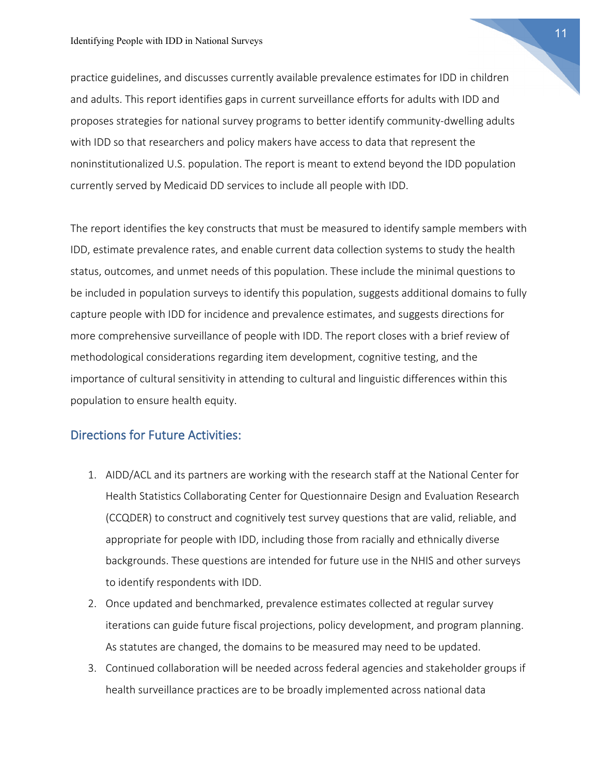practice guidelines, and discusses currently available prevalence estimates for IDD in children and adults. This report identifies gaps in current surveillance efforts for adults with IDD and proposes strategies for national survey programs to better identify community-dwelling adults with IDD so that researchers and policy makers have access to data that represent the noninstitutionalized U.S. population. The report is meant to extend beyond the IDD population currently served by Medicaid DD services to include all people with IDD.

The report identifies the key constructs that must be measured to identify sample members with IDD, estimate prevalence rates, and enable current data collection systems to study the health status, outcomes, and unmet needs of this population. These include the minimal questions to be included in population surveys to identify this population, suggests additional domains to fully capture people with IDD for incidence and prevalence estimates, and suggests directions for more comprehensive surveillance of people with IDD. The report closes with a brief review of methodological considerations regarding item development, cognitive testing, and the importance of cultural sensitivity in attending to cultural and linguistic differences within this population to ensure health equity.

## Directions for Future Activities:

- 1. AIDD/ACL and its partners are working with the research staff at the National Center for Health Statistics Collaborating Center for Questionnaire Design and Evaluation Research (CCQDER) to construct and cognitively test survey questions that are valid, reliable, and appropriate for people with IDD, including those from racially and ethnically diverse backgrounds. These questions are intended for future use in the NHIS and other surveys to identify respondents with IDD.
- 2. Once updated and benchmarked, prevalence estimates collected at regular survey iterations can guide future fiscal projections, policy development, and program planning. As statutes are changed, the domains to be measured may need to be updated.
- 3. Continued collaboration will be needed across federal agencies and stakeholder groups if health surveillance practices are to be broadly implemented across national data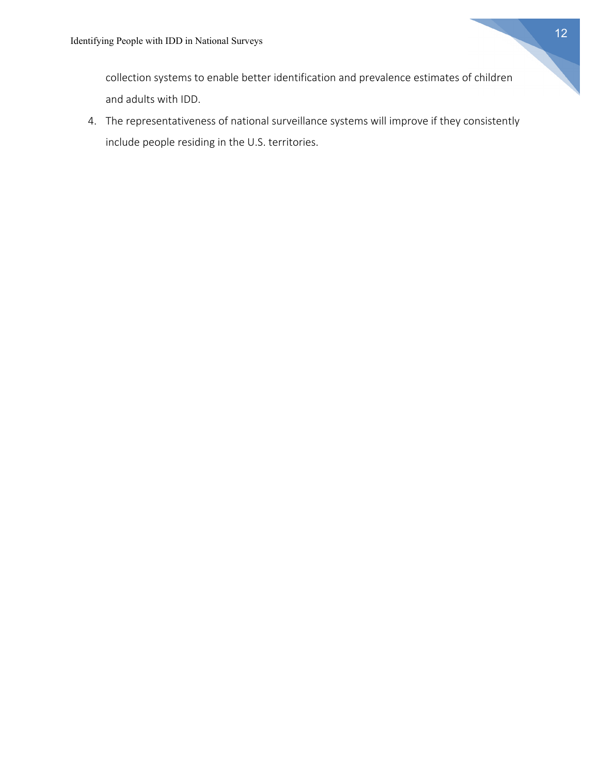collection systems to enable better identification and prevalence estimates of children and adults with IDD.

4. The representativeness of national surveillance systems will improve if they consistently include people residing in the U.S. territories.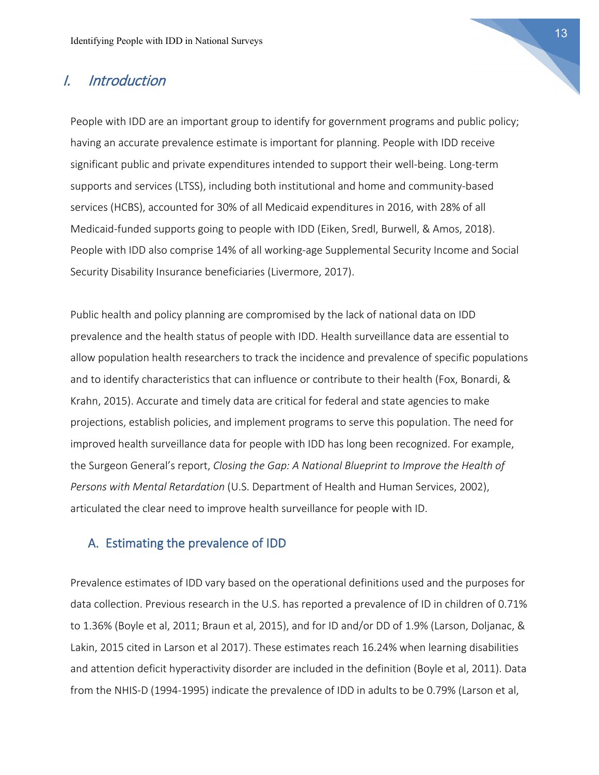# I. Introduction

People with IDD are an important group to identify for government programs and public policy; having an accurate prevalence estimate is important for planning. People with IDD receive significant public and private expenditures intended to support their well-being. Long-term supports and services (LTSS), including both institutional and home and community-based services (HCBS), accounted for 30% of all Medicaid expenditures in 2016, with 28% of all Medicaid-funded supports going to people with IDD (Eiken, Sredl, Burwell, & Amos, 2018). People with IDD also comprise 14% of all working-age Supplemental Security Income and Social Security Disability Insurance beneficiaries (Livermore, 2017).

Public health and policy planning are compromised by the lack of national data on IDD prevalence and the health status of people with IDD. Health surveillance data are essential to allow population health researchers to track the incidence and prevalence of specific populations and to identify characteristics that can influence or contribute to their health (Fox, Bonardi, & Krahn, 2015). Accurate and timely data are critical for federal and state agencies to make projections, establish policies, and implement programs to serve this population. The need for improved health surveillance data for people with IDD has long been recognized. For example, the Surgeon General's report, *Closing the Gap: A National Blueprint to Improve the Health of Persons with Mental Retardation* (U.S. Department of Health and Human Services, 2002), articulated the clear need to improve health surveillance for people with ID.

#### A. Estimating the prevalence of IDD

Prevalence estimates of IDD vary based on the operational definitions used and the purposes for data collection. Previous research in the U.S. has reported a prevalence of ID in children of 0.71% to 1.36% (Boyle et al, 2011; Braun et al, 2015), and for ID and/or DD of 1.9% (Larson, Doljanac, & Lakin, 2015 cited in Larson et al 2017). These estimates reach 16.24% when learning disabilities and attention deficit hyperactivity disorder are included in the definition (Boyle et al, 2011). Data from the NHIS-D (1994-1995) indicate the prevalence of IDD in adults to be 0.79% (Larson et al,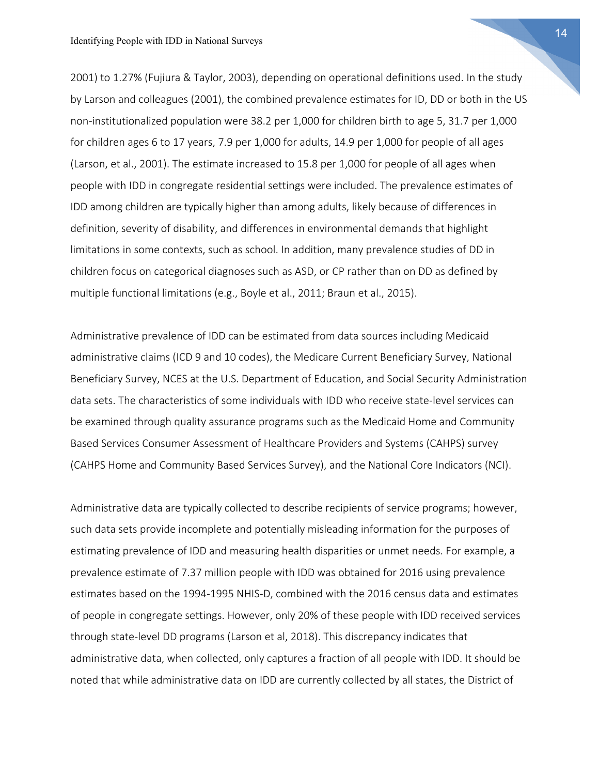2001) to 1.27% (Fujiura & Taylor, 2003), depending on operational definitions used. In the study by Larson and colleagues (2001), the combined prevalence estimates for ID, DD or both in the US non-institutionalized population were 38.2 per 1,000 for children birth to age 5, 31.7 per 1,000 for children ages 6 to 17 years, 7.9 per 1,000 for adults, 14.9 per 1,000 for people of all ages (Larson, et al., 2001). The estimate increased to 15.8 per 1,000 for people of all ages when people with IDD in congregate residential settings were included. The prevalence estimates of IDD among children are typically higher than among adults, likely because of differences in definition, severity of disability, and differences in environmental demands that highlight limitations in some contexts, such as school. In addition, many prevalence studies of DD in children focus on categorical diagnoses such as ASD, or CP rather than on DD as defined by multiple functional limitations (e.g., Boyle et al., 2011; Braun et al., 2015).

Administrative prevalence of IDD can be estimated from data sources including Medicaid administrative claims (ICD 9 and 10 codes), the Medicare Current Beneficiary Survey, National Beneficiary Survey, NCES at the U.S. Department of Education, and Social Security Administration data sets. The characteristics of some individuals with IDD who receive state-level services can be examined through quality assurance programs such as the Medicaid Home and Community Based Services Consumer Assessment of Healthcare Providers and Systems (CAHPS) survey (CAHPS Home and Community Based Services Survey), and the National Core Indicators (NCI).

Administrative data are typically collected to describe recipients of service programs; however, such data sets provide incomplete and potentially misleading information for the purposes of estimating prevalence of IDD and measuring health disparities or unmet needs. For example, a prevalence estimate of 7.37 million people with IDD was obtained for 2016 using prevalence estimates based on the 1994-1995 NHIS-D, combined with the 2016 census data and estimates of people in congregate settings. However, only 20% of these people with IDD received services through state-level DD programs (Larson et al, 2018). This discrepancy indicates that administrative data, when collected, only captures a fraction of all people with IDD. It should be noted that while administrative data on IDD are currently collected by all states, the District of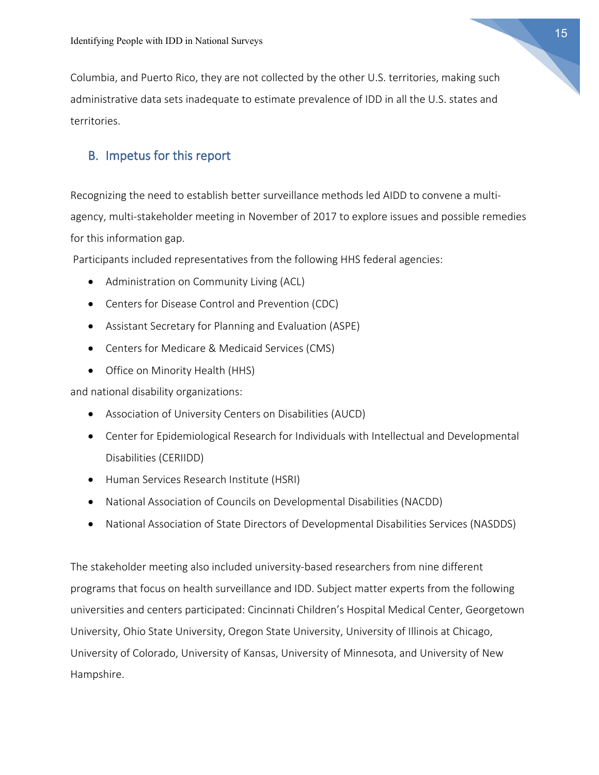Columbia, and Puerto Rico, they are not collected by the other U.S. territories, making such administrative data sets inadequate to estimate prevalence of IDD in all the U.S. states and territories.

## B. Impetus for this report

Recognizing the need to establish better surveillance methods led AIDD to convene a multiagency, multi-stakeholder meeting in November of 2017 to explore issues and possible remedies for this information gap.

Participants included representatives from the following HHS federal agencies:

- Administration on Community Living (ACL)
- Centers for Disease Control and Prevention (CDC)
- Assistant Secretary for Planning and Evaluation (ASPE)
- Centers for Medicare & Medicaid Services (CMS)
- Office on Minority Health (HHS)

and national disability organizations:

- Association of University Centers on Disabilities (AUCD)
- Center for Epidemiological Research for Individuals with Intellectual and Developmental Disabilities (CERIIDD)
- Human Services Research Institute (HSRI)
- National Association of Councils on Developmental Disabilities (NACDD)
- National Association of State Directors of Developmental Disabilities Services (NASDDS)

The stakeholder meeting also included university-based researchers from nine different programs that focus on health surveillance and IDD. Subject matter experts from the following universities and centers participated: Cincinnati Children's Hospital Medical Center, Georgetown University, Ohio State University, Oregon State University, University of Illinois at Chicago, University of Colorado, University of Kansas, University of Minnesota, and University of New Hampshire.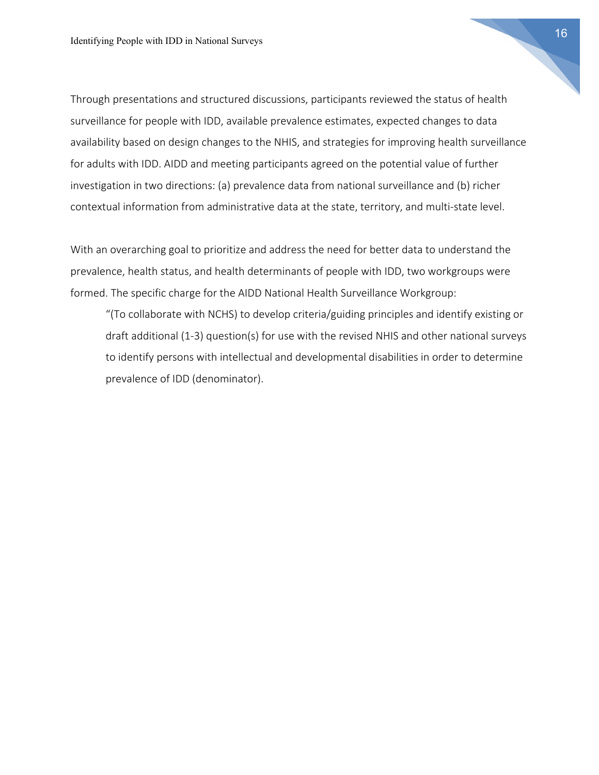Through presentations and structured discussions, participants reviewed the status of health surveillance for people with IDD, available prevalence estimates, expected changes to data availability based on design changes to the NHIS, and strategies for improving health surveillance for adults with IDD. AIDD and meeting participants agreed on the potential value of further investigation in two directions: (a) prevalence data from national surveillance and (b) richer contextual information from administrative data at the state, territory, and multi-state level.

With an overarching goal to prioritize and address the need for better data to understand the prevalence, health status, and health determinants of people with IDD, two workgroups were formed. The specific charge for the AIDD National Health Surveillance Workgroup:

"(To collaborate with NCHS) to develop criteria/guiding principles and identify existing or draft additional (1-3) question(s) for use with the revised NHIS and other national surveys to identify persons with intellectual and developmental disabilities in order to determine prevalence of IDD (denominator).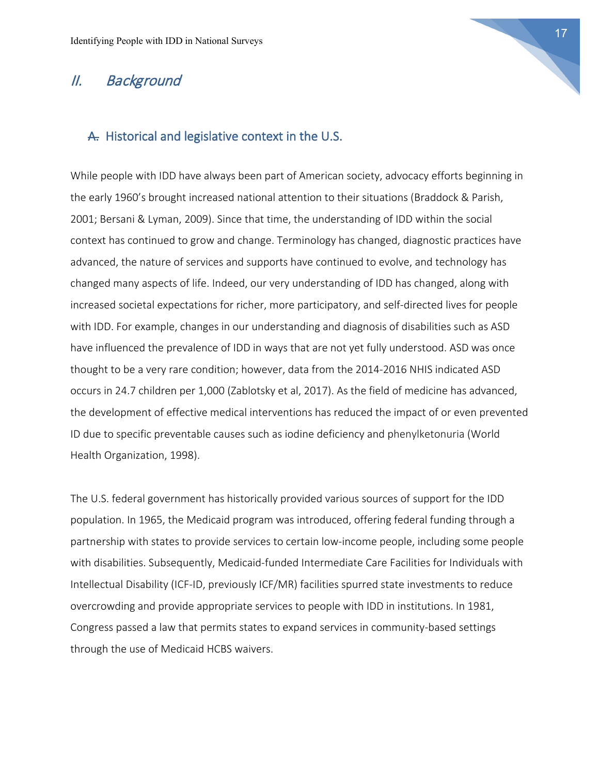# II. Background

#### A. Historical and legislative context in the U.S.

While people with IDD have always been part of American society, advocacy efforts beginning in the early 1960's brought increased national attention to their situations (Braddock & Parish, 2001; Bersani & Lyman, 2009). Since that time, the understanding of IDD within the social context has continued to grow and change. Terminology has changed, diagnostic practices have advanced, the nature of services and supports have continued to evolve, and technology has changed many aspects of life. Indeed, our very understanding of IDD has changed, along with increased societal expectations for richer, more participatory, and self-directed lives for people with IDD. For example, changes in our understanding and diagnosis of disabilities such as ASD have influenced the prevalence of IDD in ways that are not yet fully understood. ASD was once thought to be a very rare condition; however, data from the 2014-2016 NHIS indicated ASD occurs in 24.7 children per 1,000 (Zablotsky et al, 2017). As the field of medicine has advanced, the development of effective medical interventions has reduced the impact of or even prevented ID due to specific preventable causes such as iodine deficiency and phenylketonuria (World Health Organization, 1998).

The U.S. federal government has historically provided various sources of support for the IDD population. In 1965, the Medicaid program was introduced, offering federal funding through a partnership with states to provide services to certain low-income people, including some people with disabilities. Subsequently, Medicaid-funded Intermediate Care Facilities for Individuals with Intellectual Disability (ICF-ID, previously ICF/MR) facilities spurred state investments to reduce overcrowding and provide appropriate services to people with IDD in institutions. In 1981, Congress passed a law that permits states to expand services in community-based settings through the use of Medicaid HCBS waivers.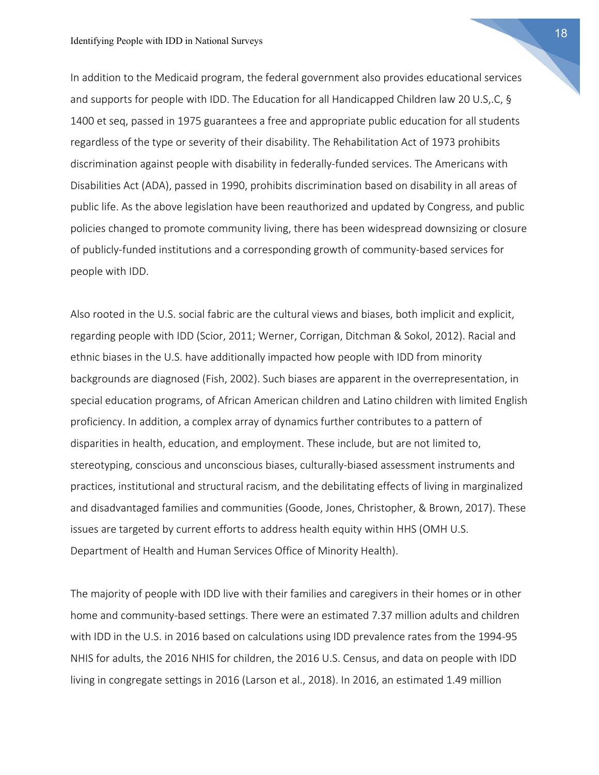In addition to the Medicaid program, the federal government also provides educational services and supports for people with IDD. The Education for all Handicapped Children law 20 U.S.C, § 1400 et seq, passed in 1975 guarantees a free and appropriate public education for all students regardless of the type or severity of their disability. The Rehabilitation Act of 1973 prohibits discrimination against people with disability in federally-funded services. The Americans with Disabilities Act (ADA), passed in 1990, prohibits discrimination based on disability in all areas of public life. As the above legislation have been reauthorized and updated by Congress, and public policies changed to promote community living, there has been widespread downsizing or closure of publicly-funded institutions and a corresponding growth of community-based services for people with IDD.

Also rooted in the U.S. social fabric are the cultural views and biases, both implicit and explicit, regarding people with IDD (Scior, 2011; Werner, Corrigan, Ditchman & Sokol, 2012). Racial and ethnic biases in the U.S. have additionally impacted how people with IDD from minority backgrounds are diagnosed (Fish, 2002). Such biases are apparent in the overrepresentation, in special education programs, of African American children and Latino children with limited English proficiency. In addition, a complex array of dynamics further contributes to a pattern of disparities in health, education, and employment. These include, but are not limited to, stereotyping, conscious and unconscious biases, culturally-biased assessment instruments and practices, institutional and structural racism, and the debilitating effects of living in marginalized and disadvantaged families and communities (Goode, Jones, Christopher, & Brown, 2017). These issues are targeted by current efforts to address health equity within HHS (OMH U.S. Department of Health and Human Services Office of Minority Health).

The majority of people with IDD live with their families and caregivers in their homes or in other home and community-based settings. There were an estimated 7.37 million adults and children with IDD in the U.S. in 2016 based on calculations using IDD prevalence rates from the 1994-95 NHIS for adults, the 2016 NHIS for children, the 2016 U.S. Census, and data on people with IDD living in congregate settings in 2016 (Larson et al., 2018). In 2016, an estimated 1.49 million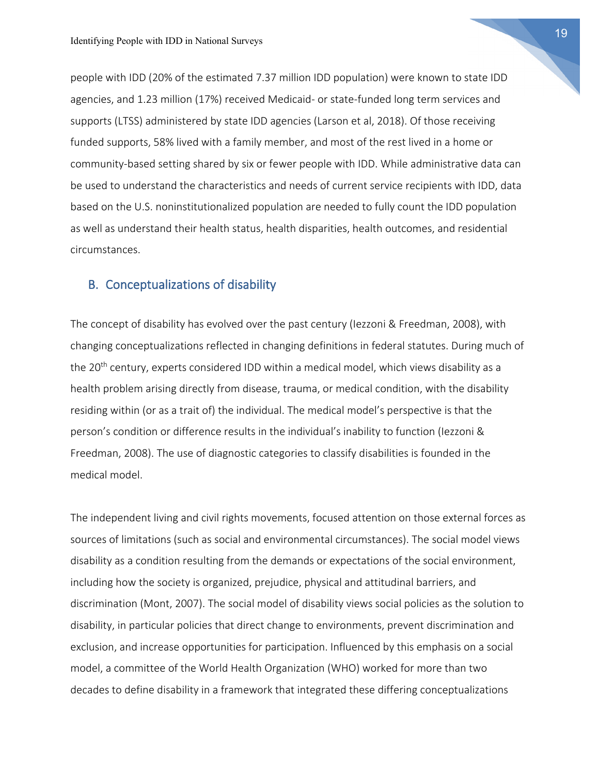people with IDD (20% of the estimated 7.37 million IDD population) were known to state IDD agencies, and 1.23 million (17%) received Medicaid- or state-funded long term services and supports (LTSS) administered by state IDD agencies (Larson et al, 2018). Of those receiving funded supports, 58% lived with a family member, and most of the rest lived in a home or community-based setting shared by six or fewer people with IDD. While administrative data can be used to understand the characteristics and needs of current service recipients with IDD, data based on the U.S. noninstitutionalized population are needed to fully count the IDD population as well as understand their health status, health disparities, health outcomes, and residential circumstances.

#### B. Conceptualizations of disability

The concept of disability has evolved over the past century (Iezzoni & Freedman, 2008), with changing conceptualizations reflected in changing definitions in federal statutes. During much of the 20<sup>th</sup> century, experts considered IDD within a medical model, which views disability as a health problem arising directly from disease, trauma, or medical condition, with the disability residing within (or as a trait of) the individual. The medical model's perspective is that the person's condition or difference results in the individual's inability to function (Iezzoni & Freedman, 2008). The use of diagnostic categories to classify disabilities is founded in the medical model.

The independent living and civil rights movements, focused attention on those external forces as sources of limitations (such as social and environmental circumstances). The social model views disability as a condition resulting from the demands or expectations of the social environment, including how the society is organized, prejudice, physical and attitudinal barriers, and discrimination (Mont, 2007). The social model of disability views social policies as the solution to disability, in particular policies that direct change to environments, prevent discrimination and exclusion, and increase opportunities for participation. Influenced by this emphasis on a social model, a committee of the World Health Organization (WHO) worked for more than two decades to define disability in a framework that integrated these differing conceptualizations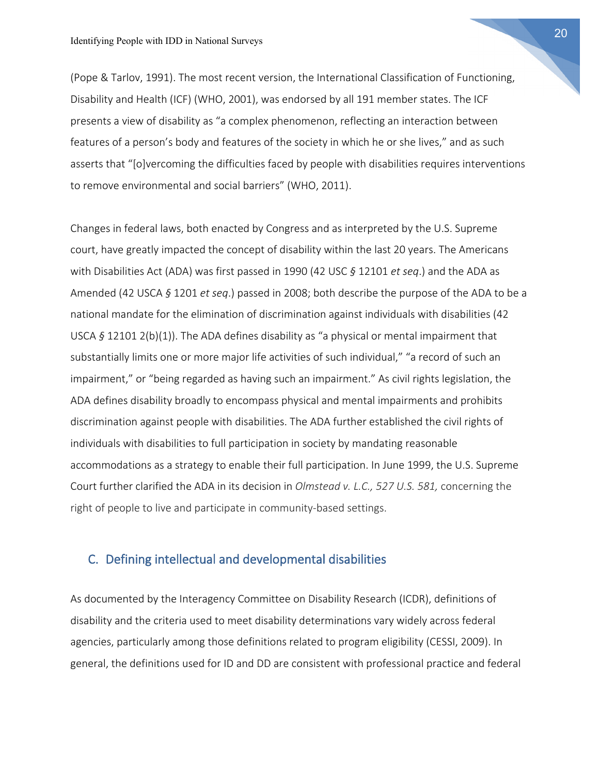(Pope & Tarlov, 1991). The most recent version, the International Classification of Functioning, Disability and Health (ICF) (WHO, 2001), was endorsed by all 191 member states. The ICF presents a view of disability as "a complex phenomenon, reflecting an interaction between features of a person's body and features of the society in which he or she lives," and as such asserts that "[o]vercoming the difficulties faced by people with disabilities requires interventions to remove environmental and social barriers" (WHO, 2011).

Changes in federal laws, both enacted by Congress and as interpreted by the U.S. Supreme court, have greatly impacted the concept of disability within the last 20 years. The Americans with Disabilities Act (ADA) was first passed in 1990 (42 USC *§* 12101 *et seq*.) and the ADA as Amended (42 USCA *§* 1201 *et seq*.) passed in 2008; both describe the purpose of the ADA to be a national mandate for the elimination of discrimination against individuals with disabilities (42 USCA *§* 12101 2(b)(1)). The ADA defines disability as "a physical or mental impairment that substantially limits one or more major life activities of such individual," "a record of such an impairment," or "being regarded as having such an impairment." As civil rights legislation, the ADA defines disability broadly to encompass physical and mental impairments and prohibits discrimination against people with disabilities. The ADA further established the civil rights of individuals with disabilities to full participation in society by mandating reasonable accommodations as a strategy to enable their full participation. In June 1999, the U.S. Supreme Court further clarified the ADA in its decision in *Olmstead v. L.C., 527 U.S. 581,* concerning the right of people to live and participate in community-based settings.

#### C. Defining intellectual and developmental disabilities

As documented by the Interagency Committee on Disability Research (ICDR), definitions of disability and the criteria used to meet disability determinations vary widely across federal agencies, particularly among those definitions related to program eligibility (CESSI, 2009). In general, the definitions used for ID and DD are consistent with professional practice and federal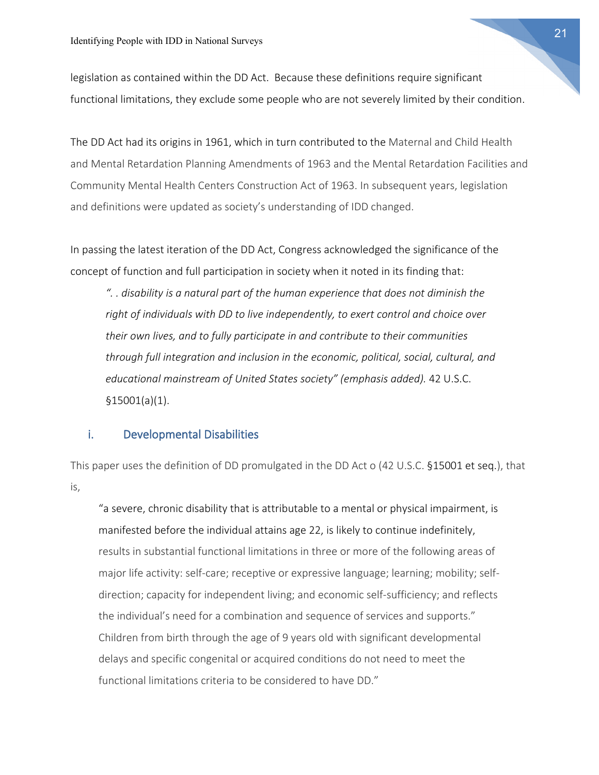legislation as contained within the DD Act. Because these definitions require significant functional limitations, they exclude some people who are not severely limited by their condition.

The DD Act had its origins in 1961, which in turn contributed to the Maternal and Child Health and Mental Retardation Planning Amendments of 1963 and the Mental Retardation Facilities and Community Mental Health Centers Construction Act of 1963. In subsequent years, legislation and definitions were updated as society's understanding of IDD changed.

In passing the latest iteration of the DD Act, Congress acknowledged the significance of the concept of function and full participation in society when it noted in its finding that:

*". . disability is a natural part of the human experience that does not diminish the right of individuals with DD to live independently, to exert control and choice over their own lives, and to fully participate in and contribute to their communities through full integration and inclusion in the economic, political, social, cultural, and educational mainstream of United States society" (emphasis added).* 42 U.S.C. §15001(a)(1).

#### i. Developmental Disabilities

This paper uses the definition of DD promulgated in the DD Act o (42 U.S.C. §15001 et seq.), that is,

"a severe, chronic disability that is attributable to a mental or physical impairment, is manifested before the individual attains age 22, is likely to continue indefinitely, results in substantial functional limitations in three or more of the following areas of major life activity: self-care; receptive or expressive language; learning; mobility; selfdirection; capacity for independent living; and economic self-sufficiency; and reflects the individual's need for a combination and sequence of services and supports." Children from birth through the age of 9 years old with significant developmental delays and specific congenital or acquired conditions do not need to meet the functional limitations criteria to be considered to have DD."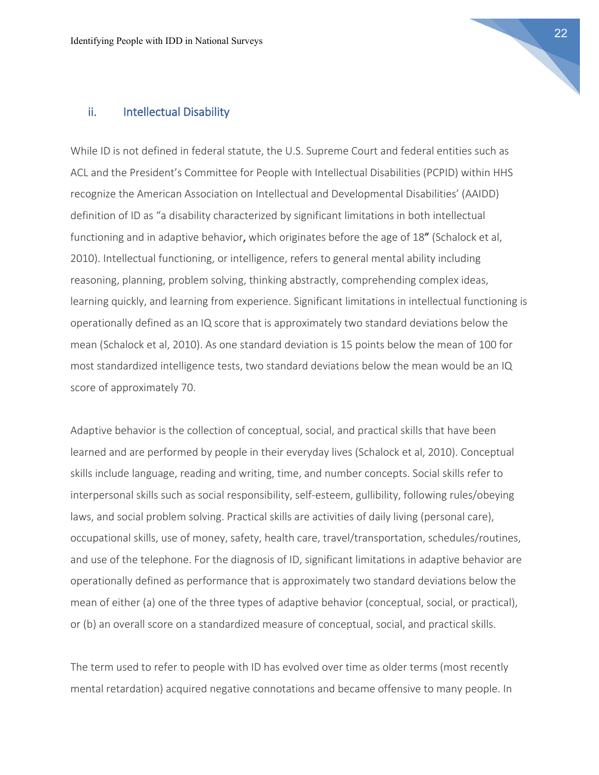

#### ii. Intellectual Disability

While ID is not defined in federal statute, the U.S. Supreme Court and federal entities such as ACL and the President's Committee for People with Intellectual Disabilities (PCPID) within HHS recognize the American Association on Intellectual and Developmental Disabilities' (AAIDD) definition of ID as "a disability characterized by significant limitations in both intellectual functioning and in adaptive behavior, which originates before the age of 18" (Schalock et al, 2010). Intellectual functioning, or intelligence, refers to general mental ability including reasoning, planning, problem solving, thinking abstractly, comprehending complex ideas, learning quickly, and learning from experience. Significant limitations in intellectual functioning is operationally defined as an IQ score that is approximately two standard deviations below the mean (Schalock et al, 2010). As one standard deviation is 15 points below the mean of 100 for most standardized intelligence tests, two standard deviations below the mean would be an IQ score of approximately 70.

Adaptive behavior is the collection of conceptual, social, and practical skills that have been learned and are performed by people in their everyday lives (Schalock et al, 2010). Conceptual skills include language, reading and writing, time, and number concepts. Social skills refer to interpersonal skills such as social responsibility, self-esteem, gullibility, following rules/obeying laws, and social problem solving. Practical skills are activities of daily living (personal care), occupational skills, use of money, safety, health care, travel/transportation, schedules/routines, and use of the telephone. For the diagnosis of ID, significant limitations in adaptive behavior are operationally defined as performance that is approximately two standard deviations below the mean of either (a) one of the three types of adaptive behavior (conceptual, social, or practical), or (b) an overall score on a standardized measure of conceptual, social, and practical skills.

The term used to refer to people with ID has evolved over time as older terms (most recently mental retardation) acquired negative connotations and became offensive to many people. In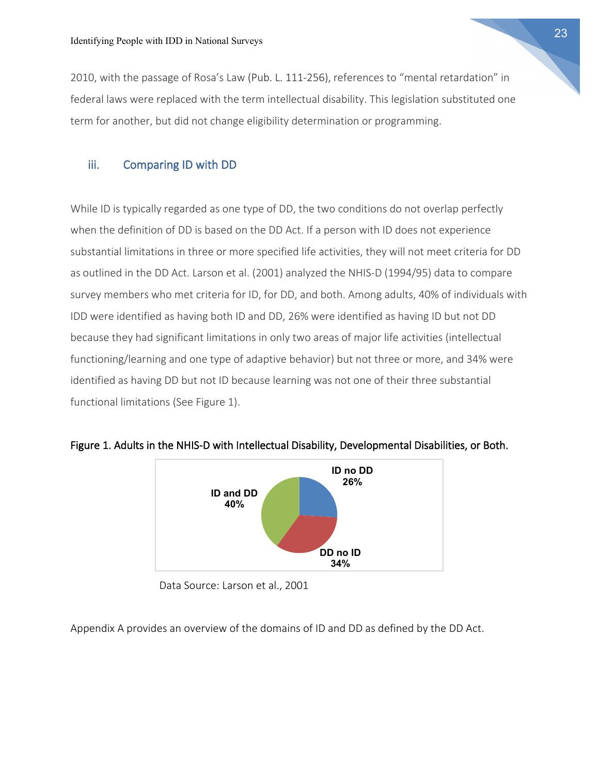2010, with the passage of Rosa's Law (Pub. L. 111-256), references to "mental retardation" in federal laws were replaced with the term intellectual disability. This legislation substituted one term for another, but did not change eligibility determination or programming.

## iii. Comparing ID with DD

While ID is typically regarded as one type of DD, the two conditions do not overlap perfectly when the definition of DD is based on the DD Act. If a person with ID does not experience substantial limitations in three or more specified life activities, they will not meet criteria for DD as outlined in the DD Act. Larson et al. (2001) analyzed the NHIS-D (1994/95) data to compare survey members who met criteria for ID, for DD, and both. Among adults, 40% of individuals with IDD were identified as having both ID and DD, 26% were identified as having ID but not DD because they had significant limitations in only two areas of major life activities (intellectual functioning/learning and one type of adaptive behavior) but not three or more, and 34% were identified as having DD but not ID because learning was not one of their three substantial functional limitations (See Figure 1).



Figure 1. Adults in the NHIS-D with Intellectual Disability, Developmental Disabilities, or Both.

Data Source: Larson et al., 2001

Appendix A provides an overview of the domains of ID and DD as defined by the DD Act.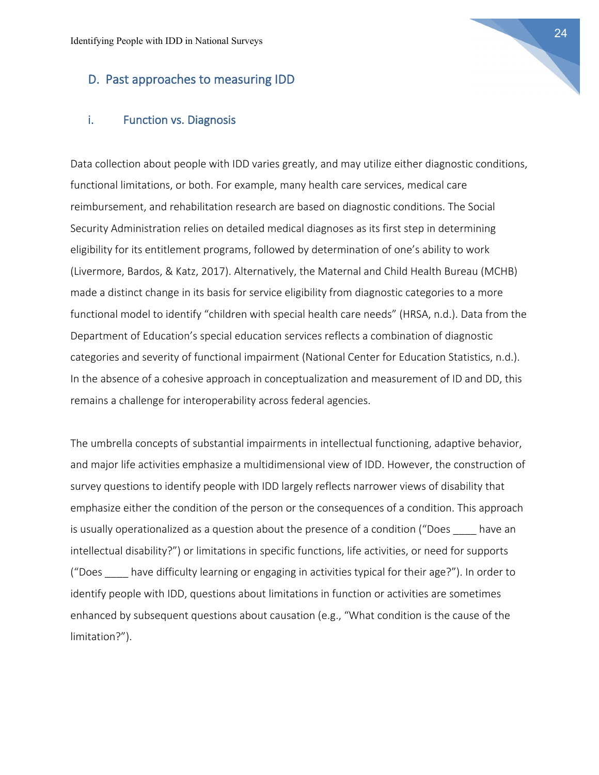## D. Past approaches to measuring IDD

#### i. Function vs. Diagnosis

Data collection about people with IDD varies greatly, and may utilize either diagnostic conditions, functional limitations, or both. For example, many health care services, medical care reimbursement, and rehabilitation research are based on diagnostic conditions. The Social Security Administration relies on detailed medical diagnoses as its first step in determining eligibility for its entitlement programs, followed by determination of one's ability to work (Livermore, Bardos, & Katz, 2017). Alternatively, the Maternal and Child Health Bureau (MCHB) made a distinct change in its basis for service eligibility from diagnostic categories to a more functional model to identify "children with special health care needs" (HRSA, n.d.). Data from the Department of Education's special education services reflects a combination of diagnostic categories and severity of functional impairment (National Center for Education Statistics, n.d.). In the absence of a cohesive approach in conceptualization and measurement of ID and DD, this remains a challenge for interoperability across federal agencies.

The umbrella concepts of substantial impairments in intellectual functioning, adaptive behavior, and major life activities emphasize a multidimensional view of IDD. However, the construction of survey questions to identify people with IDD largely reflects narrower views of disability that emphasize either the condition of the person or the consequences of a condition. This approach is usually operationalized as a question about the presence of a condition ("Does \_\_\_\_ have an intellectual disability?") or limitations in specific functions, life activities, or need for supports ("Does \_\_\_\_ have difficulty learning or engaging in activities typical for their age?"). In order to identify people with IDD, questions about limitations in function or activities are sometimes enhanced by subsequent questions about causation (e.g., "What condition is the cause of the limitation?").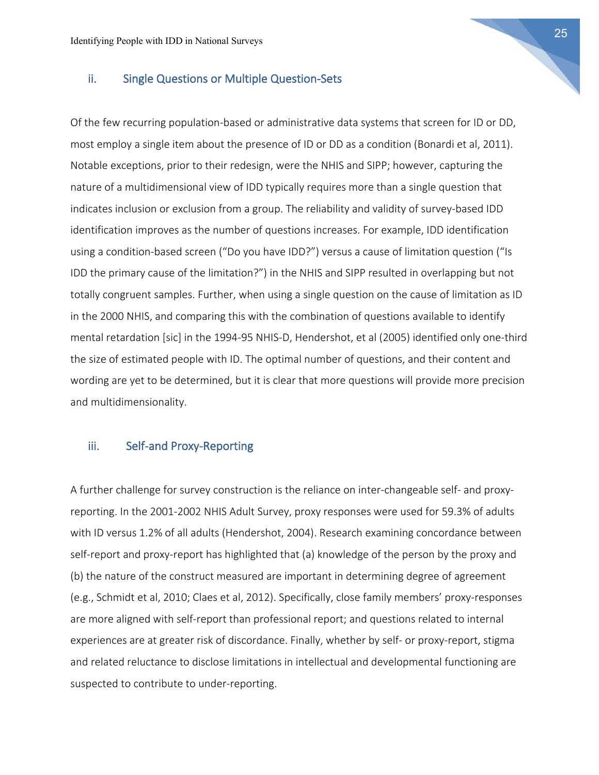#### ii. Single Questions or Multiple Question-Sets

Of the few recurring population-based or administrative data systems that screen for ID or DD, most employ a single item about the presence of ID or DD as a condition (Bonardi et al, 2011). Notable exceptions, prior to their redesign, were the NHIS and SIPP; however, capturing the nature of a multidimensional view of IDD typically requires more than a single question that indicates inclusion or exclusion from a group. The reliability and validity of survey-based IDD identification improves as the number of questions increases. For example, IDD identification using a condition-based screen ("Do you have IDD?") versus a cause of limitation question ("Is IDD the primary cause of the limitation?") in the NHIS and SIPP resulted in overlapping but not totally congruent samples. Further, when using a single question on the cause of limitation as ID in the 2000 NHIS, and comparing this with the combination of questions available to identify mental retardation [sic] in the 1994-95 NHIS-D, Hendershot, et al (2005) identified only one-third the size of estimated people with ID. The optimal number of questions, and their content and wording are yet to be determined, but it is clear that more questions will provide more precision and multidimensionality.

#### iii. Self-and Proxy-Reporting

A further challenge for survey construction is the reliance on inter-changeable self- and proxyreporting. In the 2001-2002 NHIS Adult Survey, proxy responses were used for 59.3% of adults with ID versus 1.2% of all adults (Hendershot, 2004). Research examining concordance between self-report and proxy-report has highlighted that (a) knowledge of the person by the proxy and (b) the nature of the construct measured are important in determining degree of agreement (e.g., Schmidt et al, 2010; Claes et al, 2012). Specifically, close family members' proxy-responses are more aligned with self-report than professional report; and questions related to internal experiences are at greater risk of discordance. Finally, whether by self- or proxy-report, stigma and related reluctance to disclose limitations in intellectual and developmental functioning are suspected to contribute to under-reporting.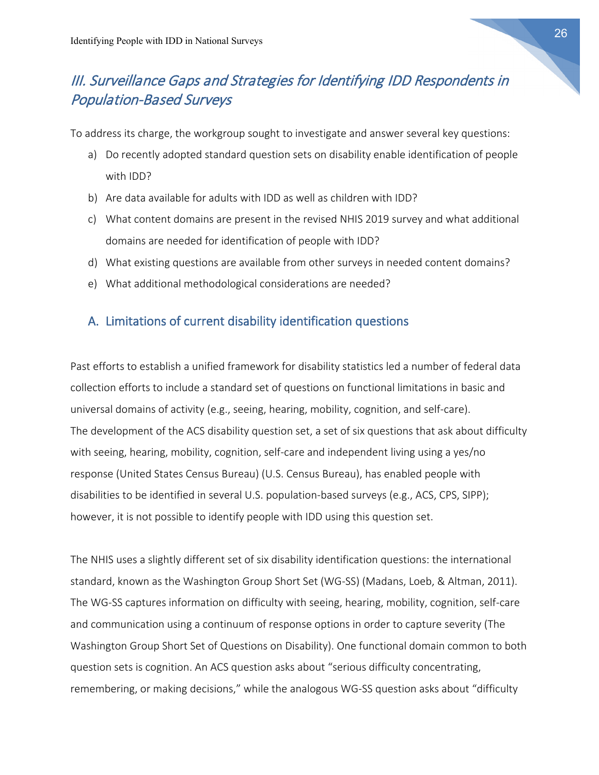# III. Surveillance Gaps and Strategies for Identifying IDD Respondents in Population-Based Surveys

To address its charge, the workgroup sought to investigate and answer several key questions:

- a) Do recently adopted standard question sets on disability enable identification of people with IDD?
- b) Are data available for adults with IDD as well as children with IDD?
- c) What content domains are present in the revised NHIS 2019 survey and what additional domains are needed for identification of people with IDD?
- d) What existing questions are available from other surveys in needed content domains?
- e) What additional methodological considerations are needed?

## A. Limitations of current disability identification questions

Past efforts to establish a unified framework for disability statistics led a number of federal data collection efforts to include a standard set of questions on functional limitations in basic and universal domains of activity (e.g., seeing, hearing, mobility, cognition, and self-care). The development of the ACS disability question set, a set of six questions that ask about difficulty with seeing, hearing, mobility, cognition, self-care and independent living using a yes/no response (United States Census Bureau) (U.S. Census Bureau), has enabled people with disabilities to be identified in several U.S. population-based surveys (e.g., ACS, CPS, SIPP); however, it is not possible to identify people with IDD using this question set.

The NHIS uses a slightly different set of six disability identification questions: the international standard, known as the Washington Group Short Set (WG-SS) (Madans, Loeb, & Altman, 2011). The WG-SS captures information on difficulty with seeing, hearing, mobility, cognition, self-care and communication using a continuum of response options in order to capture severity (The Washington Group Short Set of Questions on Disability). One functional domain common to both question sets is cognition. An ACS question asks about "serious difficulty concentrating, remembering, or making decisions," while the analogous WG-SS question asks about "difficulty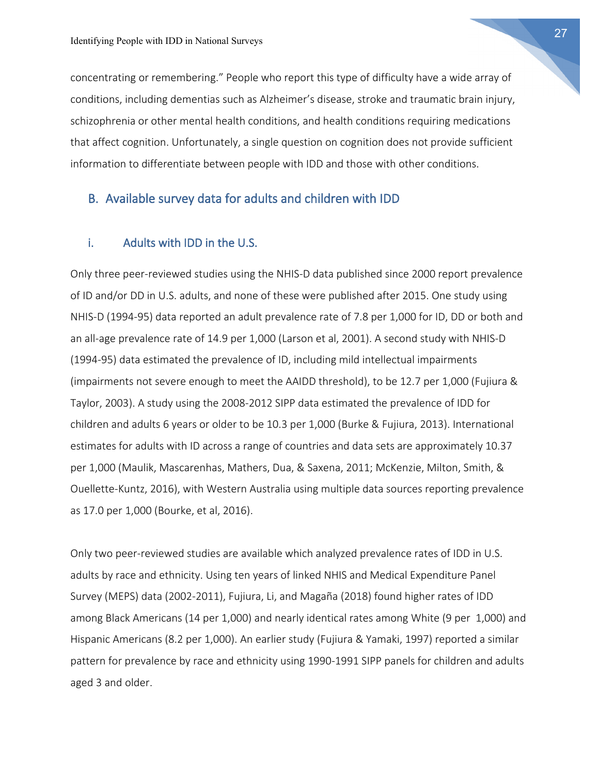concentrating or remembering." People who report this type of difficulty have a wide array of conditions, including dementias such as Alzheimer's disease, stroke and traumatic brain injury, schizophrenia or other mental health conditions, and health conditions requiring medications that affect cognition. Unfortunately, a single question on cognition does not provide sufficient information to differentiate between people with IDD and those with other conditions.

#### B. Available survey data for adults and children with IDD

#### i. Adults with IDD in the U.S.

Only three peer-reviewed studies using the NHIS-D data published since 2000 report prevalence of ID and/or DD in U.S. adults, and none of these were published after 2015. One study using NHIS-D (1994-95) data reported an adult prevalence rate of 7.8 per 1,000 for ID, DD or both and an all-age prevalence rate of 14.9 per 1,000 (Larson et al, 2001). A second study with NHIS-D (1994-95) data estimated the prevalence of ID, including mild intellectual impairments (impairments not severe enough to meet the AAIDD threshold), to be 12.7 per 1,000 (Fujiura & Taylor, 2003). A study using the 2008-2012 SIPP data estimated the prevalence of IDD for children and adults 6 years or older to be 10.3 per 1,000 (Burke & Fujiura, 2013). International estimates for adults with ID across a range of countries and data sets are approximately 10.37 per 1,000 (Maulik, Mascarenhas, Mathers, Dua, & Saxena, 2011; McKenzie, Milton, Smith, & Ouellette-Kuntz, 2016), with Western Australia using multiple data sources reporting prevalence as 17.0 per 1,000 (Bourke, et al, 2016).

Only two peer-reviewed studies are available which analyzed prevalence rates of IDD in U.S. adults by race and ethnicity. Using ten years of linked NHIS and Medical Expenditure Panel Survey (MEPS) data (2002-2011), Fujiura, Li, and Magaña (2018) found higher rates of IDD among Black Americans (14 per 1,000) and nearly identical rates among White (9 per 1,000) and Hispanic Americans (8.2 per 1,000). An earlier study (Fujiura & Yamaki, 1997) reported a similar pattern for prevalence by race and ethnicity using 1990-1991 SIPP panels for children and adults aged 3 and older.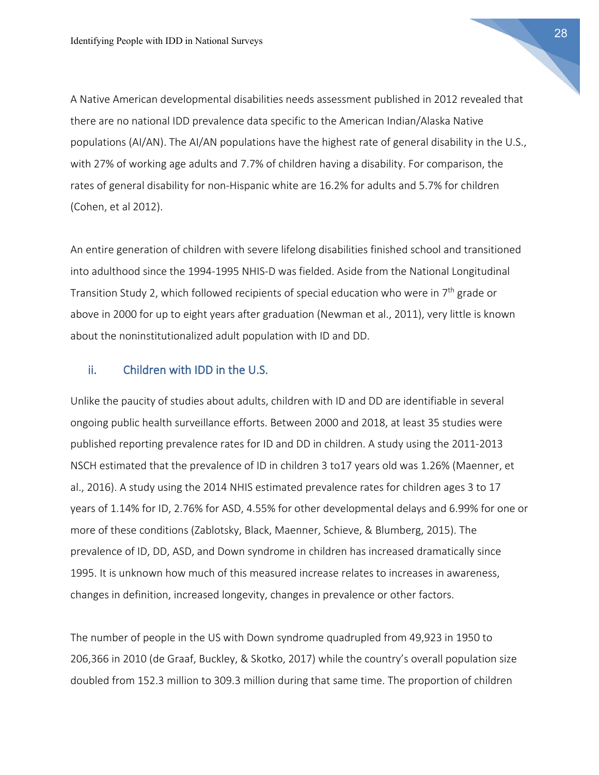A Native American developmental disabilities needs assessment published in 2012 revealed that there are no national IDD prevalence data specific to the American Indian/Alaska Native populations (AI/AN). The AI/AN populations have the highest rate of general disability in the U.S., with 27% of working age adults and 7.7% of children having a disability. For comparison, the rates of general disability for non-Hispanic white are 16.2% for adults and 5.7% for children (Cohen, et al 2012).

An entire generation of children with severe lifelong disabilities finished school and transitioned into adulthood since the 1994-1995 NHIS-D was fielded. Aside from the National Longitudinal Transition Study 2, which followed recipients of special education who were in 7<sup>th</sup> grade or above in 2000 for up to eight years after graduation (Newman et al., 2011), very little is known about the noninstitutionalized adult population with ID and DD.

#### ii. Children with IDD in the U.S.

Unlike the paucity of studies about adults, children with ID and DD are identifiable in several ongoing public health surveillance efforts. Between 2000 and 2018, at least 35 studies were published reporting prevalence rates for ID and DD in children. A study using the 2011-2013 NSCH estimated that the prevalence of ID in children 3 to17 years old was 1.26% (Maenner, et al., 2016). A study using the 2014 NHIS estimated prevalence rates for children ages 3 to 17 years of 1.14% for ID, 2.76% for ASD, 4.55% for other developmental delays and 6.99% for one or more of these conditions (Zablotsky, Black, Maenner, Schieve, & Blumberg, 2015). The prevalence of ID, DD, ASD, and Down syndrome in children has increased dramatically since 1995. It is unknown how much of this measured increase relates to increases in awareness, changes in definition, increased longevity, changes in prevalence or other factors.

The number of people in the US with Down syndrome quadrupled from 49,923 in 1950 to 206,366 in 2010 (de Graaf, Buckley, & Skotko, 2017) while the country's overall population size doubled from 152.3 million to 309.3 million during that same time. The proportion of children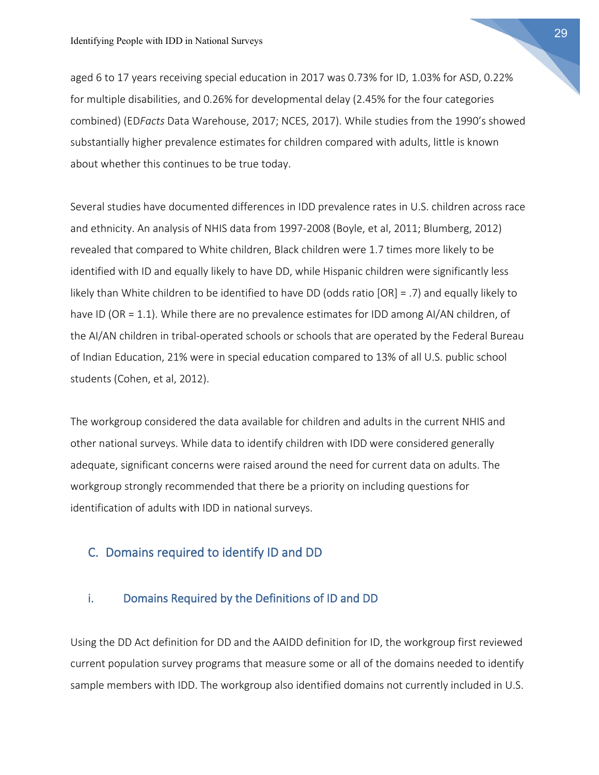aged 6 to 17 years receiving special education in 2017 was 0.73% for ID, 1.03% for ASD, 0.22% for multiple disabilities, and 0.26% for developmental delay (2.45% for the four categories combined) (ED*Facts* Data Warehouse, 2017; NCES, 2017). While studies from the 1990's showed substantially higher prevalence estimates for children compared with adults, little is known about whether this continues to be true today.

Several studies have documented differences in IDD prevalence rates in U.S. children across race and ethnicity. An analysis of NHIS data from 1997-2008 (Boyle, et al, 2011; Blumberg, 2012) revealed that compared to White children, Black children were 1.7 times more likely to be identified with ID and equally likely to have DD, while Hispanic children were significantly less likely than White children to be identified to have DD (odds ratio [OR] = .7) and equally likely to have ID (OR = 1.1). While there are no prevalence estimates for IDD among AI/AN children, of the AI/AN children in tribal-operated schools or schools that are operated by the Federal Bureau of Indian Education, 21% were in special education compared to 13% of all U.S. public school students (Cohen, et al, 2012).

The workgroup considered the data available for children and adults in the current NHIS and other national surveys. While data to identify children with IDD were considered generally adequate, significant concerns were raised around the need for current data on adults. The workgroup strongly recommended that there be a priority on including questions for identification of adults with IDD in national surveys.

## C. Domains required to identify ID and DD

#### i. Domains Required by the Definitions of ID and DD

Using the DD Act definition for DD and the AAIDD definition for ID, the workgroup first reviewed current population survey programs that measure some or all of the domains needed to identify sample members with IDD. The workgroup also identified domains not currently included in U.S.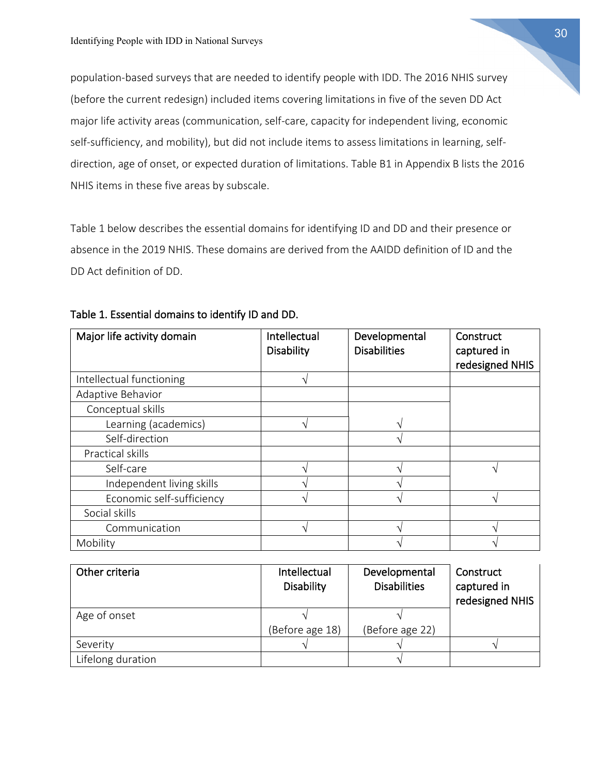population-based surveys that are needed to identify people with IDD. The 2016 NHIS survey (before the current redesign) included items covering limitations in five of the seven DD Act major life activity areas (communication, self-care, capacity for independent living, economic self-sufficiency, and mobility), but did not include items to assess limitations in learning, selfdirection, age of onset, or expected duration of limitations. Table B1 in Appendix B lists the 2016 NHIS items in these five areas by subscale.

Table 1 below describes the essential domains for identifying ID and DD and their presence or absence in the 2019 NHIS. These domains are derived from the AAIDD definition of ID and the DD Act definition of DD.

| Major life activity domain | Intellectual<br><b>Disability</b> | Developmental<br><b>Disabilities</b> | Construct<br>captured in<br>redesigned NHIS |
|----------------------------|-----------------------------------|--------------------------------------|---------------------------------------------|
| Intellectual functioning   |                                   |                                      |                                             |
| Adaptive Behavior          |                                   |                                      |                                             |
| Conceptual skills          |                                   |                                      |                                             |
| Learning (academics)       |                                   |                                      |                                             |
| Self-direction             |                                   |                                      |                                             |
| Practical skills           |                                   |                                      |                                             |
| Self-care                  |                                   |                                      |                                             |
| Independent living skills  |                                   |                                      |                                             |
| Economic self-sufficiency  |                                   |                                      |                                             |
| Social skills              |                                   |                                      |                                             |
| Communication              |                                   |                                      |                                             |
| Mobility                   |                                   |                                      |                                             |

#### Table 1. Essential domains to identify ID and DD.

| Other criteria    | Intellectual<br><b>Disability</b> | Developmental<br><b>Disabilities</b> | Construct<br>captured in<br>redesigned NHIS |
|-------------------|-----------------------------------|--------------------------------------|---------------------------------------------|
| Age of onset      |                                   |                                      |                                             |
|                   | (Before age 18)                   | (Before age 22)                      |                                             |
| Severity          |                                   |                                      | $\mathcal{N}$                               |
| Lifelong duration |                                   |                                      |                                             |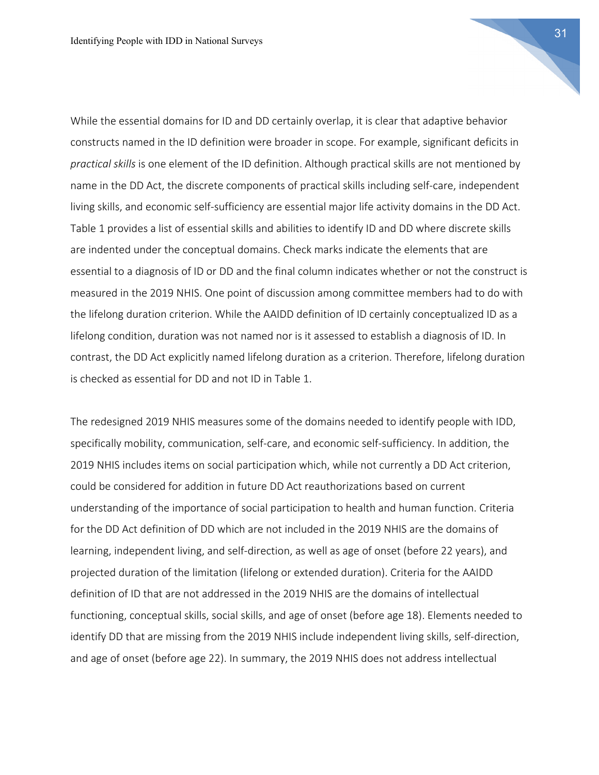While the essential domains for ID and DD certainly overlap, it is clear that adaptive behavior constructs named in the ID definition were broader in scope. For example, significant deficits in *practical skills* is one element of the ID definition. Although practical skills are not mentioned by name in the DD Act, the discrete components of practical skills including self-care, independent living skills, and economic self-sufficiency are essential major life activity domains in the DD Act. Table 1 provides a list of essential skills and abilities to identify ID and DD where discrete skills are indented under the conceptual domains. Check marks indicate the elements that are essential to a diagnosis of ID or DD and the final column indicates whether or not the construct is measured in the 2019 NHIS. One point of discussion among committee members had to do with the lifelong duration criterion. While the AAIDD definition of ID certainly conceptualized ID as a lifelong condition, duration was not named nor is it assessed to establish a diagnosis of ID. In contrast, the DD Act explicitly named lifelong duration as a criterion. Therefore, lifelong duration is checked as essential for DD and not ID in Table 1.

The redesigned 2019 NHIS measures some of the domains needed to identify people with IDD, specifically mobility, communication, self-care, and economic self-sufficiency. In addition, the 2019 NHIS includes items on social participation which, while not currently a DD Act criterion, could be considered for addition in future DD Act reauthorizations based on current understanding of the importance of social participation to health and human function. Criteria for the DD Act definition of DD which are not included in the 2019 NHIS are the domains of learning, independent living, and self-direction, as well as age of onset (before 22 years), and projected duration of the limitation (lifelong or extended duration). Criteria for the AAIDD definition of ID that are not addressed in the 2019 NHIS are the domains of intellectual functioning, conceptual skills, social skills, and age of onset (before age 18). Elements needed to identify DD that are missing from the 2019 NHIS include independent living skills, self-direction, and age of onset (before age 22). In summary, the 2019 NHIS does not address intellectual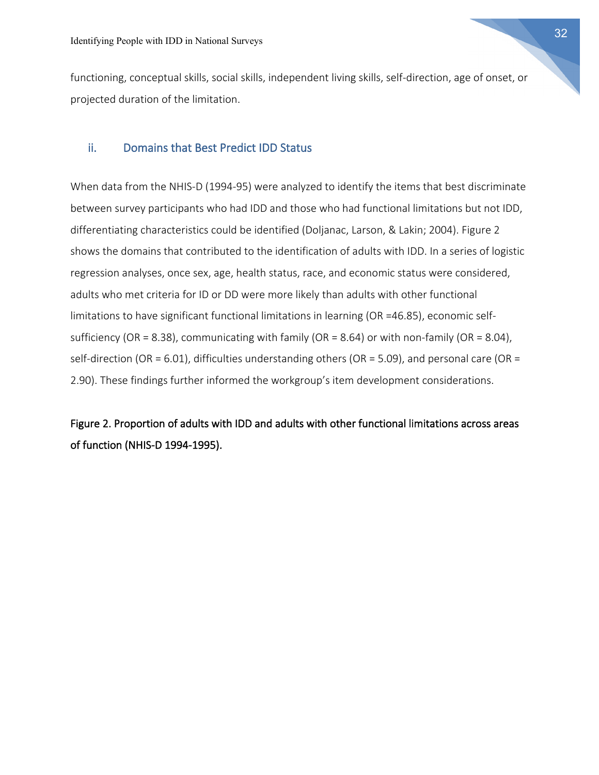functioning, conceptual skills, social skills, independent living skills, self-direction, age of onset, or projected duration of the limitation.

#### ii. Domains that Best Predict IDD Status

When data from the NHIS-D (1994-95) were analyzed to identify the items that best discriminate between survey participants who had IDD and those who had functional limitations but not IDD, differentiating characteristics could be identified (Doljanac, Larson, & Lakin; 2004). Figure 2 shows the domains that contributed to the identification of adults with IDD. In a series of logistic regression analyses, once sex, age, health status, race, and economic status were considered, adults who met criteria for ID or DD were more likely than adults with other functional limitations to have significant functional limitations in learning (OR =46.85), economic selfsufficiency (OR = 8.38), communicating with family (OR = 8.64) or with non-family (OR = 8.04), self-direction (OR = 6.01), difficulties understanding others (OR = 5.09), and personal care (OR = 2.90). These findings further informed the workgroup's item development considerations.

Figure 2. Proportion of adults with IDD and adults with other functional limitations across areas of function (NHIS-D 1994-1995).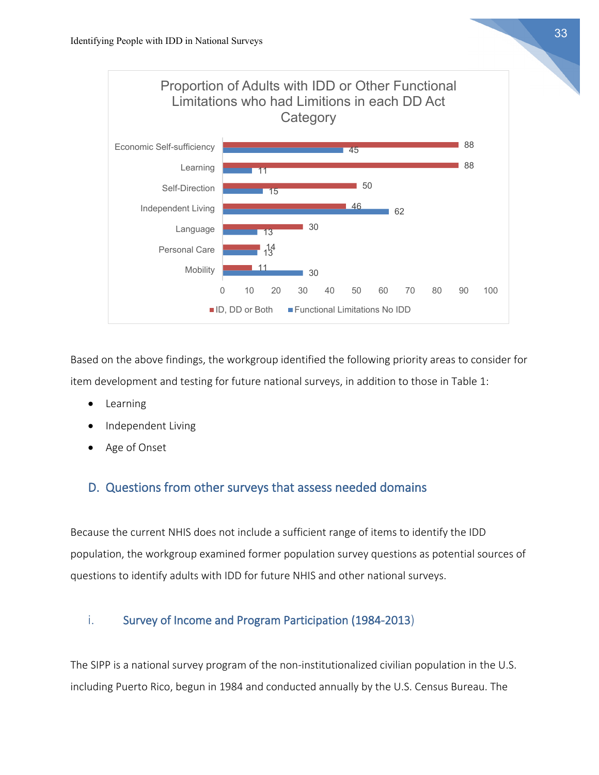

Based on the above findings, the workgroup identified the following priority areas to consider for item development and testing for future national surveys, in addition to those in Table 1:

- Learning
- Independent Living
- Age of Onset

## D. Questions from other surveys that assess needed domains

Because the current NHIS does not include a sufficient range of items to identify the IDD population, the workgroup examined former population survey questions as potential sources of questions to identify adults with IDD for future NHIS and other national surveys.

## i. Survey of Income and Program Participation (1984-2013)

The SIPP is a national survey program of the non-institutionalized civilian population in the U.S. including Puerto Rico, begun in 1984 and conducted annually by the U.S. Census Bureau. The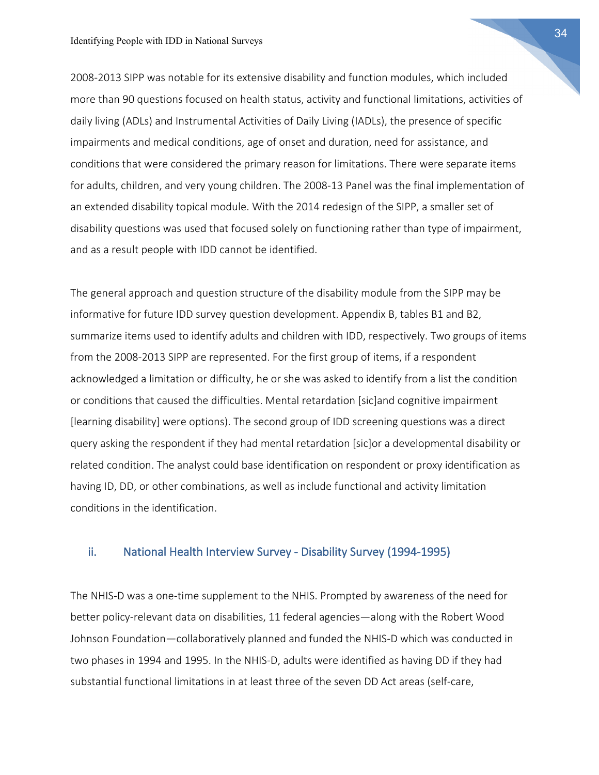2008-2013 SIPP was notable for its extensive disability and function modules, which included more than 90 questions focused on health status, activity and functional limitations, activities of daily living (ADLs) and Instrumental Activities of Daily Living (IADLs), the presence of specific impairments and medical conditions, age of onset and duration, need for assistance, and conditions that were considered the primary reason for limitations. There were separate items for adults, children, and very young children. The 2008-13 Panel was the final implementation of an extended disability topical module. With the 2014 redesign of the SIPP, a smaller set of disability questions was used that focused solely on functioning rather than type of impairment, and as a result people with IDD cannot be identified.

The general approach and question structure of the disability module from the SIPP may be informative for future IDD survey question development. Appendix B, tables B1 and B2, summarize items used to identify adults and children with IDD, respectively. Two groups of items from the 2008-2013 SIPP are represented. For the first group of items, if a respondent acknowledged a limitation or difficulty, he or she was asked to identify from a list the condition or conditions that caused the difficulties. Mental retardation [sic]and cognitive impairment [learning disability] were options). The second group of IDD screening questions was a direct query asking the respondent if they had mental retardation [sic]or a developmental disability or related condition. The analyst could base identification on respondent or proxy identification as having ID, DD, or other combinations, as well as include functional and activity limitation conditions in the identification.

#### ii. National Health Interview Survey - Disability Survey (1994-1995)

The NHIS-D was a one-time supplement to the NHIS. Prompted by awareness of the need for better policy-relevant data on disabilities, 11 federal agencies—along with the Robert Wood Johnson Foundation—collaboratively planned and funded the NHIS-D which was conducted in two phases in 1994 and 1995. In the NHIS-D, adults were identified as having DD if they had substantial functional limitations in at least three of the seven DD Act areas (self-care,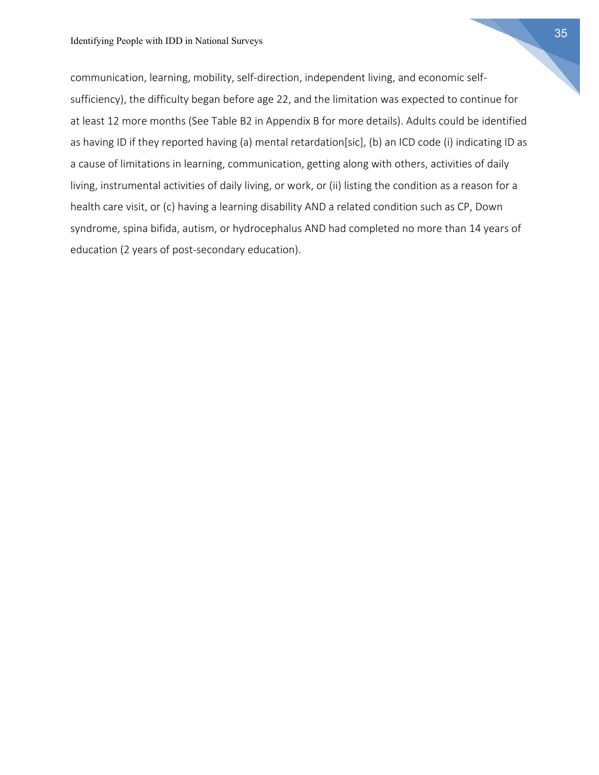communication, learning, mobility, self-direction, independent living, and economic selfsufficiency), the difficulty began before age 22, and the limitation was expected to continue for at least 12 more months (See Table B2 in Appendix B for more details). Adults could be identified as having ID if they reported having (a) mental retardation[sic], (b) an ICD code (i) indicating ID as a cause of limitations in learning, communication, getting along with others, activities of daily living, instrumental activities of daily living, or work, or (ii) listing the condition as a reason for a health care visit, or (c) having a learning disability AND a related condition such as CP, Down syndrome, spina bifida, autism, or hydrocephalus AND had completed no more than 14 years of education (2 years of post-secondary education).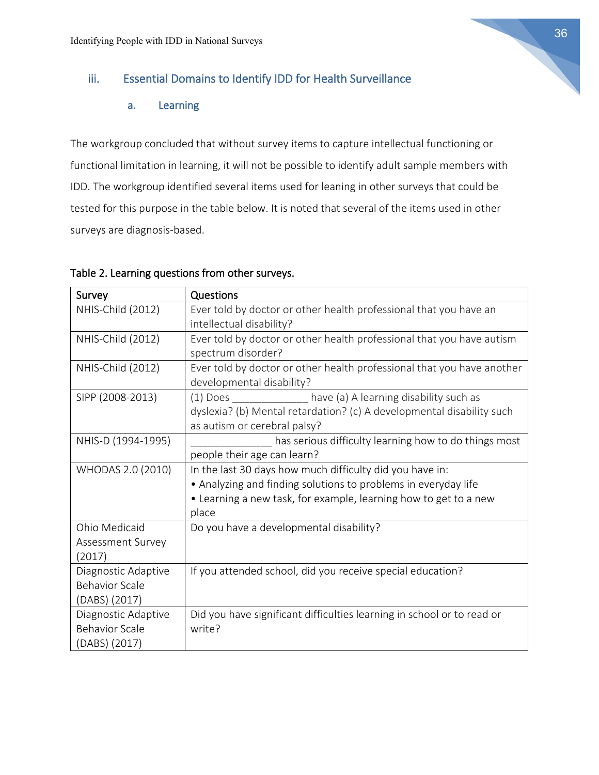#### iii. Essential Domains to Identify IDD for Health Surveillance

#### a. Learning

The workgroup concluded that without survey items to capture intellectual functioning or functional limitation in learning, it will not be possible to identify adult sample members with IDD. The workgroup identified several items used for leaning in other surveys that could be tested for this purpose in the table below. It is noted that several of the items used in other surveys are diagnosis-based.

| Survey                   | Questions                                                              |  |  |
|--------------------------|------------------------------------------------------------------------|--|--|
| NHIS-Child (2012)        | Ever told by doctor or other health professional that you have an      |  |  |
|                          | intellectual disability?                                               |  |  |
| NHIS-Child (2012)        | Ever told by doctor or other health professional that you have autism  |  |  |
|                          | spectrum disorder?                                                     |  |  |
| <b>NHIS-Child (2012)</b> | Ever told by doctor or other health professional that you have another |  |  |
|                          | developmental disability?                                              |  |  |
| SIPP (2008-2013)         | have (a) A learning disability such as<br>$(1)$ Does                   |  |  |
|                          | dyslexia? (b) Mental retardation? (c) A developmental disability such  |  |  |
|                          | as autism or cerebral palsy?                                           |  |  |
| NHIS-D (1994-1995)       | has serious difficulty learning how to do things most                  |  |  |
|                          | people their age can learn?                                            |  |  |
| WHODAS 2.0 (2010)        | In the last 30 days how much difficulty did you have in:               |  |  |
|                          | • Analyzing and finding solutions to problems in everyday life         |  |  |
|                          | • Learning a new task, for example, learning how to get to a new       |  |  |
|                          | place                                                                  |  |  |
| Ohio Medicaid            | Do you have a developmental disability?                                |  |  |
| Assessment Survey        |                                                                        |  |  |
| (2017)                   |                                                                        |  |  |
| Diagnostic Adaptive      | If you attended school, did you receive special education?             |  |  |
| <b>Behavior Scale</b>    |                                                                        |  |  |
| (DABS) (2017)            |                                                                        |  |  |
| Diagnostic Adaptive      | Did you have significant difficulties learning in school or to read or |  |  |
| <b>Behavior Scale</b>    | write?                                                                 |  |  |
| (DABS) (2017)            |                                                                        |  |  |

#### Table 2. Learning questions from other surveys.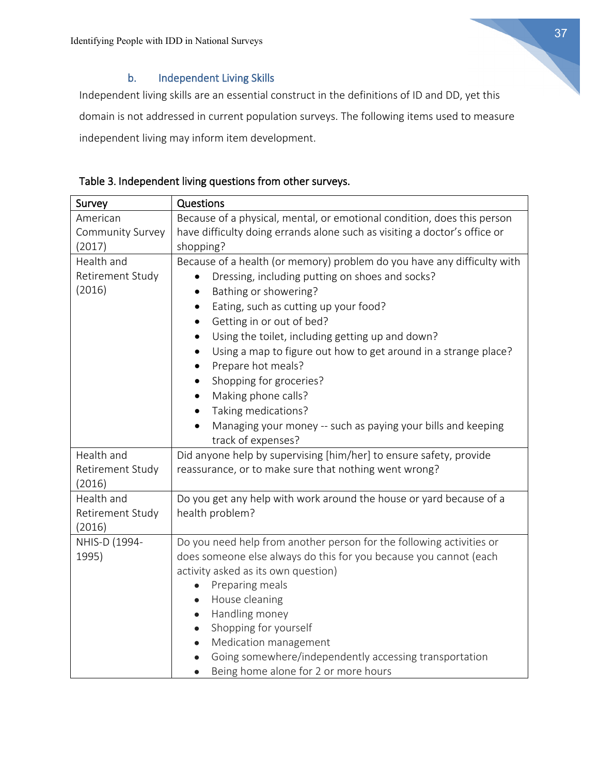

## b. Independent Living Skills

Independent living skills are an essential construct in the definitions of ID and DD, yet this domain is not addressed in current population surveys. The following items used to measure independent living may inform item development.

| Survey                                   | Questions                                                                                                                                                                                                                                                                                                                                                                                                                                                                                                                                       |  |  |
|------------------------------------------|-------------------------------------------------------------------------------------------------------------------------------------------------------------------------------------------------------------------------------------------------------------------------------------------------------------------------------------------------------------------------------------------------------------------------------------------------------------------------------------------------------------------------------------------------|--|--|
| American                                 | Because of a physical, mental, or emotional condition, does this person                                                                                                                                                                                                                                                                                                                                                                                                                                                                         |  |  |
| Community Survey                         | have difficulty doing errands alone such as visiting a doctor's office or                                                                                                                                                                                                                                                                                                                                                                                                                                                                       |  |  |
| (2017)                                   | shopping?                                                                                                                                                                                                                                                                                                                                                                                                                                                                                                                                       |  |  |
| Health and<br>Retirement Study<br>(2016) | Because of a health (or memory) problem do you have any difficulty with<br>Dressing, including putting on shoes and socks?<br>Bathing or showering?<br>Eating, such as cutting up your food?<br>Getting in or out of bed?<br>Using the toilet, including getting up and down?<br>٠<br>Using a map to figure out how to get around in a strange place?<br>٠<br>Prepare hot meals?<br>Shopping for groceries?<br>Making phone calls?<br>Taking medications?<br>Managing your money -- such as paying your bills and keeping<br>track of expenses? |  |  |
| Health and<br>Retirement Study<br>(2016) | Did anyone help by supervising [him/her] to ensure safety, provide<br>reassurance, or to make sure that nothing went wrong?                                                                                                                                                                                                                                                                                                                                                                                                                     |  |  |
| Health and<br>Retirement Study<br>(2016) | Do you get any help with work around the house or yard because of a<br>health problem?                                                                                                                                                                                                                                                                                                                                                                                                                                                          |  |  |
| NHIS-D (1994-<br>1995)                   | Do you need help from another person for the following activities or<br>does someone else always do this for you because you cannot (each<br>activity asked as its own question)<br>Preparing meals<br>House cleaning<br>Handling money<br>Shopping for yourself<br>Medication management<br>Going somewhere/independently accessing transportation<br>Being home alone for 2 or more hours                                                                                                                                                     |  |  |

## Table 3. Independent living questions from other surveys.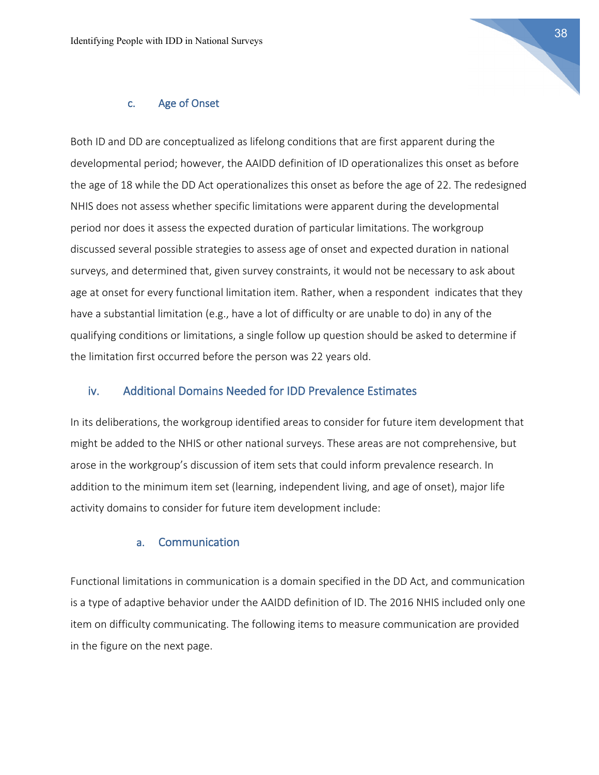#### c. Age of Onset

Both ID and DD are conceptualized as lifelong conditions that are first apparent during the developmental period; however, the AAIDD definition of ID operationalizes this onset as before the age of 18 while the DD Act operationalizes this onset as before the age of 22. The redesigned NHIS does not assess whether specific limitations were apparent during the developmental period nor does it assess the expected duration of particular limitations. The workgroup discussed several possible strategies to assess age of onset and expected duration in national surveys, and determined that, given survey constraints, it would not be necessary to ask about age at onset for every functional limitation item. Rather, when a respondent indicates that they have a substantial limitation (e.g., have a lot of difficulty or are unable to do) in any of the qualifying conditions or limitations, a single follow up question should be asked to determine if the limitation first occurred before the person was 22 years old.

#### iv. Additional Domains Needed for IDD Prevalence Estimates

In its deliberations, the workgroup identified areas to consider for future item development that might be added to the NHIS or other national surveys. These areas are not comprehensive, but arose in the workgroup's discussion of item sets that could inform prevalence research. In addition to the minimum item set (learning, independent living, and age of onset), major life activity domains to consider for future item development include:

#### a. Communication

Functional limitations in communication is a domain specified in the DD Act, and communication is a type of adaptive behavior under the AAIDD definition of ID. The 2016 NHIS included only one item on difficulty communicating. The following items to measure communication are provided in the figure on the next page.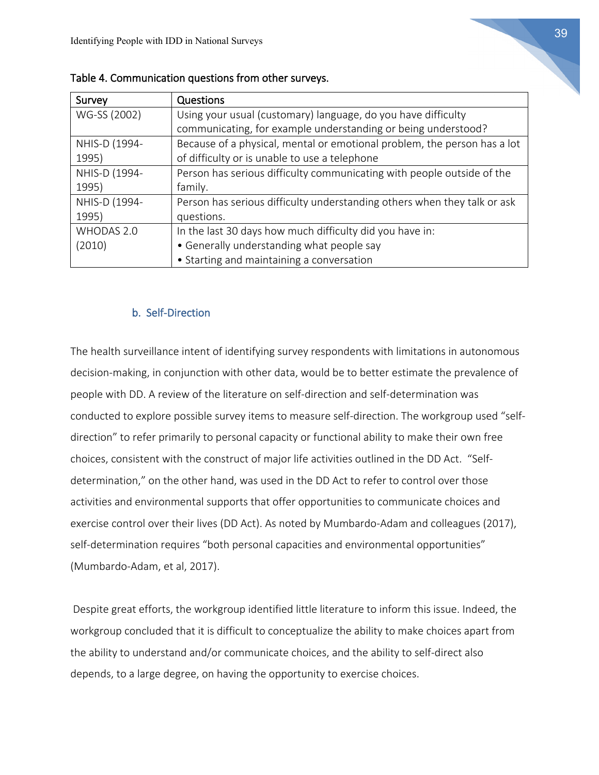| Survey        | Questions                                                                |  |
|---------------|--------------------------------------------------------------------------|--|
| WG-SS (2002)  | Using your usual (customary) language, do you have difficulty            |  |
|               | communicating, for example understanding or being understood?            |  |
| NHIS-D (1994- | Because of a physical, mental or emotional problem, the person has a lot |  |
| 1995)         | of difficulty or is unable to use a telephone                            |  |
| NHIS-D (1994- | Person has serious difficulty communicating with people outside of the   |  |
| 1995)         | family.                                                                  |  |
| NHIS-D (1994- | Person has serious difficulty understanding others when they talk or ask |  |
| 1995)         | questions.                                                               |  |
| WHODAS 2.0    | In the last 30 days how much difficulty did you have in:                 |  |
| (2010)        | • Generally understanding what people say                                |  |
|               | • Starting and maintaining a conversation                                |  |

Table 4. Communication questions from other surveys.

#### b. Self-Direction

The health surveillance intent of identifying survey respondents with limitations in autonomous decision-making, in conjunction with other data, would be to better estimate the prevalence of people with DD. A review of the literature on self-direction and self-determination was conducted to explore possible survey items to measure self-direction. The workgroup used "selfdirection" to refer primarily to personal capacity or functional ability to make their own free choices, consistent with the construct of major life activities outlined in the DD Act. "Selfdetermination," on the other hand, was used in the DD Act to refer to control over those activities and environmental supports that offer opportunities to communicate choices and exercise control over their lives (DD Act). As noted by Mumbardo-Adam and colleagues (2017), self-determination requires "both personal capacities and environmental opportunities" (Mumbardo-Adam, et al, 2017).

Despite great efforts, the workgroup identified little literature to inform this issue. Indeed, the workgroup concluded that it is difficult to conceptualize the ability to make choices apart from the ability to understand and/or communicate choices, and the ability to self-direct also depends, to a large degree, on having the opportunity to exercise choices.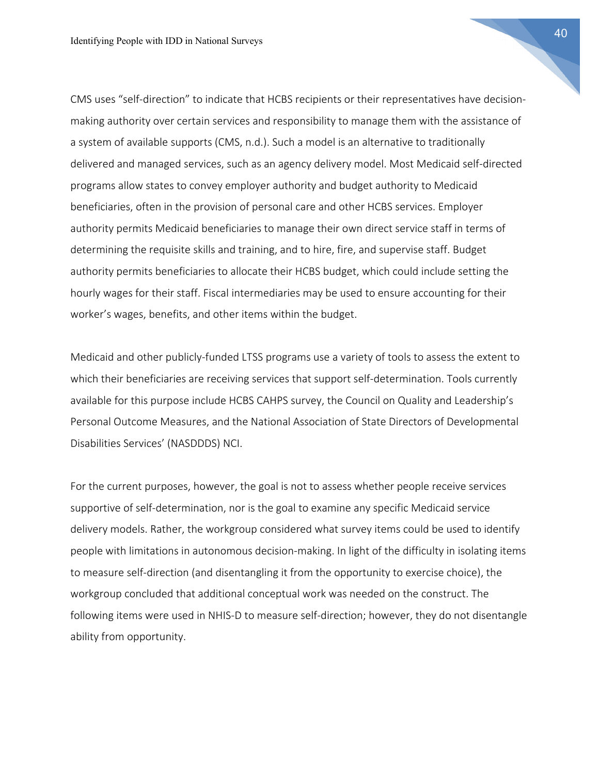CMS uses "self-direction" to indicate that HCBS recipients or their representatives have decisionmaking authority over certain services and responsibility to manage them with the assistance of a system of available supports (CMS, n.d.). Such a model is an alternative to traditionally delivered and managed services, such as an agency delivery model. Most Medicaid self-directed programs allow states to convey employer authority and budget authority to Medicaid beneficiaries, often in the provision of personal care and other HCBS services. Employer authority permits Medicaid beneficiaries to manage their own direct service staff in terms of determining the requisite skills and training, and to hire, fire, and supervise staff. Budget authority permits beneficiaries to allocate their HCBS budget, which could include setting the hourly wages for their staff. Fiscal intermediaries may be used to ensure accounting for their worker's wages, benefits, and other items within the budget.

Medicaid and other publicly-funded LTSS programs use a variety of tools to assess the extent to which their beneficiaries are receiving services that support self-determination. Tools currently available for this purpose include HCBS CAHPS survey, the Council on Quality and Leadership's Personal Outcome Measures, and the National Association of State Directors of Developmental Disabilities Services' (NASDDDS) NCI.

For the current purposes, however, the goal is not to assess whether people receive services supportive of self-determination, nor is the goal to examine any specific Medicaid service delivery models. Rather, the workgroup considered what survey items could be used to identify people with limitations in autonomous decision-making. In light of the difficulty in isolating items to measure self-direction (and disentangling it from the opportunity to exercise choice), the workgroup concluded that additional conceptual work was needed on the construct. The following items were used in NHIS-D to measure self-direction; however, they do not disentangle ability from opportunity.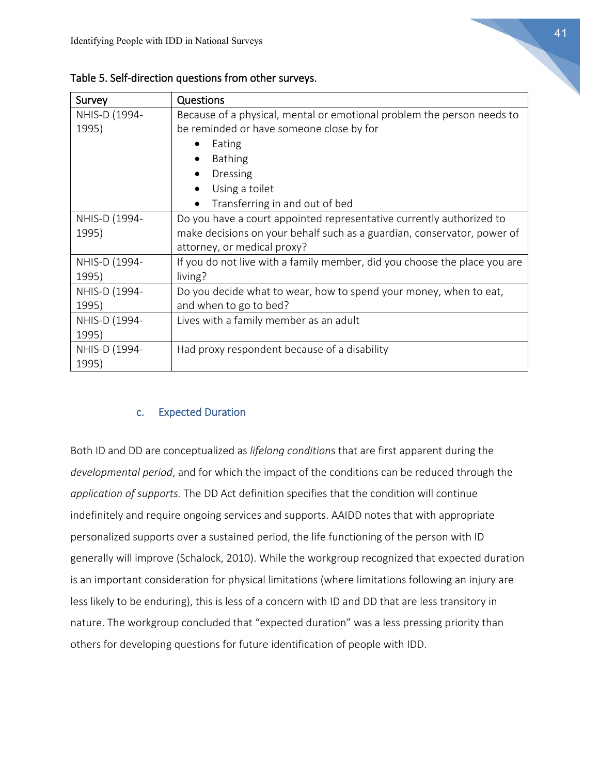| Survey        | <b>Questions</b>                                                          |  |  |
|---------------|---------------------------------------------------------------------------|--|--|
| NHIS-D (1994- | Because of a physical, mental or emotional problem the person needs to    |  |  |
| 1995)         | be reminded or have someone close by for                                  |  |  |
|               | Eating                                                                    |  |  |
|               | <b>Bathing</b>                                                            |  |  |
|               | Dressing                                                                  |  |  |
|               | Using a toilet                                                            |  |  |
|               | Transferring in and out of bed                                            |  |  |
| NHIS-D (1994- | Do you have a court appointed representative currently authorized to      |  |  |
| 1995)         | make decisions on your behalf such as a guardian, conservator, power of   |  |  |
|               | attorney, or medical proxy?                                               |  |  |
| NHIS-D (1994- | If you do not live with a family member, did you choose the place you are |  |  |
| 1995)         | living?                                                                   |  |  |
| NHIS-D (1994- | Do you decide what to wear, how to spend your money, when to eat,         |  |  |
| 1995)         | and when to go to bed?                                                    |  |  |
| NHIS-D (1994- | Lives with a family member as an adult                                    |  |  |
| 1995)         |                                                                           |  |  |
| NHIS-D (1994- | Had proxy respondent because of a disability                              |  |  |
| 1995)         |                                                                           |  |  |

Table 5. Self-direction questions from other surveys.

#### c. Expected Duration

Both ID and DD are conceptualized as *lifelong condition*s that are first apparent during the *developmental period*, and for which the impact of the conditions can be reduced through the *application of supports.* The DD Act definition specifies that the condition will continue indefinitely and require ongoing services and supports. AAIDD notes that with appropriate personalized supports over a sustained period, the life functioning of the person with ID generally will improve (Schalock, 2010). While the workgroup recognized that expected duration is an important consideration for physical limitations (where limitations following an injury are less likely to be enduring), this is less of a concern with ID and DD that are less transitory in nature. The workgroup concluded that "expected duration" was a less pressing priority than others for developing questions for future identification of people with IDD.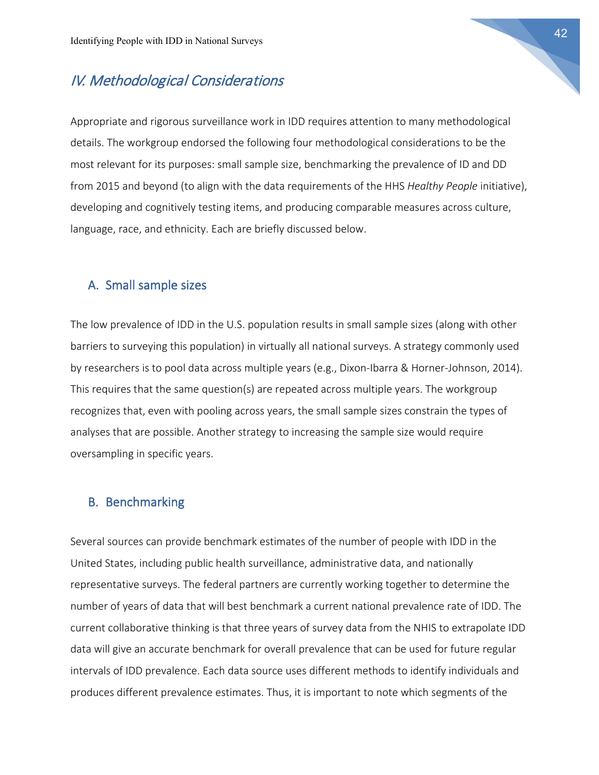# IV. Methodological Considerations

Appropriate and rigorous surveillance work in IDD requires attention to many methodological details. The workgroup endorsed the following four methodological considerations to be the most relevant for its purposes: small sample size, benchmarking the prevalence of ID and DD from 2015 and beyond (to align with the data requirements of the HHS *Healthy People* initiative), developing and cognitively testing items, and producing comparable measures across culture, language, race, and ethnicity. Each are briefly discussed below.

#### A. Small sample sizes

The low prevalence of IDD in the U.S. population results in small sample sizes (along with other barriers to surveying this population) in virtually all national surveys. A strategy commonly used by researchers is to pool data across multiple years (e.g., Dixon-Ibarra & Horner-Johnson, 2014). This requires that the same question(s) are repeated across multiple years. The workgroup recognizes that, even with pooling across years, the small sample sizes constrain the types of analyses that are possible. Another strategy to increasing the sample size would require oversampling in specific years.

### B. Benchmarking

Several sources can provide benchmark estimates of the number of people with IDD in the United States, including public health surveillance, administrative data, and nationally representative surveys. The federal partners are currently working together to determine the number of years of data that will best benchmark a current national prevalence rate of IDD. The current collaborative thinking is that three years of survey data from the NHIS to extrapolate IDD data will give an accurate benchmark for overall prevalence that can be used for future regular intervals of IDD prevalence. Each data source uses different methods to identify individuals and produces different prevalence estimates. Thus, it is important to note which segments of the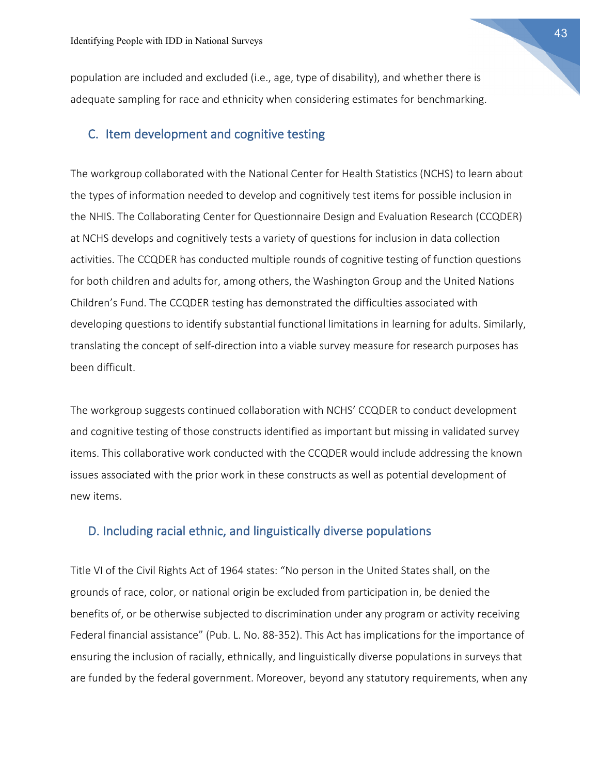population are included and excluded (i.e., age, type of disability), and whether there is adequate sampling for race and ethnicity when considering estimates for benchmarking.

#### C. Item development and cognitive testing

The workgroup collaborated with the National Center for Health Statistics (NCHS) to learn about the types of information needed to develop and cognitively test items for possible inclusion in the NHIS. The Collaborating Center for Questionnaire Design and Evaluation Research (CCQDER) at NCHS develops and cognitively tests a variety of questions for inclusion in data collection activities. The CCQDER has conducted multiple rounds of cognitive testing of function questions for both children and adults for, among others, the Washington Group and the United Nations Children's Fund. The CCQDER testing has demonstrated the difficulties associated with developing questions to identify substantial functional limitations in learning for adults. Similarly, translating the concept of self-direction into a viable survey measure for research purposes has been difficult.

The workgroup suggests continued collaboration with NCHS' CCQDER to conduct development and cognitive testing of those constructs identified as important but missing in validated survey items. This collaborative work conducted with the CCQDER would include addressing the known issues associated with the prior work in these constructs as well as potential development of new items.

#### D. Including racial ethnic, and linguistically diverse populations

Title VI of the Civil Rights Act of 1964 states: "No person in the United States shall, on the grounds of race, color, or national origin be excluded from participation in, be denied the benefits of, or be otherwise subjected to discrimination under any program or activity receiving Federal financial assistance" (Pub. L. No. 88-352). This Act has implications for the importance of ensuring the inclusion of racially, ethnically, and linguistically diverse populations in surveys that are funded by the federal government. Moreover, beyond any statutory requirements, when any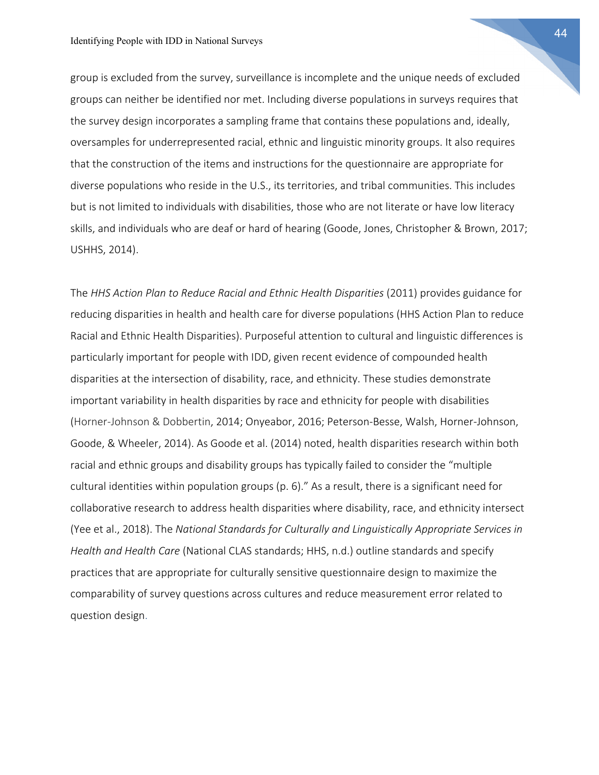group is excluded from the survey, surveillance is incomplete and the unique needs of excluded groups can neither be identified nor met. Including diverse populations in surveys requires that the survey design incorporates a sampling frame that contains these populations and, ideally, oversamples for underrepresented racial, ethnic and linguistic minority groups. It also requires that the construction of the items and instructions for the questionnaire are appropriate for diverse populations who reside in the U.S., its territories, and tribal communities. This includes but is not limited to individuals with disabilities, those who are not literate or have low literacy skills, and individuals who are deaf or hard of hearing (Goode, Jones, Christopher & Brown, 2017; USHHS, 2014).

The *HHS Action Plan to Reduce Racial and Ethnic Health Disparities* (2011) provides guidance for reducing disparities in health and health care for diverse populations (HHS Action Plan to reduce Racial and Ethnic Health Disparities). Purposeful attention to cultural and linguistic differences is particularly important for people with IDD, given recent evidence of compounded health disparities at the intersection of disability, race, and ethnicity. These studies demonstrate important variability in health disparities by race and ethnicity for people with disabilities (Horner-Johnson & Dobbertin, 2014; Onyeabor, 2016; Peterson-Besse, Walsh, Horner-Johnson, Goode, & Wheeler, 2014). As Goode et al. (2014) noted, health disparities research within both racial and ethnic groups and disability groups has typically failed to consider the "multiple cultural identities within population groups (p. 6)." As a result, there is a significant need for collaborative research to address health disparities where disability, race, and ethnicity intersect (Yee et al., 2018). The *National Standards for Culturally and Linguistically Appropriate Services in Health and Health Care* (National CLAS standards; HHS, n.d.) outline standards and specify practices that are appropriate for culturally sensitive questionnaire design to maximize the [comparability](http://ccsg.isr.umich.edu/index.php/resources/advanced-glossary/comparability) of survey questions across cultures and reduc[e measurement error](http://ccsg.isr.umich.edu/index.php/resources/advanced-glossary/measurement-error) related to question design.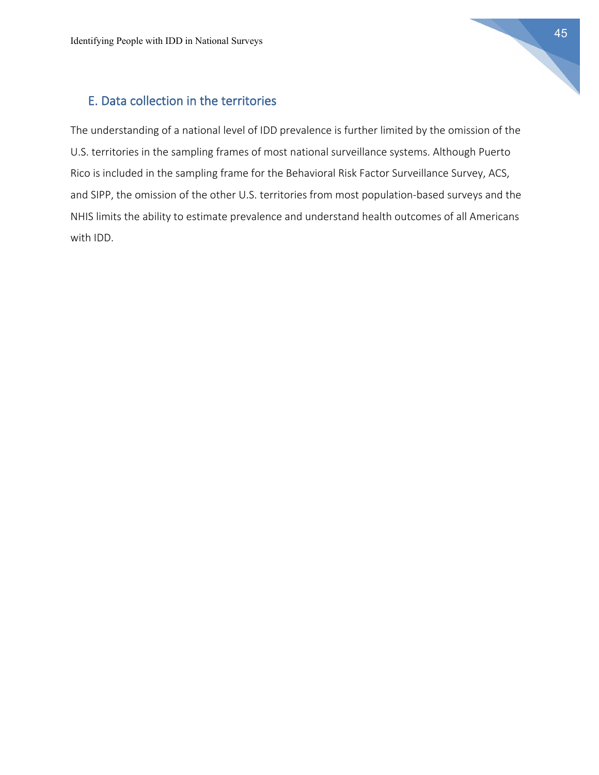## E. Data collection in the territories

The understanding of a national level of IDD prevalence is further limited by the omission of the U.S. territories in the sampling frames of most national surveillance systems. Although Puerto Rico is included in the sampling frame for the Behavioral Risk Factor Surveillance Survey, ACS, and SIPP, the omission of the other U.S. territories from most population-based surveys and the NHIS limits the ability to estimate prevalence and understand health outcomes of all Americans with IDD.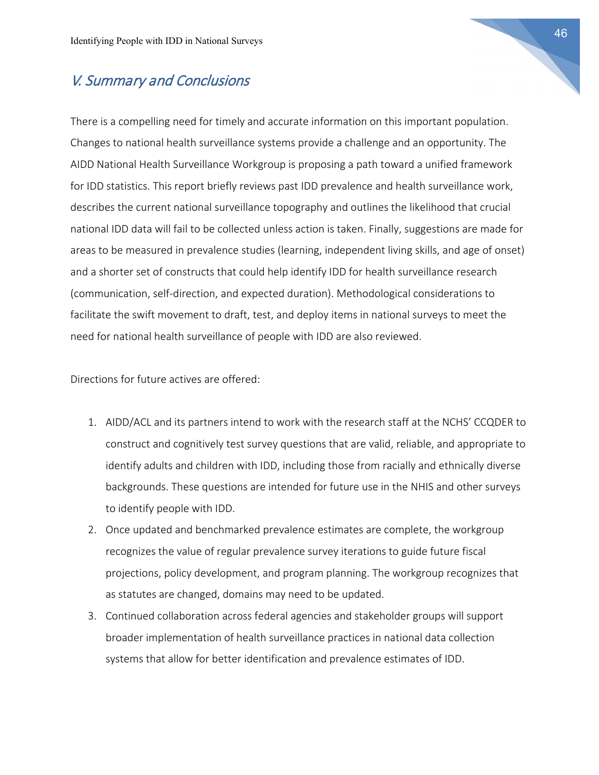# V. Summary and Conclusions

There is a compelling need for timely and accurate information on this important population. Changes to national health surveillance systems provide a challenge and an opportunity. The AIDD National Health Surveillance Workgroup is proposing a path toward a unified framework for IDD statistics. This report briefly reviews past IDD prevalence and health surveillance work, describes the current national surveillance topography and outlines the likelihood that crucial national IDD data will fail to be collected unless action is taken. Finally, suggestions are made for areas to be measured in prevalence studies (learning, independent living skills, and age of onset) and a shorter set of constructs that could help identify IDD for health surveillance research (communication, self-direction, and expected duration). Methodological considerations to facilitate the swift movement to draft, test, and deploy items in national surveys to meet the need for national health surveillance of people with IDD are also reviewed.

Directions for future actives are offered:

- 1. AIDD/ACL and its partners intend to work with the research staff at the NCHS' CCQDER to construct and cognitively test survey questions that are valid, reliable, and appropriate to identify adults and children with IDD, including those from racially and ethnically diverse backgrounds. These questions are intended for future use in the NHIS and other surveys to identify people with IDD.
- 2. Once updated and benchmarked prevalence estimates are complete, the workgroup recognizes the value of regular prevalence survey iterations to guide future fiscal projections, policy development, and program planning. The workgroup recognizes that as statutes are changed, domains may need to be updated.
- 3. Continued collaboration across federal agencies and stakeholder groups will support broader implementation of health surveillance practices in national data collection systems that allow for better identification and prevalence estimates of IDD.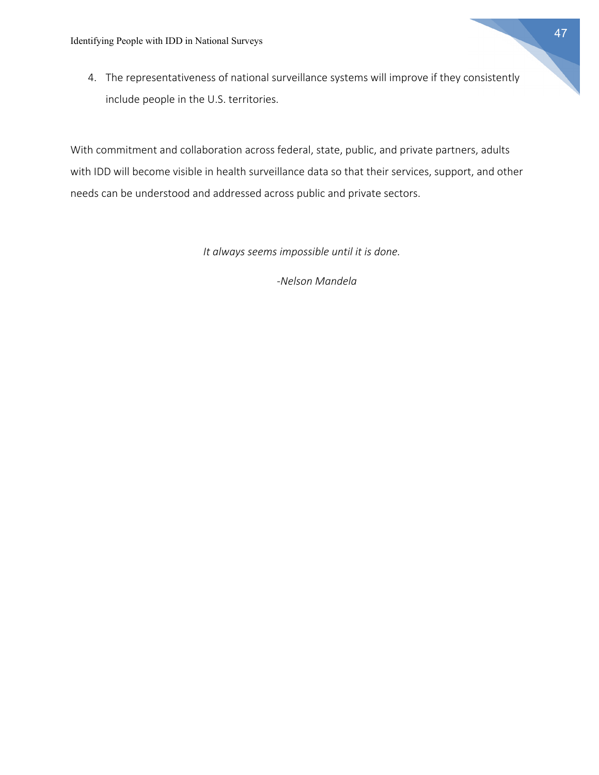4. The representativeness of national surveillance systems will improve if they consistently include people in the U.S. territories.

With commitment and collaboration across federal, state, public, and private partners, adults with IDD will become visible in health surveillance data so that their services, support, and other needs can be understood and addressed across public and private sectors.

*It always seems impossible until it is done.*

*-Nelson Mandela*

 $\overline{\phantom{a}}$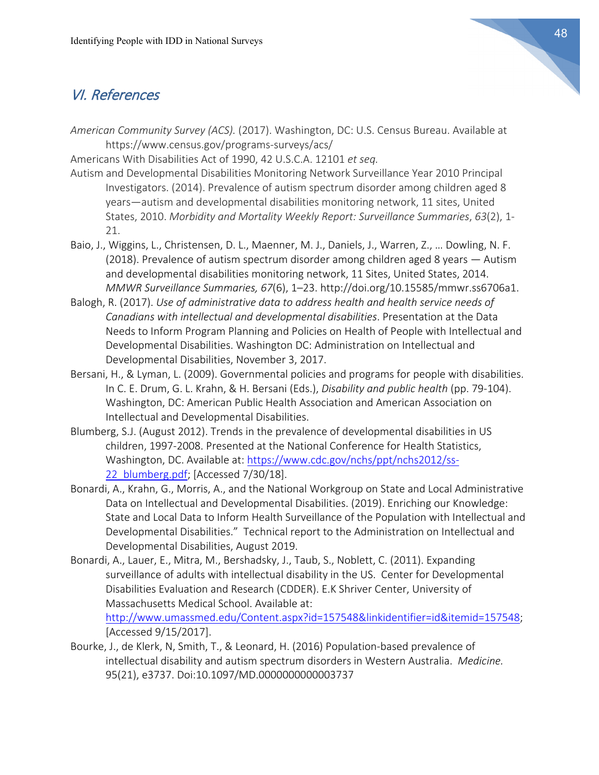

# VI. References

*American Community Survey (ACS).* (2017). Washington, DC: U.S. Census Bureau. Available at https://www.census.gov/programs-surveys/acs/

Americans With Disabilities Act of 1990, 42 U.S.C.A. 12101 *et seq.*

- Autism and Developmental Disabilities Monitoring Network Surveillance Year 2010 Principal Investigators. (2014). Prevalence of autism spectrum disorder among children aged 8 years—autism and developmental disabilities monitoring network, 11 sites, United States, 2010. *Morbidity and Mortality Weekly Report: Surveillance Summaries*, *63*(2), 1- 21.
- Baio, J., Wiggins, L., Christensen, D. L., Maenner, M. J., Daniels, J., Warren, Z., … Dowling, N. F. (2018). Prevalence of autism spectrum disorder among children aged 8 years — Autism and developmental disabilities monitoring network, 11 Sites, United States, 2014. *MMWR Surveillance Summaries, 67*(6), 1–23. http://doi.org/10.15585/mmwr.ss6706a1.
- Balogh, R. (2017). *Use of administrative data to address health and health service needs of Canadians with intellectual and developmental disabilities*. Presentation at the Data Needs to Inform Program Planning and Policies on Health of People with Intellectual and Developmental Disabilities. Washington DC: Administration on Intellectual and Developmental Disabilities, November 3, 2017.
- Bersani, H., & Lyman, L. (2009). Governmental policies and programs for people with disabilities. In C. E. Drum, G. L. Krahn, & H. Bersani (Eds.), *Disability and public health* (pp. 79-104). Washington, DC: American Public Health Association and American Association on Intellectual and Developmental Disabilities.
- Blumberg, S.J. (August 2012). Trends in the prevalence of developmental disabilities in US children, 1997-2008. Presented at the National Conference for Health Statistics, Washington, DC. Available at: [https://www.cdc.gov/nchs/ppt/nchs2012/ss-](https://www.cdc.gov/nchs/ppt/nchs2012/ss-22_blumberg.pdf)22 blumberg.pdf; [Accessed 7/30/18].
- Bonardi, A., Krahn, G., Morris, A., and the National Workgroup on State and Local Administrative Data on Intellectual and Developmental Disabilities. (2019). Enriching our Knowledge: State and Local Data to Inform Health Surveillance of the Population with Intellectual and Developmental Disabilities." Technical report to the Administration on Intellectual and Developmental Disabilities, August 2019.
- Bonardi, A., Lauer, E., Mitra, M., Bershadsky, J., Taub, S., Noblett, C. (2011). Expanding surveillance of adults with intellectual disability in the US. Center for Developmental Disabilities Evaluation and Research (CDDER). E.K Shriver Center, University of Massachusetts Medical School. Available at:

[http://www.umassmed.edu/Content.aspx?id=157548&linkidentifier=id&itemid=157548;](http://www.umassmed.edu/Content.aspx?id=157548&linkidentifier=id&itemid=157548) [Accessed 9/15/2017].

Bourke, J., de Klerk, N, Smith, T., & Leonard, H. (2016) Population-based prevalence of intellectual disability and autism spectrum disorders in Western Australia. *Medicine.* 95(21), e3737. Doi:10.1097/MD.0000000000003737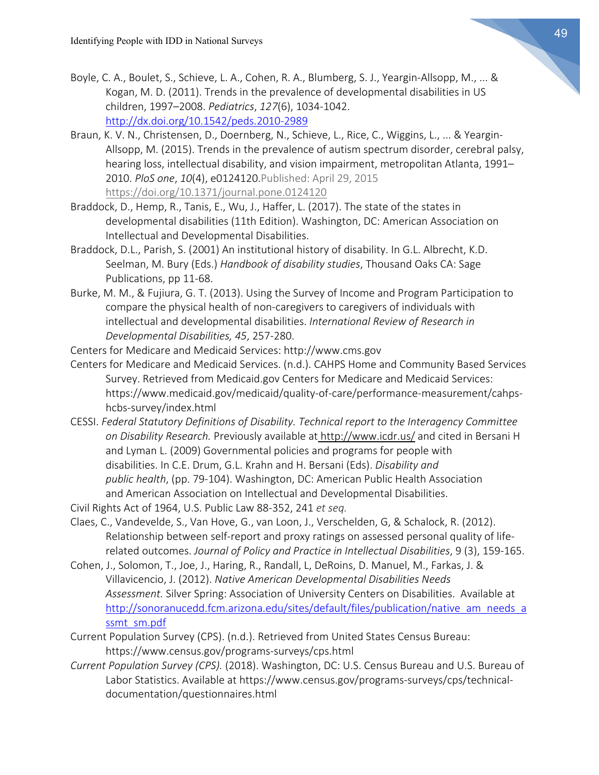

- Boyle, C. A., Boulet, S., Schieve, L. A., Cohen, R. A., Blumberg, S. J., Yeargin-Allsopp, M., ... & Kogan, M. D. (2011). Trends in the prevalence of developmental disabilities in US children, 1997–2008. *Pediatrics*, *127*(6), 1034-1042. <http://dx.doi.org/10.1542/peds.2010-2989>
- Braun, K. V. N., Christensen, D., Doernberg, N., Schieve, L., Rice, C., Wiggins, L., ... & Yeargin-Allsopp, M. (2015). Trends in the prevalence of autism spectrum disorder, cerebral palsy, hearing loss, intellectual disability, and vision impairment, metropolitan Atlanta, 1991– 2010. *PloS one*, *10*(4), e0124120.Published: April 29, 2015 <https://doi.org/10.1371/journal.pone.0124120>
- Braddock, D., Hemp, R., Tanis, E., Wu, J., Haffer, L. (2017). The state of the states in developmental disabilities (11th Edition). Washington, DC: American Association on Intellectual and Developmental Disabilities.
- Braddock, D.L., Parish, S. (2001) An institutional history of disability. In G.L. Albrecht, K.D. Seelman, M. Bury (Eds.) *Handbook of disability studies*, Thousand Oaks CA: Sage Publications, pp 11-68.
- Burke, M. M., & Fujiura, G. T. (2013). Using the Survey of Income and Program Participation to compare the physical health of non-caregivers to caregivers of individuals with intellectual and developmental disabilities. *International Review of Research in Developmental Disabilities, 45*, 257-280.

Centers for Medicare and Medicaid Services: http://www.cms.gov

- Centers for Medicare and Medicaid Services. (n.d.). CAHPS Home and Community Based Services Survey. Retrieved from Medicaid.gov Centers for Medicare and Medicaid Services: https://www.medicaid.gov/medicaid/quality-of-care/performance-measurement/cahpshcbs-survey/index.html
- CESSI. *Federal Statutory Definitions of Disability. Technical report to the Interagency Committee on Disability Research.* Previously available at <http://www.icdr.us/> and cited in Bersani H and Lyman L. (2009) Governmental policies and programs for people with disabilities. In C.E. Drum, G.L. Krahn and H. Bersani (Eds). *Disability and public health*, (pp. 79-104). Washington, DC: American Public Health Association and American Association on Intellectual and Developmental Disabilities.
- Civil Rights Act of 1964, U.S. Public Law 88-352, 241 *et seq.*
- Claes, C., Vandevelde, S., Van Hove, G., van Loon, J., Verschelden, G, & Schalock, R. (2012). Relationship between self-report and proxy ratings on assessed personal quality of liferelated outcomes. *Journal of Policy and Practice in Intellectual Disabilities*, 9 (3), 159-165.
- Cohen, J., Solomon, T., Joe, J., Haring, R., Randall, L, DeRoins, D. Manuel, M., Farkas, J. & Villavicencio, J. (2012). *Native American Developmental Disabilities Needs Assessment.* Silver Spring: Association of University Centers on Disabilities. Available at [http://sonoranucedd.fcm.arizona.edu/sites/default/files/publication/native\\_am\\_needs\\_a](http://sonoranucedd.fcm.arizona.edu/sites/default/files/publication/native_am_needs_assmt_sm.pdf) [ssmt\\_sm.pdf](http://sonoranucedd.fcm.arizona.edu/sites/default/files/publication/native_am_needs_assmt_sm.pdf)
- Current Population Survey (CPS). (n.d.). Retrieved from United States Census Bureau: https://www.census.gov/programs-surveys/cps.html
- *Current Population Survey (CPS).* (2018). Washington, DC: U.S. Census Bureau and U.S. Bureau of Labor Statistics. Available at https://www.census.gov/programs-surveys/cps/technicaldocumentation/questionnaires.html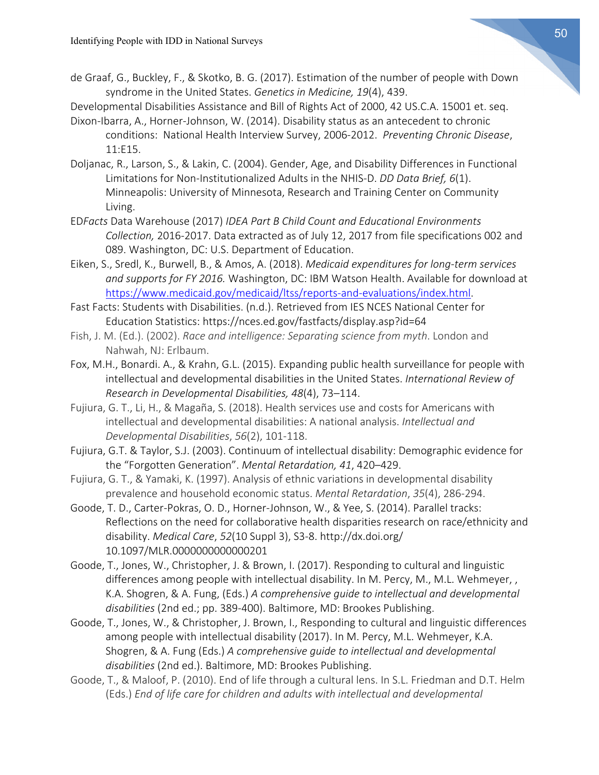

Developmental Disabilities Assistance and Bill of Rights Act of 2000, 42 US.C.A. 15001 et. seq.

- Dixon-Ibarra, A., Horner-Johnson, W. (2014). Disability status as an antecedent to chronic conditions: National Health Interview Survey, 2006-2012. *Preventing Chronic Disease*, 11:E15.
- Doljanac, R., Larson, S., & Lakin, C. (2004). Gender, Age, and Disability Differences in Functional Limitations for Non-Institutionalized Adults in the NHIS-D. *DD Data Brief, 6*(1). Minneapolis: University of Minnesota, Research and Training Center on Community Living.
- ED*Facts* Data Warehouse (2017) *IDEA Part B Child Count and Educational Environments Collection,* 2016-2017. Data extracted as of July 12, 2017 from file specifications 002 and 089. Washington, DC: U.S. Department of Education.
- Eiken, S., Sredl, K., Burwell, B., & Amos, A. (2018). *Medicaid expenditures for long-term services and supports for FY 2016.* Washington, DC: IBM Watson Health. Available for download at [https://www.medicaid.gov/medicaid/ltss/reports-and-evaluations/index.html.](https://www.medicaid.gov/medicaid/ltss/reports-and-evaluations/index.html)
- Fast Facts: Students with Disabilities. (n.d.). Retrieved from IES NCES National Center for Education Statistics: https://nces.ed.gov/fastfacts/display.asp?id=64
- Fish, J. M. (Ed.). (2002). *Race and intelligence: Separating science from myth*. London and Nahwah, NJ: Erlbaum.
- Fox, M.H., Bonardi. A., & Krahn, G.L. (2015). Expanding public health surveillance for people with intellectual and developmental disabilities in the United States. *International Review of Research in Developmental Disabilities, 48*(4), 73–114.
- Fujiura, G. T., Li, H., & Magaña, S. (2018). Health services use and costs for Americans with intellectual and developmental disabilities: A national analysis. *Intellectual and Developmental Disabilities*, *56*(2), 101-118.
- Fujiura, G.T. & Taylor, S.J. (2003). Continuum of intellectual disability: Demographic evidence for the "Forgotten Generation". *Mental Retardation, 41*, 420–429.
- Fujiura, G. T., & Yamaki, K. (1997). Analysis of ethnic variations in developmental disability prevalence and household economic status. *Mental Retardation*, *35*(4), 286-294.
- Goode, T. D., Carter-Pokras, O. D., Horner-Johnson, W., & Yee, S. (2014). Parallel tracks: Reflections on the need for collaborative health disparities research on race/ethnicity and disability. *Medical Care*, *52*(10 Suppl 3), S3-8. http://dx.doi.org/ 10.1097/MLR.0000000000000201
- Goode, T., Jones, W., Christopher, J. & Brown, I. (2017). Responding to cultural and linguistic differences among people with intellectual disability. In M. Percy, M., M.L. Wehmeyer, , K.A. Shogren, & A. Fung, (Eds.) *A comprehensive guide to intellectual and developmental disabilities* (2nd ed.; pp. 389-400). Baltimore, MD: Brookes Publishing.
- Goode, T., Jones, W., & Christopher, J. Brown, I., Responding to cultural and linguistic differences among people with intellectual disability (2017). In M. Percy, M.L. Wehmeyer, K.A. Shogren, & A. Fung (Eds.) *A comprehensive guide to intellectual and developmental disabilities* (2nd ed.). Baltimore, MD: Brookes Publishing.
- Goode, T., & Maloof, P. (2010). End of life through a cultural lens. In S.L. Friedman and D.T. Helm (Eds.) *End of life care for children and adults with intellectual and developmental*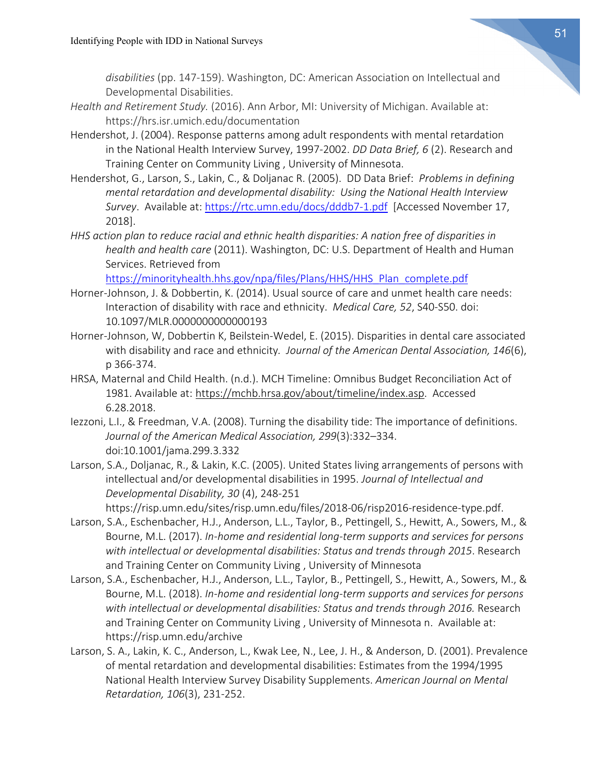*disabilities* (pp. 147-159). Washington, DC: American Association on Intellectual and Developmental Disabilities.

- *Health and Retirement Study.* (2016). Ann Arbor, MI: University of Michigan. Available at: https://hrs.isr.umich.edu/documentation
- Hendershot, J. (2004). Response patterns among adult respondents with mental retardation in the National Health Interview Survey, 1997-2002. *DD Data Brief, 6* (2). Research and Training Center on Community Living , University of Minnesota.
- Hendershot, G., Larson, S., Lakin, C., & Doljanac R. (2005). DD Data Brief: *Problems in defining mental retardation and developmental disability: Using the National Health Interview Survey*. Available at:<https://rtc.umn.edu/docs/dddb7-1.pdf> [Accessed November 17, 2018].
- *HHS action plan to reduce racial and ethnic health disparities: A nation free of disparities in health and health care* (2011). Washington, DC: U.S. Department of Health and Human Services. Retrieved from

[https://minorityhealth.hhs.gov/npa/files/Plans/HHS/HHS\\_Plan\\_complete.pdf](https://minorityhealth.hhs.gov/npa/files/Plans/HHS/HHS_Plan_complete.pdf)

- Horner-Johnson, J. & Dobbertin, K. (2014). Usual source of care and unmet health care needs: Interaction of disability with race and ethnicity. *Medical Care, 52*, S40-S50. doi: 10.1097/MLR.0000000000000193
- Horner-Johnson, W, Dobbertin K, Beilstein-Wedel, E. (2015). Disparities in dental care associated with disability and race and ethnicity*. Journal of the American Dental Association, 146*(6), p 366-374.
- HRSA, Maternal and Child Health. (n.d.). MCH Timeline: Omnibus Budget Reconciliation Act of 1981. Available at: [https://mchb.hrsa.gov/about/timeline/index.asp.](https://mchb.hrsa.gov/about/timeline/index.asp) Accessed 6.28.2018.
- Iezzoni, L.I., & Freedman, V.A. (2008). Turning the disability tide: The importance of definitions. *Journal of the American Medical Association, 299*(3):332–334. doi:10.1001/jama.299.3.332
- Larson, S.A., Doljanac, R., & Lakin, K.C. (2005). United States living arrangements of persons with intellectual and/or developmental disabilities in 1995. *Journal of Intellectual and Developmental Disability, 30* (4), 248-251 https://risp.umn.edu/sites/risp.umn.edu/files/2018-06/risp2016-residence-type.pdf.
- Larson, S.A., Eschenbacher, H.J., Anderson, L.L., Taylor, B., Pettingell, S., Hewitt, A., Sowers, M., & Bourne, M.L. (2017). *In-home and residential long-term supports and services for persons with intellectual or developmental disabilities: Status and trends through 2015*. Research and Training Center on Community Living , University of Minnesota
- Larson, S.A., Eschenbacher, H.J., Anderson, L.L., Taylor, B., Pettingell, S., Hewitt, A., Sowers, M., & Bourne, M.L. (2018). *In-home and residential long-term supports and services for persons*  with intellectual or developmental disabilities: Status and trends through 2016. Research and Training Center on Community Living , University of Minnesota n. Available at: https://risp.umn.edu/archive
- Larson, S. A., Lakin, K. C., Anderson, L., Kwak Lee, N., Lee, J. H., & Anderson, D. (2001). Prevalence of mental retardation and developmental disabilities: Estimates from the 1994/1995 National Health Interview Survey Disability Supplements. *American Journal on Mental Retardation, 106*(3), 231-252.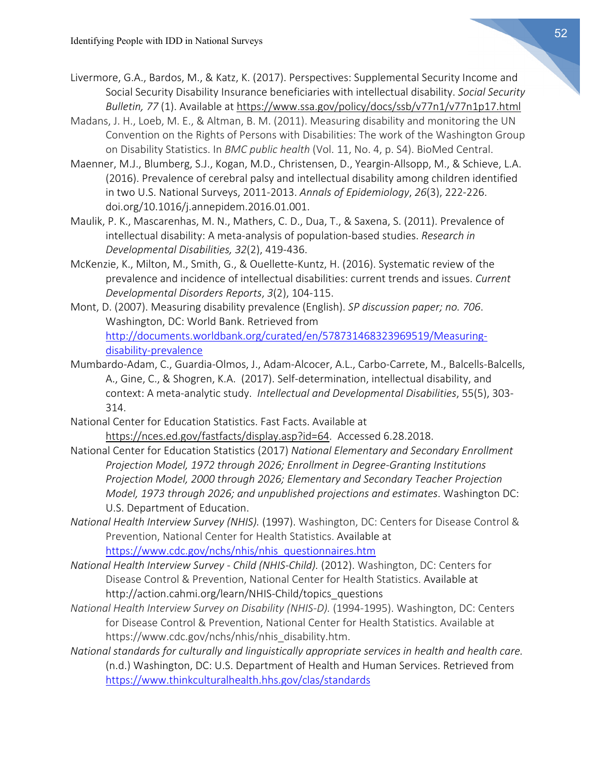- Livermore, G.A., Bardos, M., & Katz, K. (2017). Perspectives: Supplemental Security Income and Social Security Disability Insurance beneficiaries with intellectual disability. *Social Security Bulletin, 77* (1). Available at<https://www.ssa.gov/policy/docs/ssb/v77n1/v77n1p17.html>
- Madans, J. H., Loeb, M. E., & Altman, B. M. (2011). Measuring disability and monitoring the UN Convention on the Rights of Persons with Disabilities: The work of the Washington Group on Disability Statistics. In *BMC public health* (Vol. 11, No. 4, p. S4). BioMed Central.
- Maenner, M.J., Blumberg, S.J., Kogan, M.D., Christensen, D., Yeargin-Allsopp, M., & Schieve, L.A. (2016). Prevalence of cerebral palsy and intellectual disability among children identified in two U.S. National Surveys, 2011-2013. *Annals of Epidemiology*, *26*(3), 222-226. doi.org/10.1016/j.annepidem.2016.01.001.
- Maulik, P. K., Mascarenhas, M. N., Mathers, C. D., Dua, T., & Saxena, S. (2011). Prevalence of intellectual disability: A meta-analysis of population-based studies. *Research in Developmental Disabilities, 32*(2), 419-436.
- McKenzie, K., Milton, M., Smith, G., & Ouellette-Kuntz, H. (2016). Systematic review of the prevalence and incidence of intellectual disabilities: current trends and issues. *Current Developmental Disorders Reports*, *3*(2), 104-115.
- Mont, D. (2007). Measuring disability prevalence (English). *SP discussion paper; no. 706*. Washington, DC: World Bank. Retrieved from http://documents.worldbank.org/curated/en/578731468323969519/Measuringdisability-prevalence
- Mumbardo-Adam, C., Guardia-Olmos, J., Adam-Alcocer, A.L., Carbo-Carrete, M., Balcells-Balcells, A., Gine, C., & Shogren, K.A. (2017). Self-determination, intellectual disability, and context: A meta-analytic study. *Intellectual and Developmental Disabilities*, 55(5), 303- 314.
- National Center for Education Statistics. Fast Facts. Available at [https://nces.ed.gov/fastfacts/display.asp?id=64.](https://nces.ed.gov/fastfacts/display.asp?id=64) Accessed 6.28.2018.
- National Center for Education Statistics (2017) *National Elementary and Secondary Enrollment Projection Model, 1972 through 2026; Enrollment in Degree-Granting Institutions Projection Model, 2000 through 2026; Elementary and Secondary Teacher Projection Model, 1973 through 2026; and unpublished projections and estimates*. Washington DC: U.S. Department of Education.
- *National Health Interview Survey (NHIS).* (1997). Washington, DC: Centers for Disease Control & Prevention, National Center for Health Statistics. Available at [https://www.cdc.gov/nchs/nhis/nhis\\_questionnaires.htm](https://www.cdc.gov/nchs/nhis/nhis_questionnaires.htm)
- *National Health Interview Survey - Child (NHIS-Child).* (2012). Washington, DC: Centers for Disease Control & Prevention, National Center for Health Statistics. Available at http://action.cahmi.org/learn/NHIS-Child/topics\_questions
- *National Health Interview Survey on Disability (NHIS-D).* (1994-1995). Washington, DC: Centers for Disease Control & Prevention, National Center for Health Statistics. Available at https://www.cdc.gov/nchs/nhis/nhis\_disability.htm.
- *National standards for culturally and linguistically appropriate services in health and health care.*  (n.d.) Washington, DC: U.S. Department of Health and Human Services. Retrieved from <https://www.thinkculturalhealth.hhs.gov/clas/standards>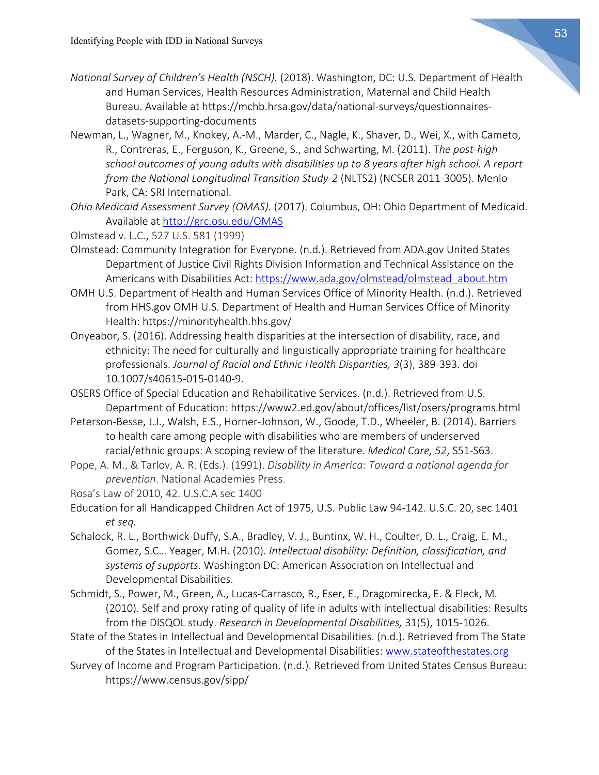- *National Survey of Children's Health (NSCH).* (2018). Washington, DC: U.S. Department of Health and Human Services, Health Resources Administration, Maternal and Child Health Bureau. Available at https://mchb.hrsa.gov/data/national-surveys/questionnairesdatasets-supporting-documents
- Newman, L., Wagner, M., Knokey, A.-M., Marder, C., Nagle, K., Shaver, D., Wei, X., with Cameto, R., Contreras, E., Ferguson, K., Greene, S., and Schwarting, M. (2011). T*he post-high school outcomes of young adults with disabilities up to 8 years after high school. A report from the National Longitudinal Transition Study-2* (NLTS2) (NCSER 2011-3005). Menlo Park, CA: SRI International.
- *Ohio Medicaid Assessment Survey (OMAS).* (2017). Columbus, OH: Ohio Department of Medicaid. Available at<http://grc.osu.edu/OMAS>

Olmstead v. L.C., 527 U.S. 581 (1999)

- Olmstead: Community Integration for Everyone. (n.d.). Retrieved from ADA.gov United States Department of Justice Civil Rights Division Information and Technical Assistance on the Americans with Disabilities Act: [https://www.ada.gov/olmstead/olmstead\\_about.htm](https://www.ada.gov/olmstead/olmstead_about.htm)
- OMH U.S. Department of Health and Human Services Office of Minority Health. (n.d.). Retrieved from HHS.gov OMH U.S. Department of Health and Human Services Office of Minority Health: https://minorityhealth.hhs.gov/
- Onyeabor, S. (2016). Addressing health disparities at the intersection of disability, race, and ethnicity: The need for culturally and linguistically appropriate training for healthcare professionals. *Journal of Racial and Ethnic Health Disparities, 3*(3), 389-393. doi 10.1007/s40615-015-0140-9.
- OSERS Office of Special Education and Rehabilitative Services. (n.d.). Retrieved from U.S. Department of Education: https://www2.ed.gov/about/offices/list/osers/programs.html
- Peterson-Besse, J.J., Walsh, E.S., Horner-Johnson, W., Goode, T.D., Wheeler, B. (2014). Barriers to health care among people with disabilities who are members of underserved racial/ethnic groups: A scoping review of the literature. *Medical Care, 52*, S51-S63.
- Pope, A. M., & Tarlov, A. R. (Eds.). (1991). *Disability in America: Toward a national agenda for prevention*. National Academies Press.

Rosa's Law of 2010, 42. U.S.C.A sec 1400

- Education for all Handicapped Children Act of 1975, U.S. Public Law 94-142. U.S.C. 20, sec 1401 *et seq.*
- Schalock, R. L., Borthwick-Duffy, S.A., Bradley, V. J., Buntinx, W. H., Coulter, D. L., Craig, E. M., Gomez, S.C… Yeager, M.H. (2010). *Intellectual disability: Definition, classification, and systems of supports*. Washington DC: American Association on Intellectual and Developmental Disabilities.
- Schmidt, S., Power, M., Green, A., Lucas-Carrasco, R., Eser, E., Dragomirecka, E. & Fleck, M. (2010). Self and proxy rating of quality of life in adults with intellectual disabilities: Results from the DISQOL study. *Research in Developmental Disabilities,* 31(5), 1015-1026.
- State of the States in Intellectual and Developmental Disabilities. (n.d.). Retrieved from The State of the States in Intellectual and Developmental Disabilities: [www.stateofthestates.org](http://www.stateofthestates.org/)
- Survey of Income and Program Participation. (n.d.). Retrieved from United States Census Bureau: https://www.census.gov/sipp/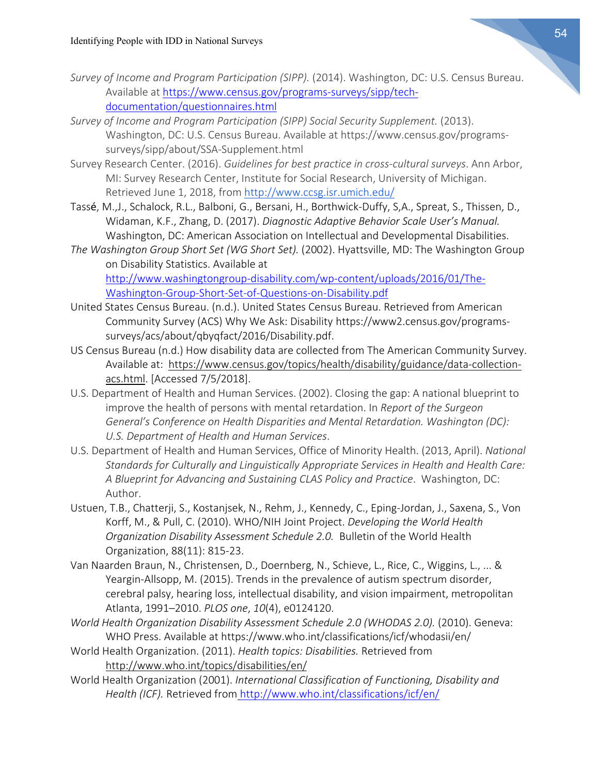

- *Survey of Income and Program Participation (SIPP) Social Security Supplement.* (2013). Washington, DC: U.S. Census Bureau. Available at https://www.census.gov/programssurveys/sipp/about/SSA-Supplement.html
- Survey Research Center. (2016). *Guidelines for best practice in cross-cultural surveys*. Ann Arbor, MI: Survey Research Center, Institute for Social Research, University of Michigan. Retrieved June 1, 2018, from [http://www.ccsg.isr.umich.edu/](https://urldefense.proofpoint.com/v2/url?u=http-3A__www.ccsg.isr.umich.edu_&d=DwMFAg&c=k9MF1d71ITtkuJx-PdWme51dKbmfPEvxwt8SFEkBfs4&r=_0oStorItUHMpRW_4d3OcDYahoTxihPxV0GDbAZpnpI&m=Elge8SVD26ug4smPAUYcc8cHnq10frAINk35GD5RJ0I&s=uw0kkQRipJ68Cko78KyPhGCFldnoUUvOV4ZIG4JPCuQ&e=)
- Tassé, M.,J., Schalock, R.L., Balboni, G., Bersani, H., Borthwick-Duffy, S,A., Spreat, S., Thissen, D., Widaman, K.F., Zhang, D. (2017). *Diagnostic Adaptive Behavior Scale User's Manual.*  Washington, DC: American Association on Intellectual and Developmental Disabilities.
- *The Washington Group Short Set (WG Short Set).* (2002). Hyattsville, MD: The Washington Group on Disability Statistics. Available at [http://www.washingtongroup-disability.com/wp-content/uploads/2016/01/The-](http://www.washingtongroup-disability.com/wp-content/uploads/2016/01/The-Washington-Group-Short-Set-of-Questions-on-Disability.pdf)[Washington-Group-Short-Set-of-Questions-on-Disability.pdf](http://www.washingtongroup-disability.com/wp-content/uploads/2016/01/The-Washington-Group-Short-Set-of-Questions-on-Disability.pdf)
- United States Census Bureau. (n.d.). United States Census Bureau. Retrieved from American Community Survey (ACS) Why We Ask: Disability https://www2.census.gov/programssurveys/acs/about/qbyqfact/2016/Disability.pdf.
- US Census Bureau (n.d.) How disability data are collected from The American Community Survey. Available at: [https://www.census.gov/topics/health/disability/guidance/data-collection](https://www.census.gov/topics/health/disability/guidance/data-collection-acs.html)[acs.html.](https://www.census.gov/topics/health/disability/guidance/data-collection-acs.html) [Accessed 7/5/2018].
- U.S. Department of Health and Human Services. (2002). Closing the gap: A national blueprint to improve the health of persons with mental retardation. In *Report of the Surgeon General's Conference on Health Disparities and Mental Retardation. Washington (DC): U.S. Department of Health and Human Services*.
- U.S. Department of Health and Human Services, Office of Minority Health. (2013, April). *National Standards for Culturally and Linguistically Appropriate Services in Health and Health Care: A Blueprint for Advancing and Sustaining CLAS Policy and Practice*. Washington, DC: Author.
- Ustuen, T.B., Chatterji, S., Kostanjsek, N., Rehm, J., Kennedy, C., Eping-Jordan, J., Saxena, S., Von Korff, M., & Pull, C. (2010). WHO/NIH Joint Project. *Developing the World Health Organization Disability Assessment Schedule 2.0.* Bulletin of the World Health Organization, 88(11): 815-23.
- Van Naarden Braun, N., Christensen, D., Doernberg, N., Schieve, L., Rice, C., Wiggins, L., ... & Yeargin-Allsopp, M. (2015). Trends in the prevalence of autism spectrum disorder, cerebral palsy, hearing loss, intellectual disability, and vision impairment, metropolitan Atlanta, 1991–2010. *PLOS one*, *10*(4), e0124120.
- *World Health Organization Disability Assessment Schedule 2.0 (WHODAS 2.0).* (2010). Geneva: WHO Press. Available at https://www.who.int/classifications/icf/whodasii/en/
- World Health Organization. (2011). *Health topics: Disabilities.* Retrieved fro[m](http://www.who.int/topics/disabilities/en/) <http://www.who.int/topics/disabilities/en/>
- World Health Organization (2001). *International Classification of Functioning, Disability and Health (ICF).* Retrieved from <http://www.who.int/classifications/icf/en/>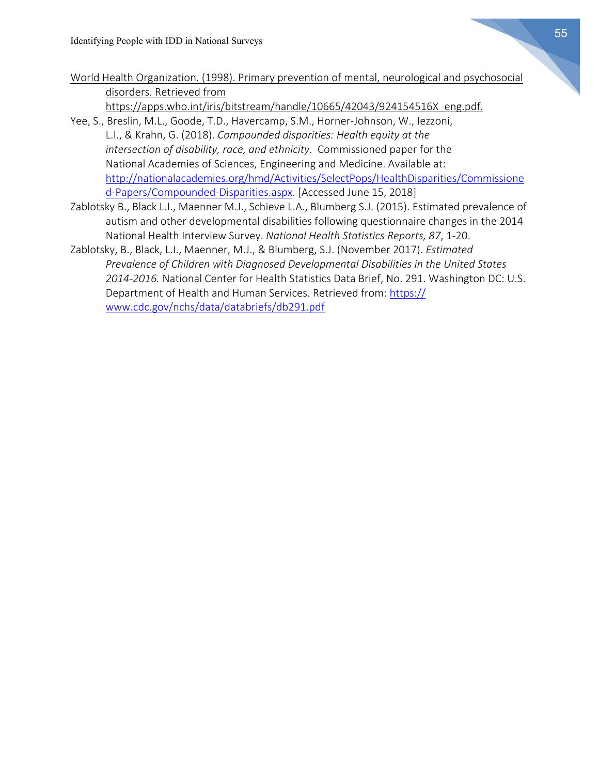

https://apps.who.int/iris/bitstream/handle/10665/42043/924154516X\_eng.pdf.

- Yee, S., Breslin, M.L., Goode, T.D., Havercamp, S.M., Horner-Johnson, W., Iezzoni, L.I., & Krahn, G. (2018). *Compounded disparities: Health equity at the intersection of disability, race, and ethnicity*. Commissioned paper for the National Academies of Sciences, Engineering and Medicine. Available at: [http://nationalacademies.org/hmd/Activities/SelectPops/HealthDisparities/Commissione](http://nationalacademies.org/hmd/Activities/SelectPops/HealthDisparities/Commissioned-Papers/Compounded-Disparities.aspx) [d-Papers/Compounded-Disparities.aspx.](http://nationalacademies.org/hmd/Activities/SelectPops/HealthDisparities/Commissioned-Papers/Compounded-Disparities.aspx) [Accessed June 15, 2018]
- Zablotsky B., Black L.I., Maenner M.J., Schieve L.A., Blumberg S.J. (2015). Estimated prevalence of autism and other developmental disabilities following questionnaire changes in the 2014 National Health Interview Survey. *National Health Statistics Reports, 87*, 1-20.
- Zablotsky, B., Black, L.I., Maenner, M.J., & Blumberg, S.J. (November 2017). *Estimated Prevalence of Children with Diagnosed Developmental Disabilities in the United States 2014-2016.* National Center for Health Statistics Data Brief, No. 291. Washington DC: U.S. Department of Health and Human Services. Retrieved from: [https://](http://www.cdc.gov/nchs/data/databriefs/db291.pdf)  [www.cdc.gov/nchs/data/databriefs/db291.pdf](http://www.cdc.gov/nchs/data/databriefs/db291.pdf)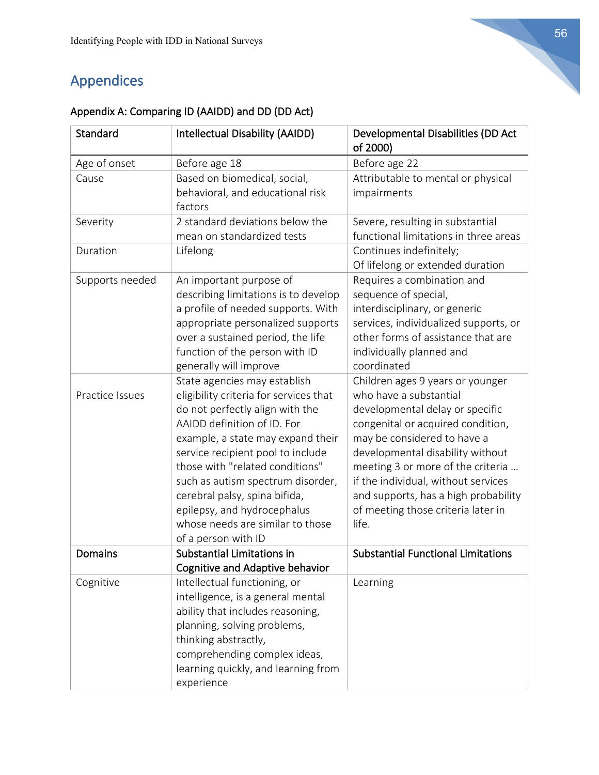# Appendices

| Standard        | Intellectual Disability (AAIDD)                                                                                                                                                                                                                                                                                                                                                                                       | Developmental Disabilities (DD Act<br>of 2000)                                                                                                                                                                                                                                                                                                                           |
|-----------------|-----------------------------------------------------------------------------------------------------------------------------------------------------------------------------------------------------------------------------------------------------------------------------------------------------------------------------------------------------------------------------------------------------------------------|--------------------------------------------------------------------------------------------------------------------------------------------------------------------------------------------------------------------------------------------------------------------------------------------------------------------------------------------------------------------------|
| Age of onset    | Before age 18                                                                                                                                                                                                                                                                                                                                                                                                         | Before age 22                                                                                                                                                                                                                                                                                                                                                            |
| Cause           | Based on biomedical, social,<br>behavioral, and educational risk<br>factors                                                                                                                                                                                                                                                                                                                                           | Attributable to mental or physical<br>impairments                                                                                                                                                                                                                                                                                                                        |
| Severity        | 2 standard deviations below the<br>mean on standardized tests                                                                                                                                                                                                                                                                                                                                                         | Severe, resulting in substantial<br>functional limitations in three areas                                                                                                                                                                                                                                                                                                |
| Duration        | Lifelong                                                                                                                                                                                                                                                                                                                                                                                                              | Continues indefinitely;<br>Of lifelong or extended duration                                                                                                                                                                                                                                                                                                              |
| Supports needed | An important purpose of<br>describing limitations is to develop<br>a profile of needed supports. With<br>appropriate personalized supports<br>over a sustained period, the life<br>function of the person with ID<br>generally will improve                                                                                                                                                                           | Requires a combination and<br>sequence of special,<br>interdisciplinary, or generic<br>services, individualized supports, or<br>other forms of assistance that are<br>individually planned and<br>coordinated                                                                                                                                                            |
| Practice Issues | State agencies may establish<br>eligibility criteria for services that<br>do not perfectly align with the<br>AAIDD definition of ID. For<br>example, a state may expand their<br>service recipient pool to include<br>those with "related conditions"<br>such as autism spectrum disorder,<br>cerebral palsy, spina bifida,<br>epilepsy, and hydrocephalus<br>whose needs are similar to those<br>of a person with ID | Children ages 9 years or younger<br>who have a substantial<br>developmental delay or specific<br>congenital or acquired condition,<br>may be considered to have a<br>developmental disability without<br>meeting 3 or more of the criteria<br>if the individual, without services<br>and supports, has a high probability<br>of meeting those criteria later in<br>life. |
| <b>Domains</b>  | <b>Substantial Limitations in</b><br>Cognitive and Adaptive behavior                                                                                                                                                                                                                                                                                                                                                  | <b>Substantial Functional Limitations</b>                                                                                                                                                                                                                                                                                                                                |
| Cognitive       | Intellectual functioning, or<br>intelligence, is a general mental<br>ability that includes reasoning,<br>planning, solving problems,<br>thinking abstractly,<br>comprehending complex ideas,<br>learning quickly, and learning from<br>experience                                                                                                                                                                     | Learning                                                                                                                                                                                                                                                                                                                                                                 |

# Appendix A: Comparing ID (AAIDD) and DD (DD Act)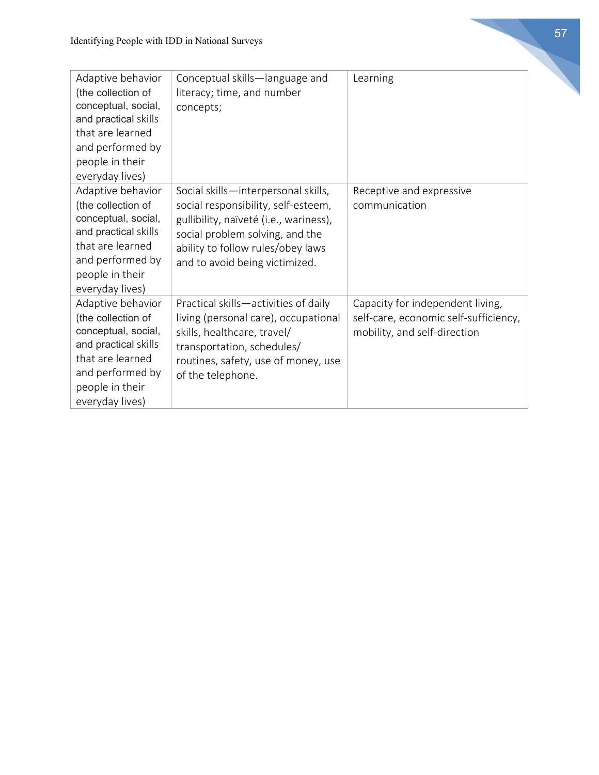| Adaptive behavior<br>(the collection of<br>conceptual, social,<br>and practical skills<br>that are learned<br>and performed by<br>people in their<br>everyday lives) | Conceptual skills-language and<br>literacy; time, and number<br>concepts;                                                                                                                                                      | Learning                                                                                                  |
|----------------------------------------------------------------------------------------------------------------------------------------------------------------------|--------------------------------------------------------------------------------------------------------------------------------------------------------------------------------------------------------------------------------|-----------------------------------------------------------------------------------------------------------|
| Adaptive behavior<br>(the collection of<br>conceptual, social,<br>and practical skills<br>that are learned<br>and performed by<br>people in their<br>everyday lives) | Social skills-interpersonal skills,<br>social responsibility, self-esteem,<br>gullibility, naïveté (i.e., wariness),<br>social problem solving, and the<br>ability to follow rules/obey laws<br>and to avoid being victimized. | Receptive and expressive<br>communication                                                                 |
| Adaptive behavior<br>(the collection of<br>conceptual, social,<br>and practical skills<br>that are learned<br>and performed by<br>people in their<br>everyday lives) | Practical skills-activities of daily<br>living (personal care), occupational<br>skills, healthcare, travel/<br>transportation, schedules/<br>routines, safety, use of money, use<br>of the telephone.                          | Capacity for independent living,<br>self-care, economic self-sufficiency,<br>mobility, and self-direction |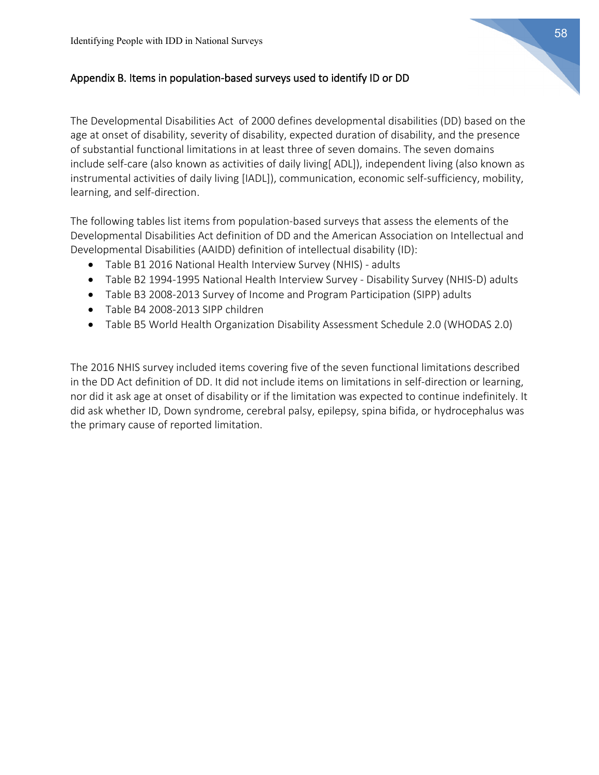#### Appendix B. Items in population-based surveys used to identify ID or DD

The Developmental Disabilities Act of 2000 defines developmental disabilities (DD) based on the age at onset of disability, severity of disability, expected duration of disability, and the presence of substantial functional limitations in at least three of seven domains. The seven domains include self-care (also known as activities of daily living[ ADL]), independent living (also known as instrumental activities of daily living [IADL]), communication, economic self-sufficiency, mobility, learning, and self-direction.

The following tables list items from population-based surveys that assess the elements of the Developmental Disabilities Act definition of DD and the American Association on Intellectual and Developmental Disabilities (AAIDD) definition of intellectual disability (ID):

- Table B1 2016 National Health Interview Survey (NHIS) adults
- Table B2 1994-1995 National Health Interview Survey Disability Survey (NHIS-D) adults
- Table B3 2008-2013 Survey of Income and Program Participation (SIPP) adults
- Table B4 2008-2013 SIPP children
- Table B5 World Health Organization Disability Assessment Schedule 2.0 (WHODAS 2.0)

The 2016 NHIS survey included items covering five of the seven functional limitations described in the DD Act definition of DD. It did not include items on limitations in self-direction or learning, nor did it ask age at onset of disability or if the limitation was expected to continue indefinitely. It did ask whether ID, Down syndrome, cerebral palsy, epilepsy, spina bifida, or hydrocephalus was the primary cause of reported limitation.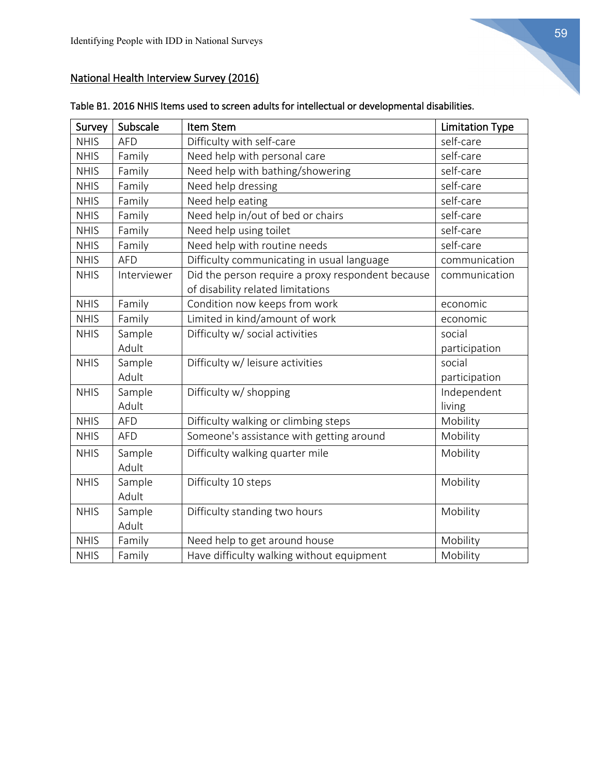# National Health Interview Survey (2016)

| Survey      | Subscale    | Item Stem                                                                              | <b>Limitation Type</b> |
|-------------|-------------|----------------------------------------------------------------------------------------|------------------------|
| <b>NHIS</b> | <b>AFD</b>  | Difficulty with self-care                                                              | self-care              |
| <b>NHIS</b> | Family      | Need help with personal care                                                           | self-care              |
| <b>NHIS</b> | Family      | Need help with bathing/showering                                                       | self-care              |
| <b>NHIS</b> | Family      | Need help dressing                                                                     | self-care              |
| <b>NHIS</b> | Family      | Need help eating                                                                       | self-care              |
| <b>NHIS</b> | Family      | Need help in/out of bed or chairs                                                      | self-care              |
| <b>NHIS</b> | Family      | Need help using toilet                                                                 | self-care              |
| <b>NHIS</b> | Family      | Need help with routine needs                                                           | self-care              |
| <b>NHIS</b> | <b>AFD</b>  | Difficulty communicating in usual language                                             | communication          |
| <b>NHIS</b> | Interviewer | Did the person require a proxy respondent because<br>of disability related limitations | communication          |
| <b>NHIS</b> | Family      | Condition now keeps from work                                                          | economic               |
| <b>NHIS</b> | Family      | Limited in kind/amount of work                                                         | economic               |
| <b>NHIS</b> | Sample      | Difficulty w/ social activities                                                        | social                 |
|             | Adult       |                                                                                        | participation          |
| <b>NHIS</b> | Sample      | Difficulty w/ leisure activities                                                       | social                 |
|             | Adult       |                                                                                        | participation          |
| <b>NHIS</b> | Sample      | Difficulty w/ shopping                                                                 | Independent            |
|             | Adult       |                                                                                        | living                 |
| <b>NHIS</b> | <b>AFD</b>  | Difficulty walking or climbing steps                                                   | Mobility               |
| <b>NHIS</b> | <b>AFD</b>  | Someone's assistance with getting around                                               | Mobility               |
| <b>NHIS</b> | Sample      | Difficulty walking quarter mile                                                        | Mobility               |
|             | Adult       |                                                                                        |                        |
| <b>NHIS</b> | Sample      | Difficulty 10 steps                                                                    | Mobility               |
|             | Adult       |                                                                                        |                        |
| <b>NHIS</b> | Sample      | Difficulty standing two hours                                                          | Mobility               |
|             | Adult       |                                                                                        |                        |
| <b>NHIS</b> | Family      | Need help to get around house                                                          | Mobility               |
| <b>NHIS</b> | Family      | Have difficulty walking without equipment                                              | Mobility               |

### Table B1. 2016 NHIS Items used to screen adults for intellectual or developmental disabilities.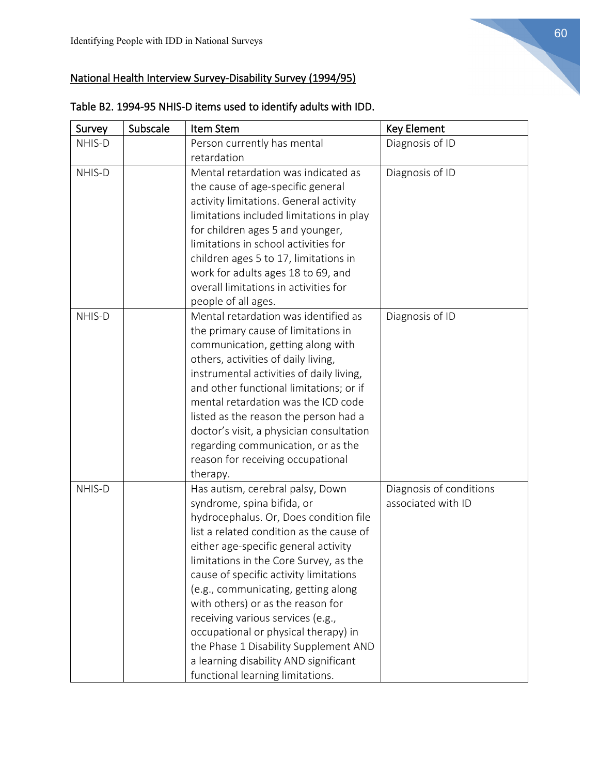# National Health Interview Survey-Disability Survey (1994/95)

| Survey | Subscale | Item Stem                                                                                                                                                                                                                                                                                                                                                                                                                                                                                                                                                       | <b>Key Element</b>                            |
|--------|----------|-----------------------------------------------------------------------------------------------------------------------------------------------------------------------------------------------------------------------------------------------------------------------------------------------------------------------------------------------------------------------------------------------------------------------------------------------------------------------------------------------------------------------------------------------------------------|-----------------------------------------------|
| NHIS-D |          | Person currently has mental                                                                                                                                                                                                                                                                                                                                                                                                                                                                                                                                     | Diagnosis of ID                               |
|        |          | retardation                                                                                                                                                                                                                                                                                                                                                                                                                                                                                                                                                     |                                               |
| NHIS-D |          | Mental retardation was indicated as<br>the cause of age-specific general<br>activity limitations. General activity<br>limitations included limitations in play<br>for children ages 5 and younger,<br>limitations in school activities for<br>children ages 5 to 17, limitations in<br>work for adults ages 18 to 69, and<br>overall limitations in activities for<br>people of all ages.                                                                                                                                                                       | Diagnosis of ID                               |
| NHIS-D |          | Mental retardation was identified as<br>the primary cause of limitations in<br>communication, getting along with<br>others, activities of daily living,<br>instrumental activities of daily living,<br>and other functional limitations; or if<br>mental retardation was the ICD code<br>listed as the reason the person had a<br>doctor's visit, a physician consultation<br>regarding communication, or as the<br>reason for receiving occupational<br>therapy.                                                                                               | Diagnosis of ID                               |
| NHIS-D |          | Has autism, cerebral palsy, Down<br>syndrome, spina bifida, or<br>hydrocephalus. Or, Does condition file<br>list a related condition as the cause of<br>either age-specific general activity<br>limitations in the Core Survey, as the<br>cause of specific activity limitations<br>(e.g., communicating, getting along<br>with others) or as the reason for<br>receiving various services (e.g.,<br>occupational or physical therapy) in<br>the Phase 1 Disability Supplement AND<br>a learning disability AND significant<br>functional learning limitations. | Diagnosis of conditions<br>associated with ID |

### Table B2. 1994-95 NHIS-D items used to identify adults with IDD.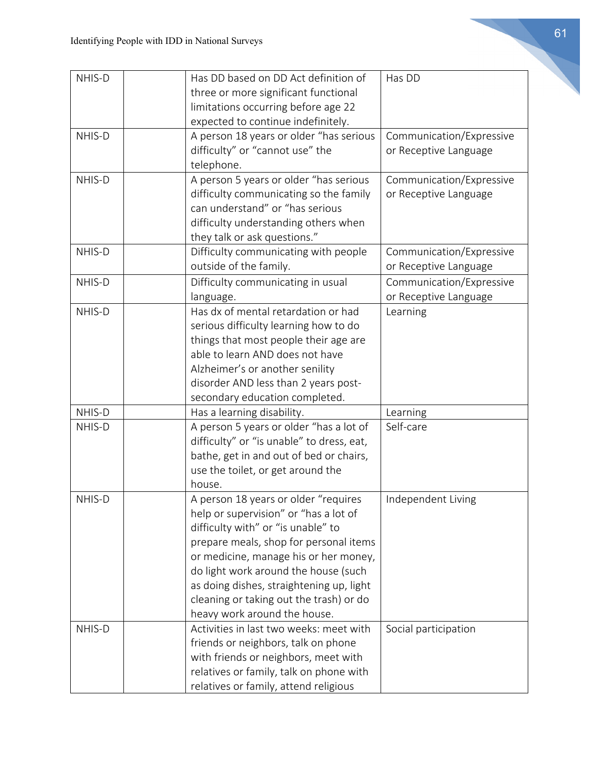| NHIS-D | Has DD based on DD Act definition of      | Has DD                   |
|--------|-------------------------------------------|--------------------------|
|        | three or more significant functional      |                          |
|        | limitations occurring before age 22       |                          |
|        | expected to continue indefinitely.        |                          |
| NHIS-D | A person 18 years or older "has serious   | Communication/Expressive |
|        | difficulty" or "cannot use" the           | or Receptive Language    |
|        | telephone.                                |                          |
| NHIS-D | A person 5 years or older "has serious    | Communication/Expressive |
|        | difficulty communicating so the family    | or Receptive Language    |
|        | can understand" or "has serious           |                          |
|        | difficulty understanding others when      |                          |
|        | they talk or ask questions."              |                          |
| NHIS-D | Difficulty communicating with people      | Communication/Expressive |
|        | outside of the family.                    | or Receptive Language    |
| NHIS-D | Difficulty communicating in usual         | Communication/Expressive |
|        | language.                                 | or Receptive Language    |
| NHIS-D | Has dx of mental retardation or had       | Learning                 |
|        | serious difficulty learning how to do     |                          |
|        | things that most people their age are     |                          |
|        | able to learn AND does not have           |                          |
|        | Alzheimer's or another senility           |                          |
|        | disorder AND less than 2 years post-      |                          |
|        | secondary education completed.            |                          |
| NHIS-D | Has a learning disability.                | Learning                 |
| NHIS-D | A person 5 years or older "has a lot of   | Self-care                |
|        | difficulty" or "is unable" to dress, eat, |                          |
|        | bathe, get in and out of bed or chairs,   |                          |
|        | use the toilet, or get around the         |                          |
|        | house.                                    |                          |
| NHIS-D | A person 18 years or older "requires      | Independent Living       |
|        | help or supervision" or "has a lot of     |                          |
|        | difficulty with" or "is unable" to        |                          |
|        | prepare meals, shop for personal items    |                          |
|        | or medicine, manage his or her money,     |                          |
|        | do light work around the house (such      |                          |
|        | as doing dishes, straightening up, light  |                          |
|        | cleaning or taking out the trash) or do   |                          |
|        | heavy work around the house.              |                          |
| NHIS-D | Activities in last two weeks: meet with   | Social participation     |
|        | friends or neighbors, talk on phone       |                          |
|        | with friends or neighbors, meet with      |                          |
|        | relatives or family, talk on phone with   |                          |
|        | relatives or family, attend religious     |                          |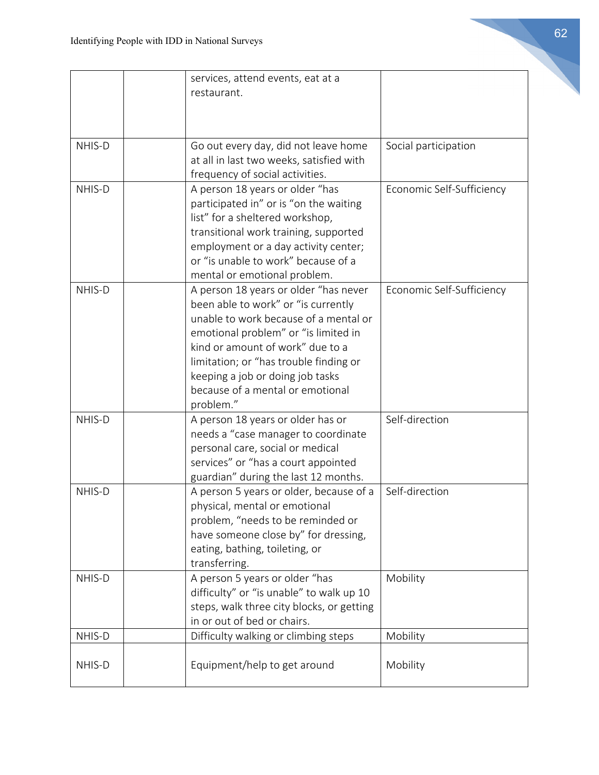|        | services, attend events, eat at a         |                           |
|--------|-------------------------------------------|---------------------------|
|        | restaurant.                               |                           |
|        |                                           |                           |
|        |                                           |                           |
| NHIS-D | Go out every day, did not leave home      | Social participation      |
|        | at all in last two weeks, satisfied with  |                           |
|        | frequency of social activities.           |                           |
| NHIS-D | A person 18 years or older "has           | Economic Self-Sufficiency |
|        | participated in" or is "on the waiting    |                           |
|        | list" for a sheltered workshop,           |                           |
|        | transitional work training, supported     |                           |
|        | employment or a day activity center;      |                           |
|        | or "is unable to work" because of a       |                           |
|        | mental or emotional problem.              |                           |
| NHIS-D | A person 18 years or older "has never     | Economic Self-Sufficiency |
|        | been able to work" or "is currently       |                           |
|        | unable to work because of a mental or     |                           |
|        | emotional problem" or "is limited in      |                           |
|        | kind or amount of work" due to a          |                           |
|        | limitation; or "has trouble finding or    |                           |
|        | keeping a job or doing job tasks          |                           |
|        | because of a mental or emotional          |                           |
|        | problem."                                 |                           |
| NHIS-D | A person 18 years or older has or         | Self-direction            |
|        | needs a "case manager to coordinate       |                           |
|        | personal care, social or medical          |                           |
|        | services" or "has a court appointed       |                           |
|        | guardian" during the last 12 months.      |                           |
| NHIS-D | A person 5 years or older, because of a   | Self-direction            |
|        | physical, mental or emotional             |                           |
|        | problem, "needs to be reminded or         |                           |
|        | have someone close by" for dressing,      |                           |
|        | eating, bathing, toileting, or            |                           |
|        | transferring.                             |                           |
| NHIS-D | A person 5 years or older "has            | Mobility                  |
|        | difficulty" or "is unable" to walk up 10  |                           |
|        | steps, walk three city blocks, or getting |                           |
|        | in or out of bed or chairs.               |                           |
| NHIS-D | Difficulty walking or climbing steps      | Mobility                  |
|        |                                           |                           |
| NHIS-D | Equipment/help to get around              | Mobility                  |
|        |                                           |                           |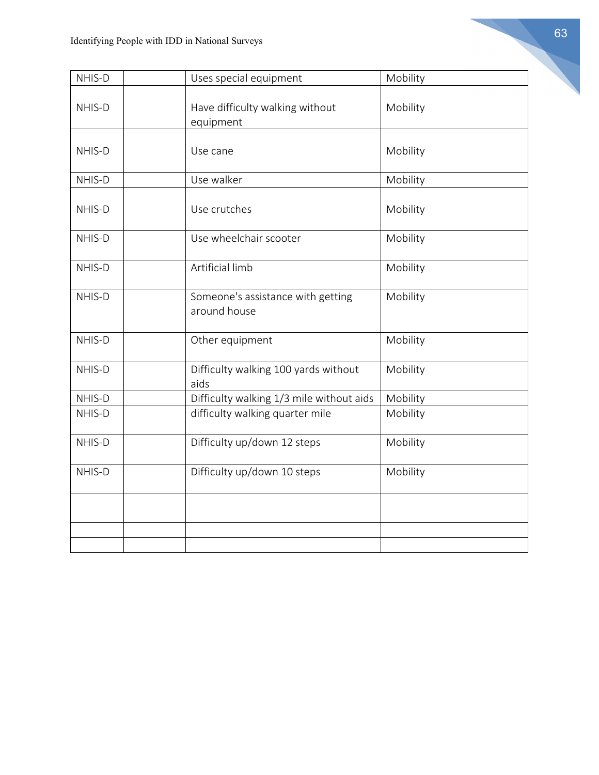| NHIS-D | Uses special equipment                            | Mobility |
|--------|---------------------------------------------------|----------|
| NHIS-D | Have difficulty walking without<br>equipment      | Mobility |
| NHIS-D | Use cane                                          | Mobility |
| NHIS-D | Use walker                                        | Mobility |
| NHIS-D | Use crutches                                      | Mobility |
| NHIS-D | Use wheelchair scooter                            | Mobility |
| NHIS-D | Artificial limb                                   | Mobility |
| NHIS-D | Someone's assistance with getting<br>around house | Mobility |
| NHIS-D | Other equipment                                   | Mobility |
| NHIS-D | Difficulty walking 100 yards without<br>aids      | Mobility |
| NHIS-D | Difficulty walking 1/3 mile without aids          | Mobility |
| NHIS-D | difficulty walking quarter mile                   | Mobility |
| NHIS-D | Difficulty up/down 12 steps                       | Mobility |
| NHIS-D | Difficulty up/down 10 steps                       | Mobility |
|        |                                                   |          |
|        |                                                   |          |
|        |                                                   |          |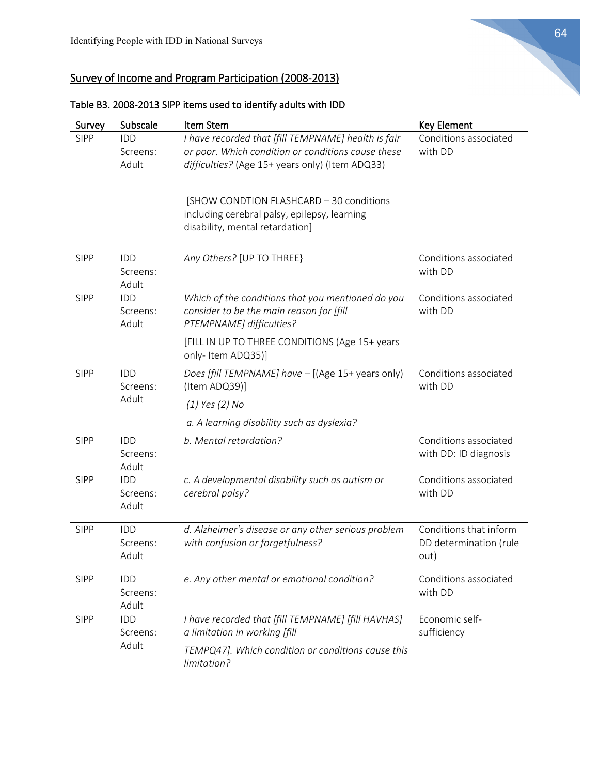### Survey of Income and Program Participation (2008-2013)

#### Table B3. 2008-2013 SIPP items used to identify adults with IDD

| Survey      | Subscale                        | Item Stem                                                                                                                                                    | <b>Key Element</b>                                       |
|-------------|---------------------------------|--------------------------------------------------------------------------------------------------------------------------------------------------------------|----------------------------------------------------------|
| <b>SIPP</b> | IDD<br>Screens:<br>Adult        | I have recorded that [fill TEMPNAME] health is fair<br>or poor. Which condition or conditions cause these<br>difficulties? (Age 15+ years only) (Item ADQ33) | Conditions associated<br>with DD                         |
|             |                                 | [SHOW CONDTION FLASHCARD - 30 conditions<br>including cerebral palsy, epilepsy, learning<br>disability, mental retardation]                                  |                                                          |
| <b>SIPP</b> | IDD<br>Screens:<br>Adult        | Any Others? [UP TO THREE]                                                                                                                                    | Conditions associated<br>with DD                         |
| <b>SIPP</b> | IDD<br>Screens:<br>Adult        | Which of the conditions that you mentioned do you<br>consider to be the main reason for [fill<br>PTEMPNAME] difficulties?                                    | Conditions associated<br>with DD                         |
|             |                                 | [FILL IN UP TO THREE CONDITIONS (Age 15+ years<br>only-Item ADQ35)]                                                                                          |                                                          |
| <b>SIPP</b> | IDD<br>Screens:                 | Does [fill TEMPNAME] have - [(Age 15+ years only)<br>(Item ADQ39)]                                                                                           | Conditions associated<br>with DD                         |
|             | Adult                           | $(1)$ Yes $(2)$ No                                                                                                                                           |                                                          |
|             |                                 | a. A learning disability such as dyslexia?                                                                                                                   |                                                          |
| <b>SIPP</b> | <b>IDD</b><br>Screens:<br>Adult | b. Mental retardation?                                                                                                                                       | Conditions associated<br>with DD: ID diagnosis           |
| <b>SIPP</b> | IDD<br>Screens:<br>Adult        | c. A developmental disability such as autism or<br>cerebral palsy?                                                                                           | Conditions associated<br>with DD                         |
| <b>SIPP</b> | IDD<br>Screens:<br>Adult        | d. Alzheimer's disease or any other serious problem<br>with confusion or forgetfulness?                                                                      | Conditions that inform<br>DD determination (rule<br>out) |
| <b>SIPP</b> | IDD<br>Screens:<br>Adult        | e. Any other mental or emotional condition?                                                                                                                  | Conditions associated<br>with DD                         |
| <b>SIPP</b> | IDD<br>Screens:                 | I have recorded that [fill TEMPNAME] [fill HAVHAS]<br>a limitation in working [fill                                                                          | Economic self-<br>sufficiency                            |
|             | Adult                           | TEMPQ47]. Which condition or conditions cause this<br>limitation?                                                                                            |                                                          |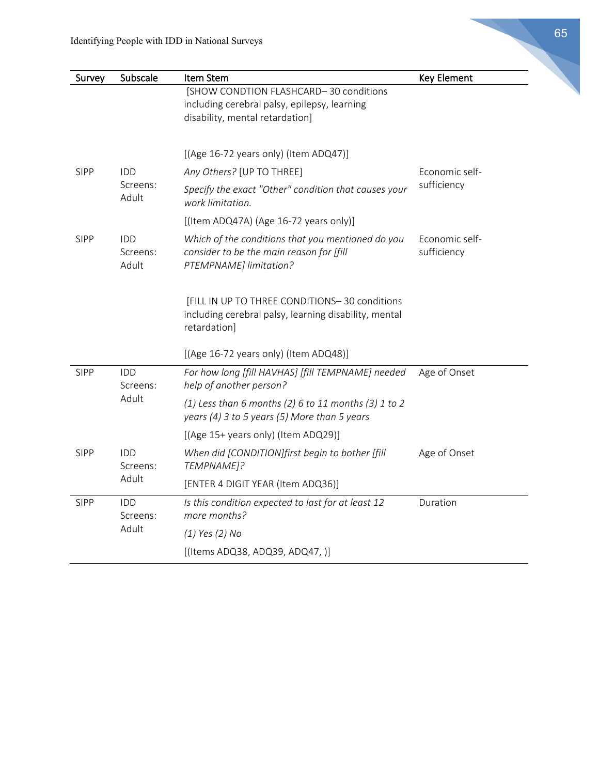| Survey                      | Subscale                        | Item Stem                                                                                                                 | <b>Key Element</b>            |
|-----------------------------|---------------------------------|---------------------------------------------------------------------------------------------------------------------------|-------------------------------|
|                             |                                 | [SHOW CONDTION FLASHCARD-30 conditions<br>including cerebral palsy, epilepsy, learning<br>disability, mental retardation] |                               |
|                             |                                 | [(Age 16-72 years only) (Item ADQ47)]                                                                                     |                               |
| <b>SIPP</b>                 | <b>IDD</b>                      | Any Others? [UP TO THREE]                                                                                                 | Economic self-                |
|                             | Screens:<br>Adult               | Specify the exact "Other" condition that causes your<br>work limitation.                                                  | sufficiency                   |
|                             |                                 | [(Item ADQ47A) (Age 16-72 years only)]                                                                                    |                               |
| <b>SIPP</b>                 | <b>IDD</b><br>Screens:<br>Adult | Which of the conditions that you mentioned do you<br>consider to be the main reason for [fill<br>PTEMPNAME] limitation?   | Economic self-<br>sufficiency |
|                             |                                 | [FILL IN UP TO THREE CONDITIONS-30 conditions<br>including cerebral palsy, learning disability, mental<br>retardation]    |                               |
|                             |                                 | [(Age 16-72 years only) (Item ADQ48)]                                                                                     |                               |
| <b>SIPP</b><br>IDD<br>Adult | Screens:                        | For how long [fill HAVHAS] [fill TEMPNAME] needed<br>help of another person?                                              | Age of Onset                  |
|                             |                                 | (1) Less than 6 months (2) 6 to 11 months (3) 1 to 2<br>years (4) 3 to 5 years (5) More than 5 years                      |                               |
|                             |                                 | [(Age 15+ years only) (Item ADQ29)]                                                                                       |                               |
| <b>SIPP</b>                 | <b>IDD</b><br>Screens:          | When did [CONDITION]first begin to bother [fill<br>TEMPNAME]?                                                             | Age of Onset                  |
|                             | Adult                           | [ENTER 4 DIGIT YEAR (Item ADQ36)]                                                                                         |                               |
| <b>SIPP</b>                 | IDD<br>Screens:<br>Adult        | Is this condition expected to last for at least 12<br>more months?                                                        | Duration                      |
|                             |                                 | $(1)$ Yes $(2)$ No                                                                                                        |                               |
|                             |                                 | [(Items ADQ38, ADQ39, ADQ47, )]                                                                                           |                               |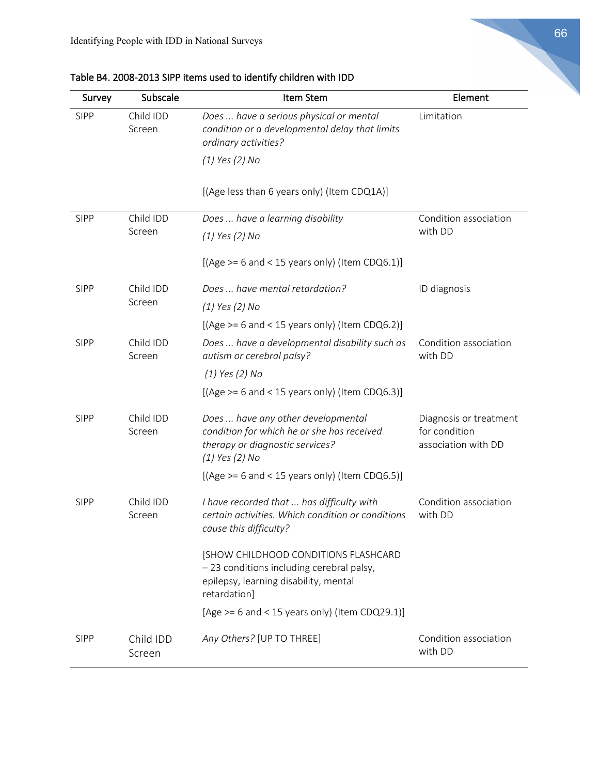| Survey      | Subscale            | Item Stem                                                                                                                                 | Element                                                        |
|-------------|---------------------|-------------------------------------------------------------------------------------------------------------------------------------------|----------------------------------------------------------------|
| <b>SIPP</b> | Child IDD<br>Screen | Does  have a serious physical or mental<br>condition or a developmental delay that limits<br>ordinary activities?                         | Limitation                                                     |
|             |                     | (1) Yes (2) No                                                                                                                            |                                                                |
|             |                     | [(Age less than 6 years only) (Item CDQ1A)]                                                                                               |                                                                |
| <b>SIPP</b> | Child IDD           | Does  have a learning disability                                                                                                          | Condition association                                          |
|             | Screen              | $(1)$ Yes $(2)$ No                                                                                                                        | with DD                                                        |
|             |                     | $[(Age \ge 6 and < 15 years only)$ (Item CDQ6.1)]                                                                                         |                                                                |
| <b>SIPP</b> | Child IDD           | Does  have mental retardation?                                                                                                            | ID diagnosis                                                   |
|             | Screen              | $(1)$ Yes $(2)$ No                                                                                                                        |                                                                |
|             |                     | [(Age $>= 6$ and < 15 years only) (Item CDQ6.2)]                                                                                          |                                                                |
| <b>SIPP</b> | Child IDD<br>Screen | Does  have a developmental disability such as<br>autism or cerebral palsy?                                                                | Condition association<br>with DD                               |
|             |                     | $(1)$ Yes $(2)$ No                                                                                                                        |                                                                |
|             |                     | $[(Age \ge 6 and < 15 years only)$ (Item CDQ6.3)]                                                                                         |                                                                |
| <b>SIPP</b> | Child IDD<br>Screen | Does  have any other developmental<br>condition for which he or she has received<br>therapy or diagnostic services?<br>$(1)$ Yes $(2)$ No | Diagnosis or treatment<br>for condition<br>association with DD |
|             |                     | $[(Age >= 6 and < 15 years only)$ (Item CDQ6.5)]                                                                                          |                                                                |
| <b>SIPP</b> | Child IDD<br>Screen | I have recorded that  has difficulty with<br>certain activities. Which condition or conditions<br>cause this difficulty?                  | Condition association<br>with DD                               |
|             |                     | [SHOW CHILDHOOD CONDITIONS FLASHCARD<br>-23 conditions including cerebral palsy,<br>epilepsy, learning disability, mental<br>retardation] |                                                                |
|             |                     | [Age $>= 6$ and < 15 years only) (Item CDQ29.1)]                                                                                          |                                                                |
| <b>SIPP</b> | Child IDD<br>Screen | Any Others? [UP TO THREE]                                                                                                                 | Condition association<br>with DD                               |

### Table B4. 2008-2013 SIPP items used to identify children with IDD